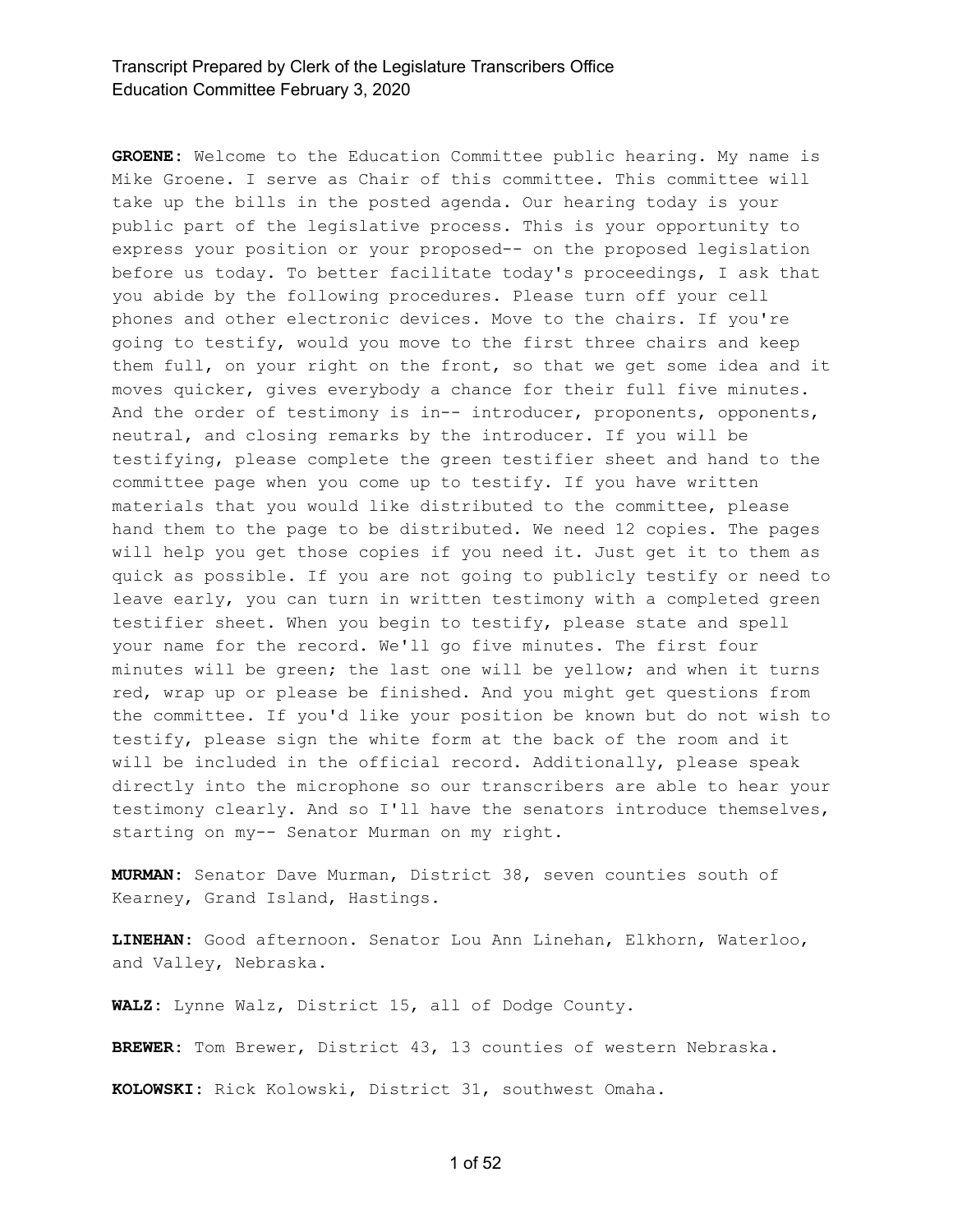**GROENE:** Welcome to the Education Committee public hearing. My name is Mike Groene. I serve as Chair of this committee. This committee will take up the bills in the posted agenda. Our hearing today is your public part of the legislative process. This is your opportunity to express your position or your proposed-- on the proposed legislation before us today. To better facilitate today's proceedings, I ask that you abide by the following procedures. Please turn off your cell phones and other electronic devices. Move to the chairs. If you're going to testify, would you move to the first three chairs and keep them full, on your right on the front, so that we get some idea and it moves quicker, gives everybody a chance for their full five minutes. And the order of testimony is in-- introducer, proponents, opponents, neutral, and closing remarks by the introducer. If you will be testifying, please complete the green testifier sheet and hand to the committee page when you come up to testify. If you have written materials that you would like distributed to the committee, please hand them to the page to be distributed. We need 12 copies. The pages will help you get those copies if you need it. Just get it to them as quick as possible. If you are not going to publicly testify or need to leave early, you can turn in written testimony with a completed green testifier sheet. When you begin to testify, please state and spell your name for the record. We'll go five minutes. The first four minutes will be green; the last one will be yellow; and when it turns red, wrap up or please be finished. And you might get questions from the committee. If you'd like your position be known but do not wish to testify, please sign the white form at the back of the room and it will be included in the official record. Additionally, please speak directly into the microphone so our transcribers are able to hear your testimony clearly. And so I'll have the senators introduce themselves, starting on my-- Senator Murman on my right.

**MURMAN:** Senator Dave Murman, District 38, seven counties south of Kearney, Grand Island, Hastings.

**LINEHAN:** Good afternoon. Senator Lou Ann Linehan, Elkhorn, Waterloo, and Valley, Nebraska.

**WALZ:** Lynne Walz, District 15, all of Dodge County.

**BREWER:** Tom Brewer, District 43, 13 counties of western Nebraska.

**KOLOWSKI:** Rick Kolowski, District 31, southwest Omaha.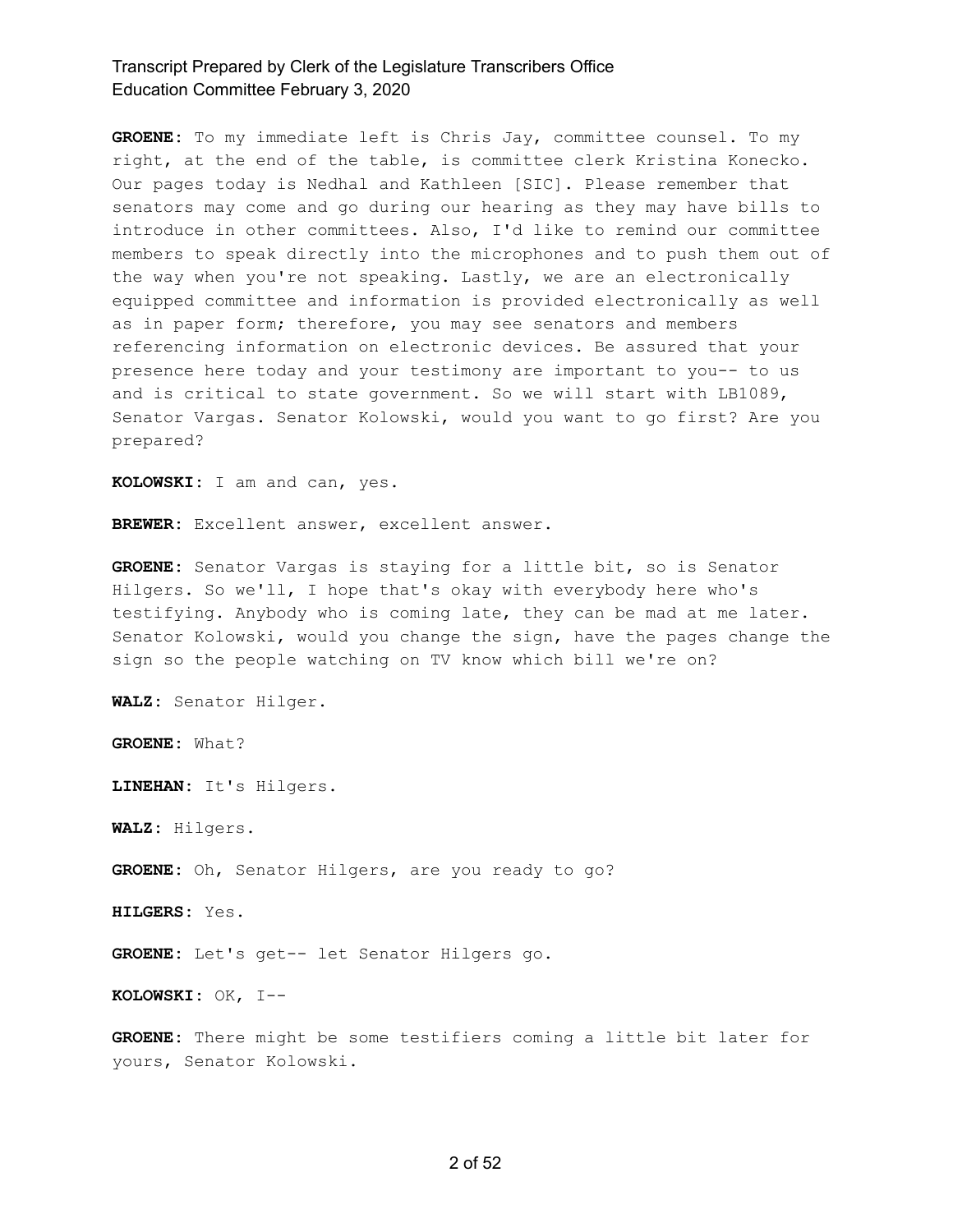**GROENE:** To my immediate left is Chris Jay, committee counsel. To my right, at the end of the table, is committee clerk Kristina Konecko. Our pages today is Nedhal and Kathleen [SIC]. Please remember that senators may come and go during our hearing as they may have bills to introduce in other committees. Also, I'd like to remind our committee members to speak directly into the microphones and to push them out of the way when you're not speaking. Lastly, we are an electronically equipped committee and information is provided electronically as well as in paper form; therefore, you may see senators and members referencing information on electronic devices. Be assured that your presence here today and your testimony are important to you-- to us and is critical to state government. So we will start with LB1089, Senator Vargas. Senator Kolowski, would you want to go first? Are you prepared?

**KOLOWSKI:** I am and can, yes.

**BREWER:** Excellent answer, excellent answer.

**GROENE:** Senator Vargas is staying for a little bit, so is Senator Hilgers. So we'll, I hope that's okay with everybody here who's testifying. Anybody who is coming late, they can be mad at me later. Senator Kolowski, would you change the sign, have the pages change the sign so the people watching on TV know which bill we're on?

**WALZ:** Senator Hilger.

**GROENE:** What?

**LINEHAN:** It's Hilgers.

**WALZ:** Hilgers.

**GROENE:** Oh, Senator Hilgers, are you ready to go?

**HILGERS:** Yes.

**GROENE:** Let's get-- let Senator Hilgers go.

**KOLOWSKI:** OK, I--

**GROENE:** There might be some testifiers coming a little bit later for yours, Senator Kolowski.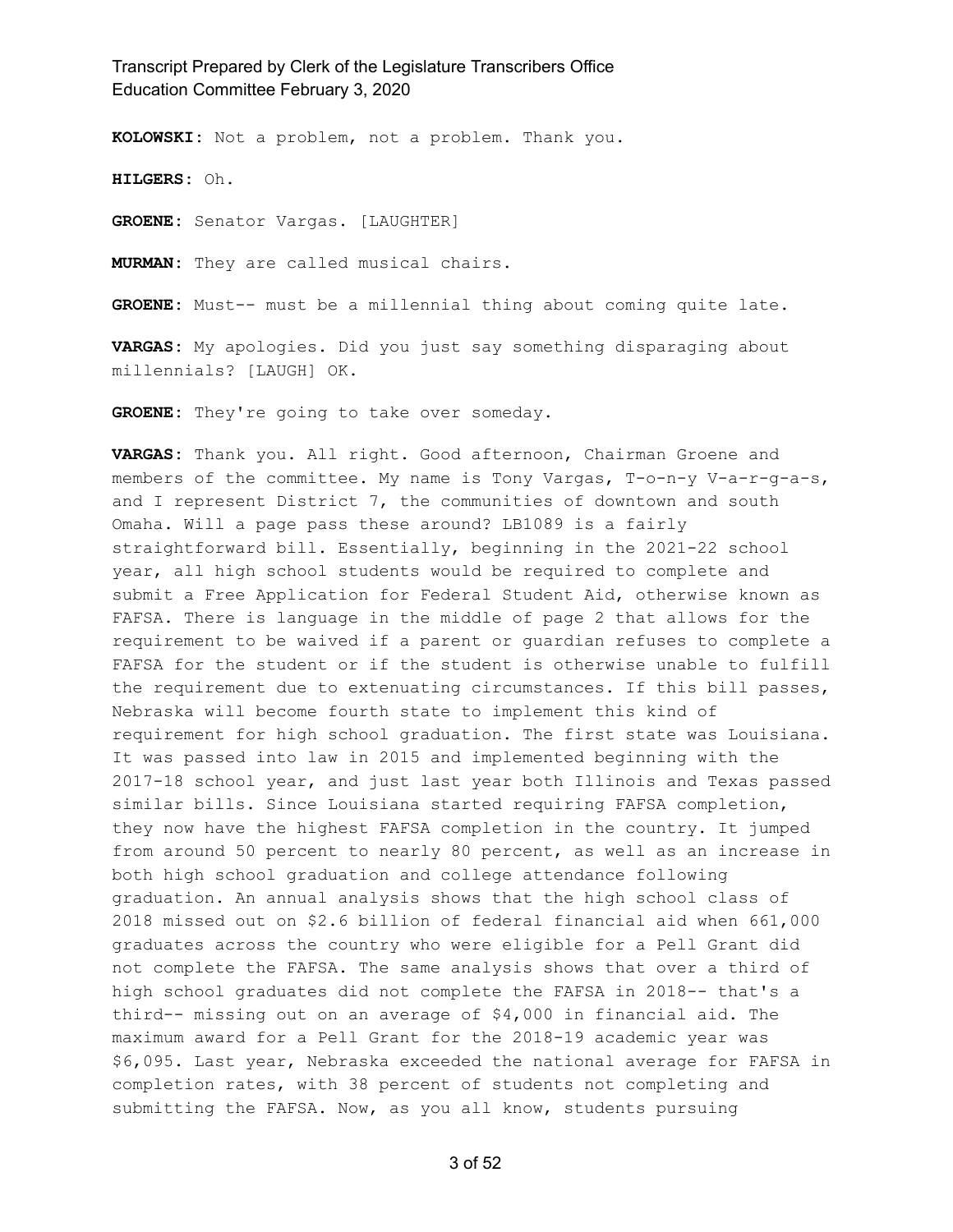**KOLOWSKI:** Not a problem, not a problem. Thank you.

**HILGERS:** Oh.

**GROENE:** Senator Vargas. [LAUGHTER]

**MURMAN:** They are called musical chairs.

**GROENE:** Must-- must be a millennial thing about coming quite late.

**VARGAS:** My apologies. Did you just say something disparaging about millennials? [LAUGH] OK.

**GROENE:** They're going to take over someday.

**VARGAS:** Thank you. All right. Good afternoon, Chairman Groene and members of the committee. My name is Tony Vargas, T-o-n-y V-a-r-g-a-s, and I represent District 7, the communities of downtown and south Omaha. Will a page pass these around? LB1089 is a fairly straightforward bill. Essentially, beginning in the 2021-22 school year, all high school students would be required to complete and submit a Free Application for Federal Student Aid, otherwise known as FAFSA. There is language in the middle of page 2 that allows for the requirement to be waived if a parent or guardian refuses to complete a FAFSA for the student or if the student is otherwise unable to fulfill the requirement due to extenuating circumstances. If this bill passes, Nebraska will become fourth state to implement this kind of requirement for high school graduation. The first state was Louisiana. It was passed into law in 2015 and implemented beginning with the 2017-18 school year, and just last year both Illinois and Texas passed similar bills. Since Louisiana started requiring FAFSA completion, they now have the highest FAFSA completion in the country. It jumped from around 50 percent to nearly 80 percent, as well as an increase in both high school graduation and college attendance following graduation. An annual analysis shows that the high school class of 2018 missed out on \$2.6 billion of federal financial aid when 661,000 graduates across the country who were eligible for a Pell Grant did not complete the FAFSA. The same analysis shows that over a third of high school graduates did not complete the FAFSA in 2018-- that's a third-- missing out on an average of \$4,000 in financial aid. The maximum award for a Pell Grant for the 2018-19 academic year was \$6,095. Last year, Nebraska exceeded the national average for FAFSA in completion rates, with 38 percent of students not completing and submitting the FAFSA. Now, as you all know, students pursuing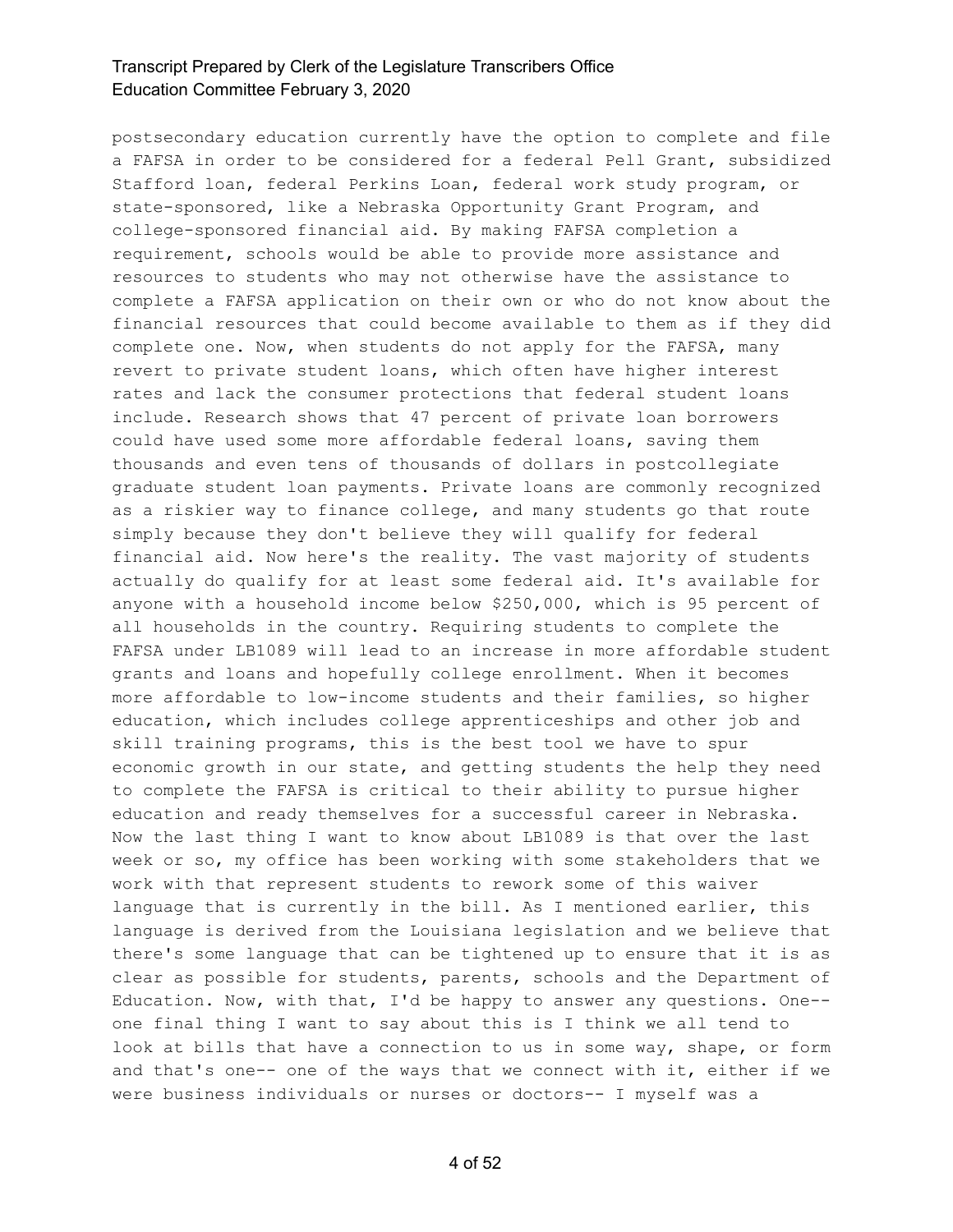postsecondary education currently have the option to complete and file a FAFSA in order to be considered for a federal Pell Grant, subsidized Stafford loan, federal Perkins Loan, federal work study program, or state-sponsored, like a Nebraska Opportunity Grant Program, and college-sponsored financial aid. By making FAFSA completion a requirement, schools would be able to provide more assistance and resources to students who may not otherwise have the assistance to complete a FAFSA application on their own or who do not know about the financial resources that could become available to them as if they did complete one. Now, when students do not apply for the FAFSA, many revert to private student loans, which often have higher interest rates and lack the consumer protections that federal student loans include. Research shows that 47 percent of private loan borrowers could have used some more affordable federal loans, saving them thousands and even tens of thousands of dollars in postcollegiate graduate student loan payments. Private loans are commonly recognized as a riskier way to finance college, and many students go that route simply because they don't believe they will qualify for federal financial aid. Now here's the reality. The vast majority of students actually do qualify for at least some federal aid. It's available for anyone with a household income below \$250,000, which is 95 percent of all households in the country. Requiring students to complete the FAFSA under LB1089 will lead to an increase in more affordable student grants and loans and hopefully college enrollment. When it becomes more affordable to low-income students and their families, so higher education, which includes college apprenticeships and other job and skill training programs, this is the best tool we have to spur economic growth in our state, and getting students the help they need to complete the FAFSA is critical to their ability to pursue higher education and ready themselves for a successful career in Nebraska. Now the last thing I want to know about LB1089 is that over the last week or so, my office has been working with some stakeholders that we work with that represent students to rework some of this waiver language that is currently in the bill. As I mentioned earlier, this language is derived from the Louisiana legislation and we believe that there's some language that can be tightened up to ensure that it is as clear as possible for students, parents, schools and the Department of Education. Now, with that, I'd be happy to answer any questions. One- one final thing I want to say about this is I think we all tend to look at bills that have a connection to us in some way, shape, or form and that's one-- one of the ways that we connect with it, either if we were business individuals or nurses or doctors-- I myself was a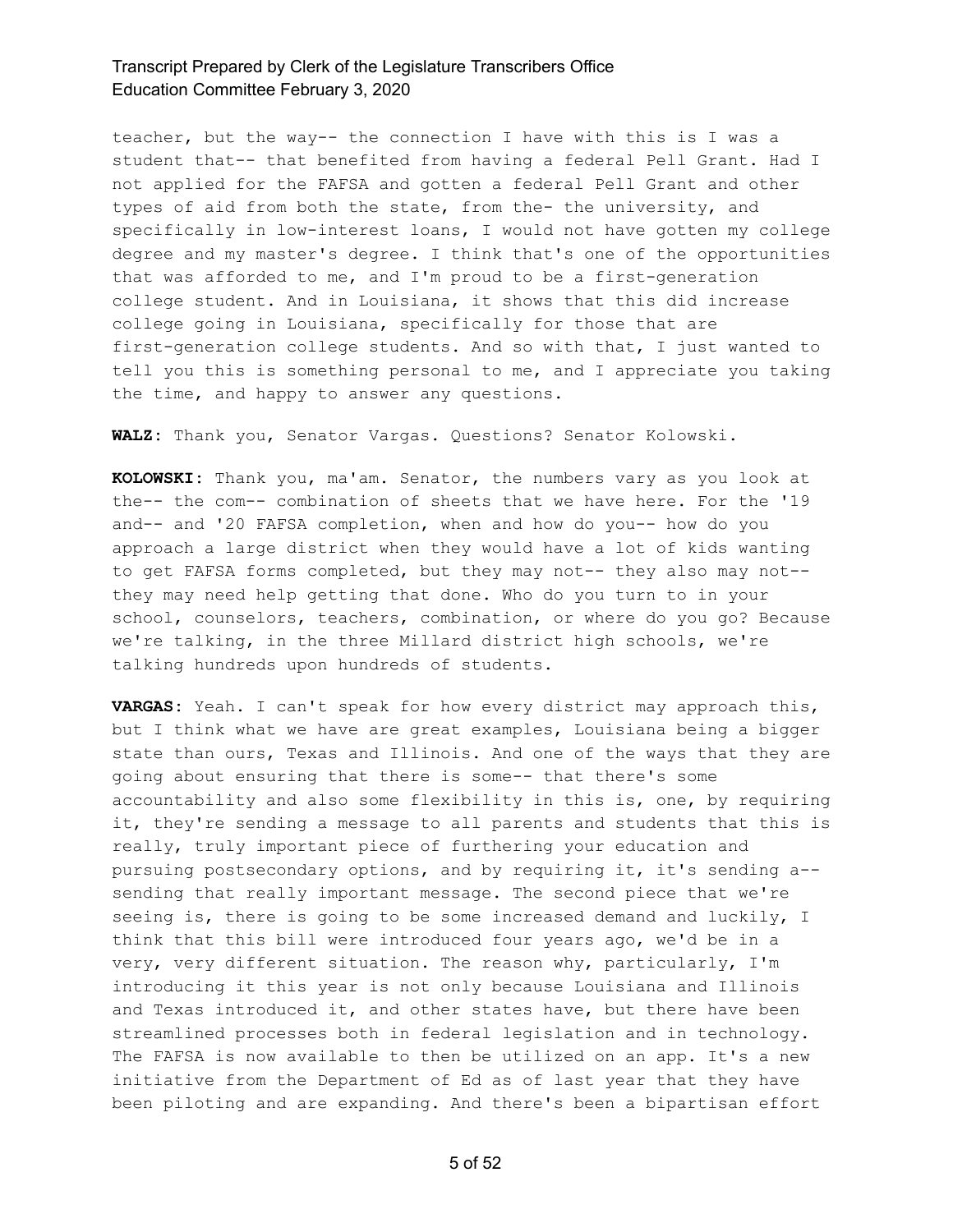teacher, but the way-- the connection I have with this is I was a student that-- that benefited from having a federal Pell Grant. Had I not applied for the FAFSA and gotten a federal Pell Grant and other types of aid from both the state, from the- the university, and specifically in low-interest loans, I would not have gotten my college degree and my master's degree. I think that's one of the opportunities that was afforded to me, and I'm proud to be a first-generation college student. And in Louisiana, it shows that this did increase college going in Louisiana, specifically for those that are first-generation college students. And so with that, I just wanted to tell you this is something personal to me, and I appreciate you taking the time, and happy to answer any questions.

**WALZ:** Thank you, Senator Vargas. Questions? Senator Kolowski.

**KOLOWSKI:** Thank you, ma'am. Senator, the numbers vary as you look at the-- the com-- combination of sheets that we have here. For the '19 and-- and '20 FAFSA completion, when and how do you-- how do you approach a large district when they would have a lot of kids wanting to get FAFSA forms completed, but they may not-- they also may not- they may need help getting that done. Who do you turn to in your school, counselors, teachers, combination, or where do you go? Because we're talking, in the three Millard district high schools, we're talking hundreds upon hundreds of students.

**VARGAS:** Yeah. I can't speak for how every district may approach this, but I think what we have are great examples, Louisiana being a bigger state than ours, Texas and Illinois. And one of the ways that they are going about ensuring that there is some-- that there's some accountability and also some flexibility in this is, one, by requiring it, they're sending a message to all parents and students that this is really, truly important piece of furthering your education and pursuing postsecondary options, and by requiring it, it's sending a- sending that really important message. The second piece that we're seeing is, there is going to be some increased demand and luckily, I think that this bill were introduced four years ago, we'd be in a very, very different situation. The reason why, particularly, I'm introducing it this year is not only because Louisiana and Illinois and Texas introduced it, and other states have, but there have been streamlined processes both in federal legislation and in technology. The FAFSA is now available to then be utilized on an app. It's a new initiative from the Department of Ed as of last year that they have been piloting and are expanding. And there's been a bipartisan effort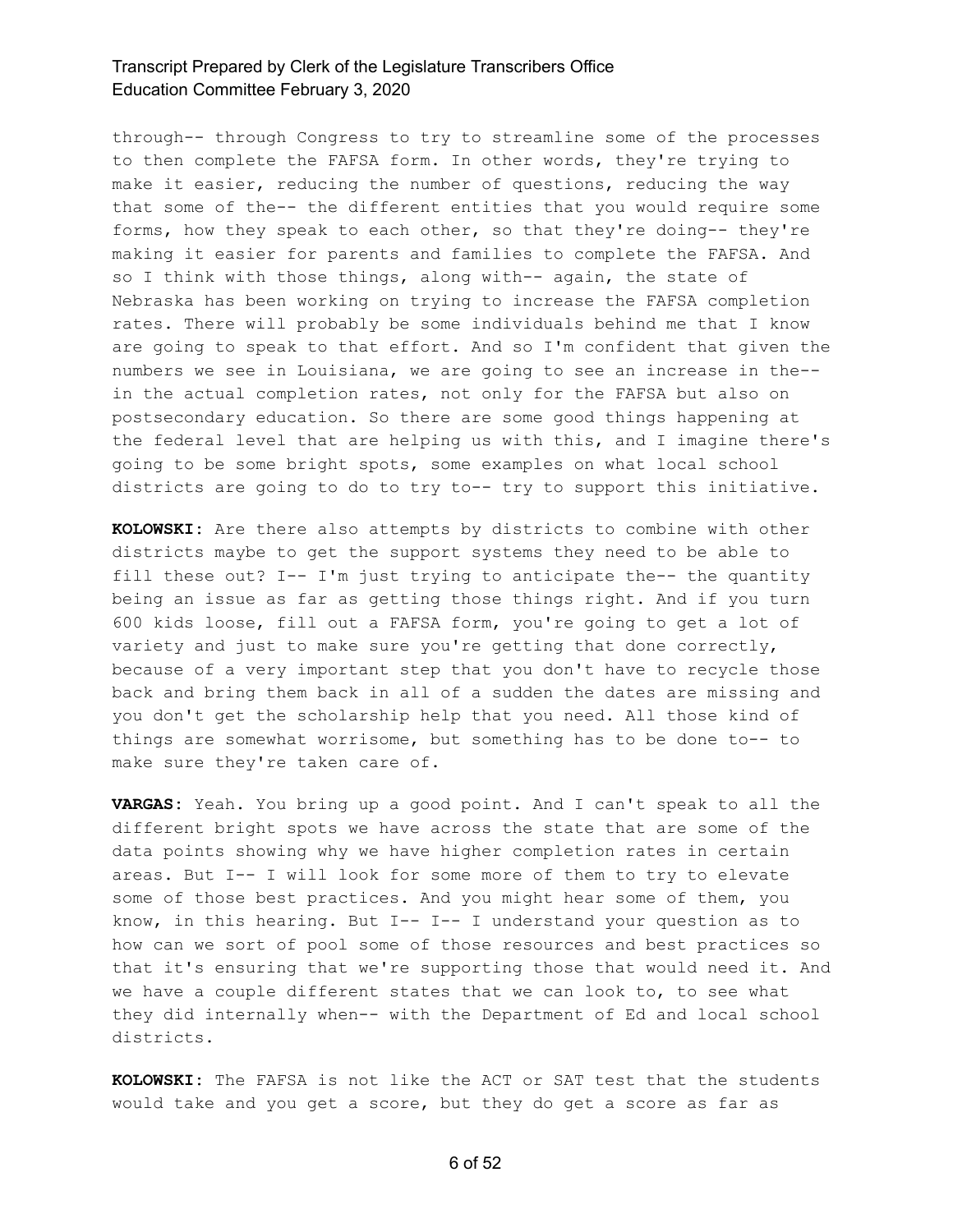through-- through Congress to try to streamline some of the processes to then complete the FAFSA form. In other words, they're trying to make it easier, reducing the number of questions, reducing the way that some of the-- the different entities that you would require some forms, how they speak to each other, so that they're doing-- they're making it easier for parents and families to complete the FAFSA. And so I think with those things, along with-- again, the state of Nebraska has been working on trying to increase the FAFSA completion rates. There will probably be some individuals behind me that I know are going to speak to that effort. And so I'm confident that given the numbers we see in Louisiana, we are going to see an increase in the- in the actual completion rates, not only for the FAFSA but also on postsecondary education. So there are some good things happening at the federal level that are helping us with this, and I imagine there's going to be some bright spots, some examples on what local school districts are going to do to try to-- try to support this initiative.

**KOLOWSKI:** Are there also attempts by districts to combine with other districts maybe to get the support systems they need to be able to fill these out? I-- I'm just trying to anticipate the-- the quantity being an issue as far as getting those things right. And if you turn 600 kids loose, fill out a FAFSA form, you're going to get a lot of variety and just to make sure you're getting that done correctly, because of a very important step that you don't have to recycle those back and bring them back in all of a sudden the dates are missing and you don't get the scholarship help that you need. All those kind of things are somewhat worrisome, but something has to be done to-- to make sure they're taken care of.

**VARGAS:** Yeah. You bring up a good point. And I can't speak to all the different bright spots we have across the state that are some of the data points showing why we have higher completion rates in certain areas. But I-- I will look for some more of them to try to elevate some of those best practices. And you might hear some of them, you know, in this hearing. But I-- I-- I understand your question as to how can we sort of pool some of those resources and best practices so that it's ensuring that we're supporting those that would need it. And we have a couple different states that we can look to, to see what they did internally when-- with the Department of Ed and local school districts.

**KOLOWSKI:** The FAFSA is not like the ACT or SAT test that the students would take and you get a score, but they do get a score as far as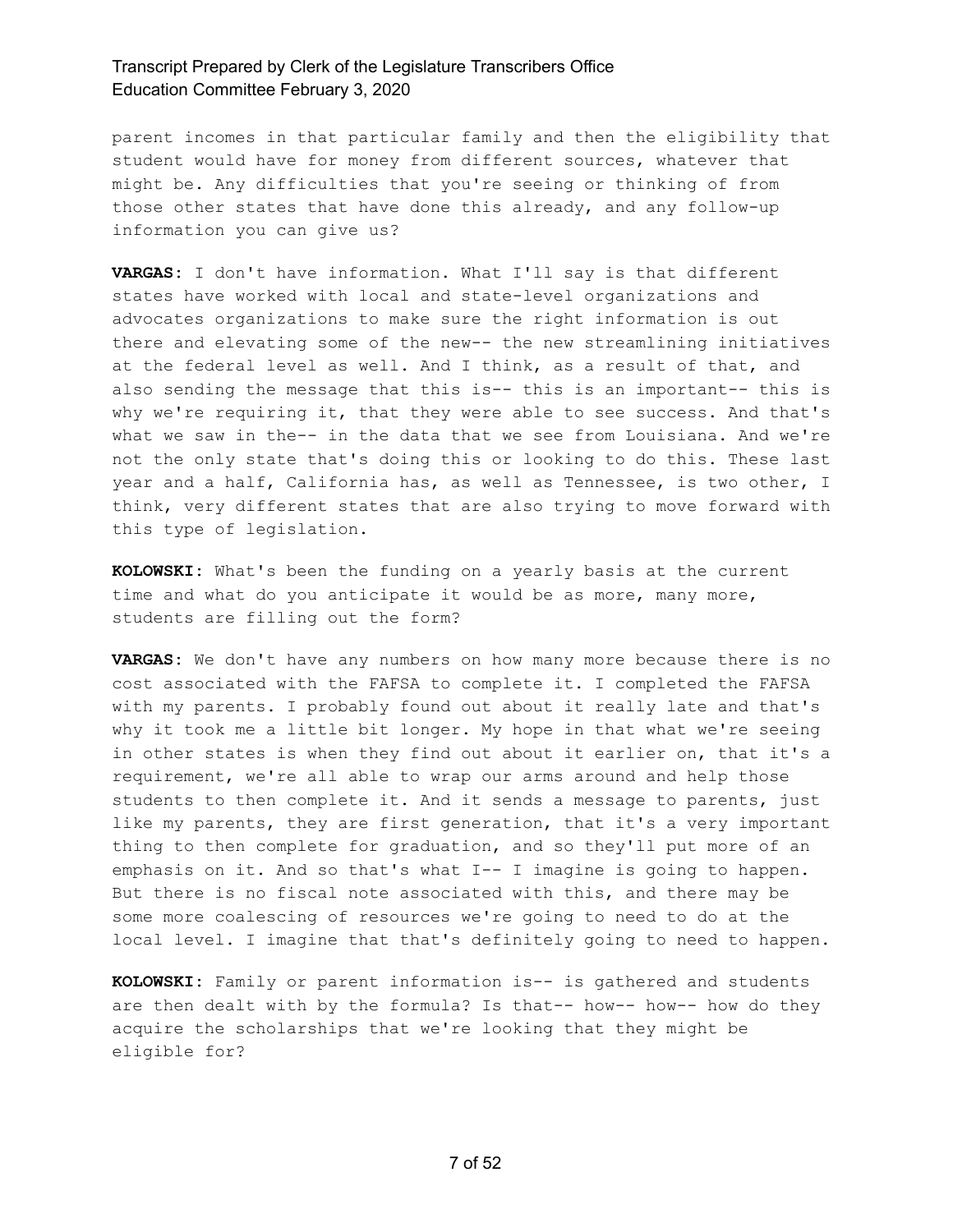parent incomes in that particular family and then the eligibility that student would have for money from different sources, whatever that might be. Any difficulties that you're seeing or thinking of from those other states that have done this already, and any follow-up information you can give us?

**VARGAS:** I don't have information. What I'll say is that different states have worked with local and state-level organizations and advocates organizations to make sure the right information is out there and elevating some of the new-- the new streamlining initiatives at the federal level as well. And I think, as a result of that, and also sending the message that this is-- this is an important-- this is why we're requiring it, that they were able to see success. And that's what we saw in the-- in the data that we see from Louisiana. And we're not the only state that's doing this or looking to do this. These last year and a half, California has, as well as Tennessee, is two other, I think, very different states that are also trying to move forward with this type of legislation.

**KOLOWSKI:** What's been the funding on a yearly basis at the current time and what do you anticipate it would be as more, many more, students are filling out the form?

**VARGAS:** We don't have any numbers on how many more because there is no cost associated with the FAFSA to complete it. I completed the FAFSA with my parents. I probably found out about it really late and that's why it took me a little bit longer. My hope in that what we're seeing in other states is when they find out about it earlier on, that it's a requirement, we're all able to wrap our arms around and help those students to then complete it. And it sends a message to parents, just like my parents, they are first generation, that it's a very important thing to then complete for graduation, and so they'll put more of an emphasis on it. And so that's what I-- I imagine is going to happen. But there is no fiscal note associated with this, and there may be some more coalescing of resources we're going to need to do at the local level. I imagine that that's definitely going to need to happen.

**KOLOWSKI:** Family or parent information is-- is gathered and students are then dealt with by the formula? Is that-- how-- how-- how do they acquire the scholarships that we're looking that they might be eligible for?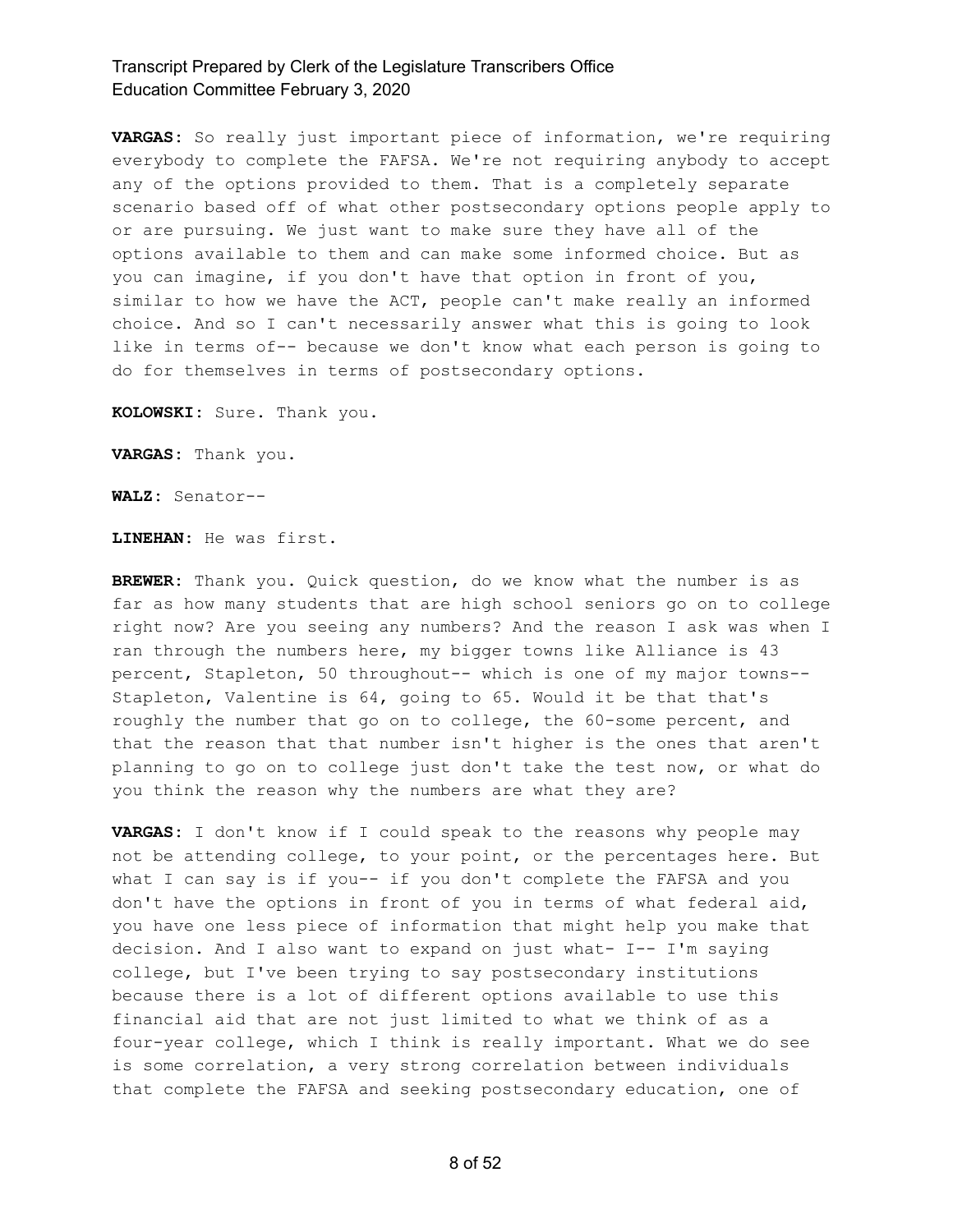**VARGAS:** So really just important piece of information, we're requiring everybody to complete the FAFSA. We're not requiring anybody to accept any of the options provided to them. That is a completely separate scenario based off of what other postsecondary options people apply to or are pursuing. We just want to make sure they have all of the options available to them and can make some informed choice. But as you can imagine, if you don't have that option in front of you, similar to how we have the ACT, people can't make really an informed choice. And so I can't necessarily answer what this is going to look like in terms of-- because we don't know what each person is going to do for themselves in terms of postsecondary options.

**KOLOWSKI:** Sure. Thank you.

**VARGAS:** Thank you.

**WALZ:** Senator--

**LINEHAN:** He was first.

**BREWER:** Thank you. Quick question, do we know what the number is as far as how many students that are high school seniors go on to college right now? Are you seeing any numbers? And the reason I ask was when I ran through the numbers here, my bigger towns like Alliance is 43 percent, Stapleton, 50 throughout-- which is one of my major towns-- Stapleton, Valentine is 64, going to 65. Would it be that that's roughly the number that go on to college, the 60-some percent, and that the reason that that number isn't higher is the ones that aren't planning to go on to college just don't take the test now, or what do you think the reason why the numbers are what they are?

**VARGAS:** I don't know if I could speak to the reasons why people may not be attending college, to your point, or the percentages here. But what I can say is if you-- if you don't complete the FAFSA and you don't have the options in front of you in terms of what federal aid, you have one less piece of information that might help you make that decision. And I also want to expand on just what- I-- I'm saying college, but I've been trying to say postsecondary institutions because there is a lot of different options available to use this financial aid that are not just limited to what we think of as a four-year college, which I think is really important. What we do see is some correlation, a very strong correlation between individuals that complete the FAFSA and seeking postsecondary education, one of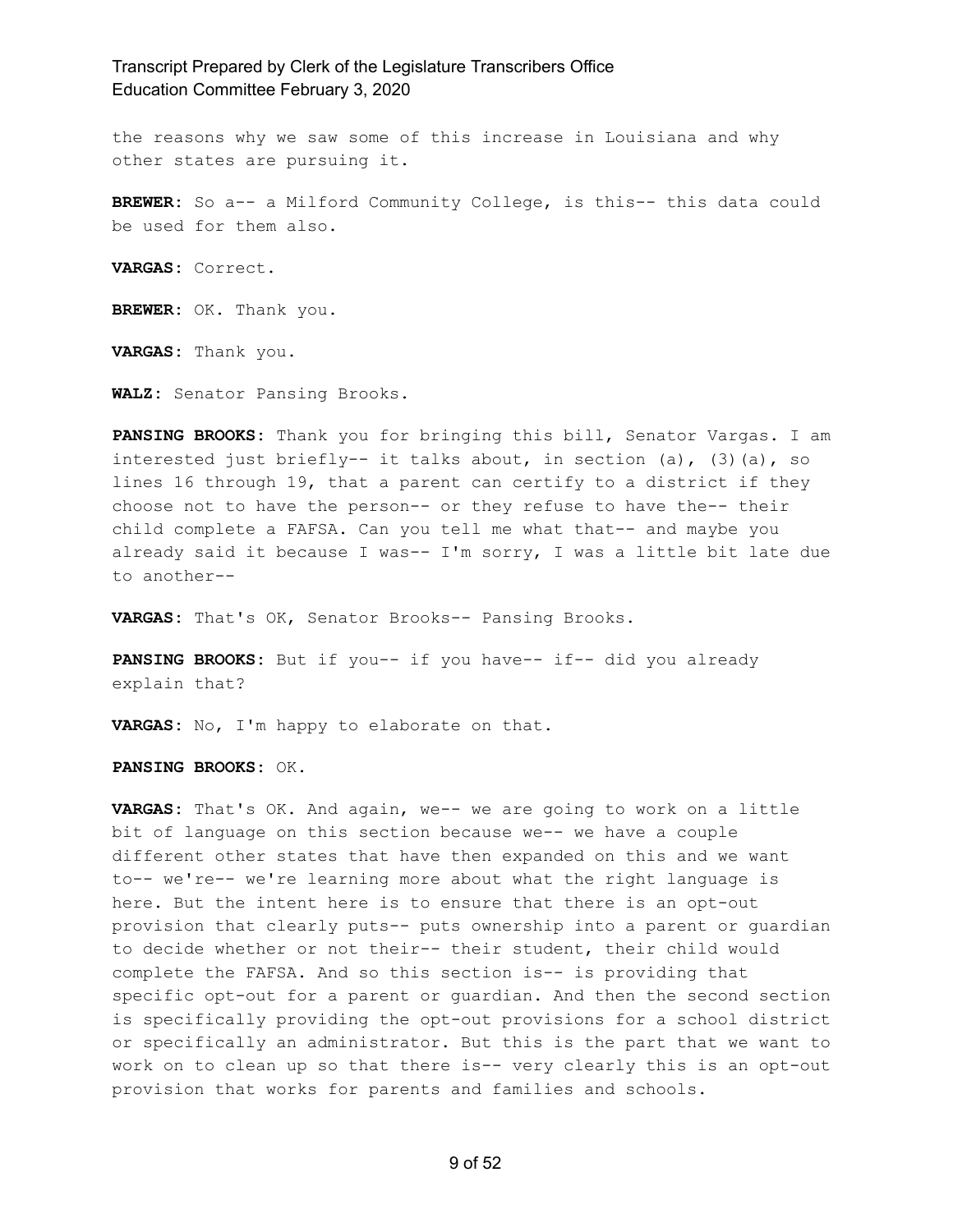the reasons why we saw some of this increase in Louisiana and why other states are pursuing it.

**BREWER:** So a-- a Milford Community College, is this-- this data could be used for them also.

**VARGAS:** Correct.

**BREWER:** OK. Thank you.

**VARGAS:** Thank you.

**WALZ:** Senator Pansing Brooks.

**PANSING BROOKS:** Thank you for bringing this bill, Senator Vargas. I am interested just briefly-- it talks about, in section (a),  $(3)$  (a), so lines 16 through 19, that a parent can certify to a district if they choose not to have the person-- or they refuse to have the-- their child complete a FAFSA. Can you tell me what that-- and maybe you already said it because I was-- I'm sorry, I was a little bit late due to another--

**VARGAS:** That's OK, Senator Brooks-- Pansing Brooks.

**PANSING BROOKS:** But if you-- if you have-- if-- did you already explain that?

**VARGAS:** No, I'm happy to elaborate on that.

**PANSING BROOKS:** OK.

**VARGAS:** That's OK. And again, we-- we are going to work on a little bit of language on this section because we-- we have a couple different other states that have then expanded on this and we want to-- we're-- we're learning more about what the right language is here. But the intent here is to ensure that there is an opt-out provision that clearly puts-- puts ownership into a parent or guardian to decide whether or not their-- their student, their child would complete the FAFSA. And so this section is-- is providing that specific opt-out for a parent or guardian. And then the second section is specifically providing the opt-out provisions for a school district or specifically an administrator. But this is the part that we want to work on to clean up so that there is-- very clearly this is an opt-out provision that works for parents and families and schools.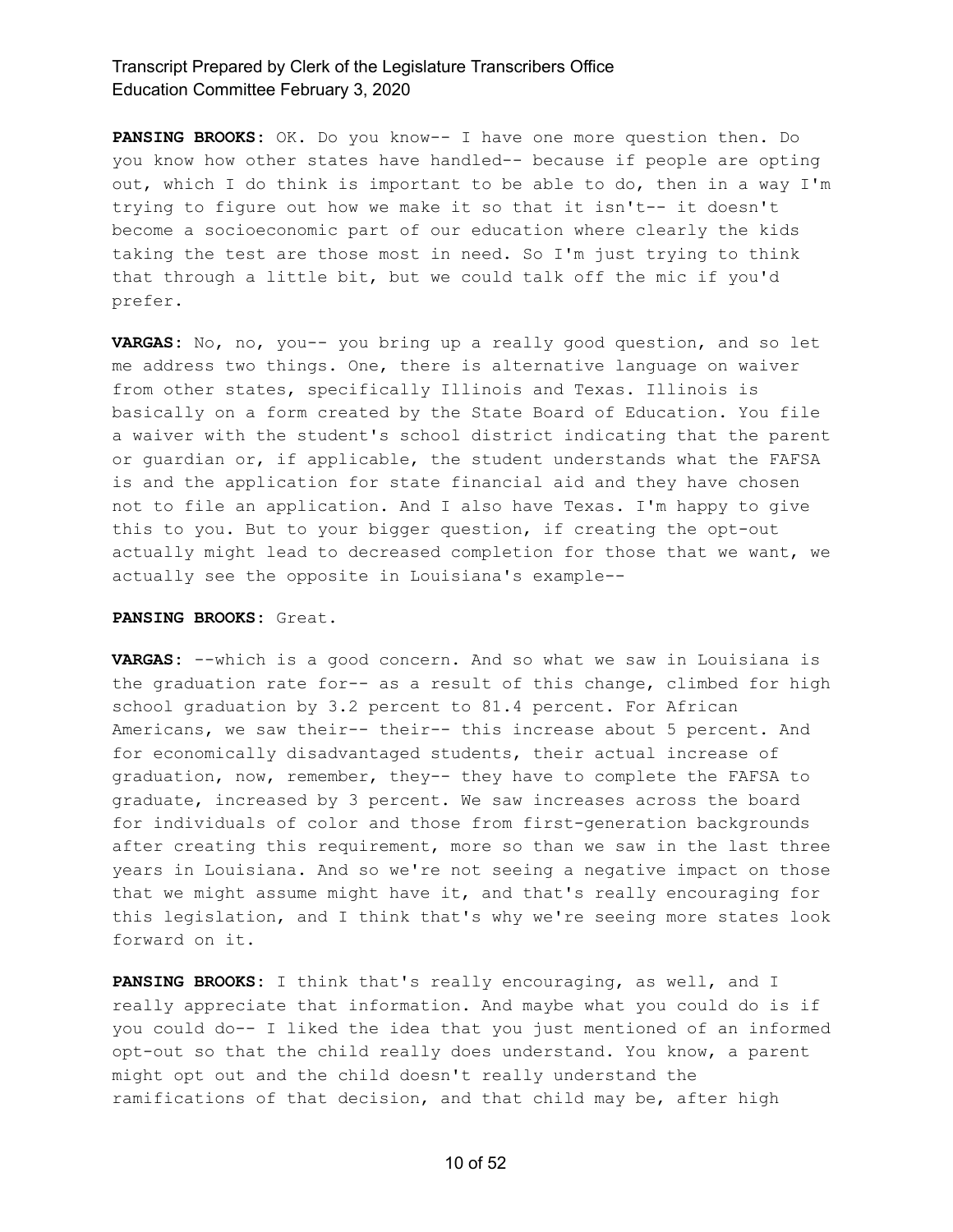**PANSING BROOKS:** OK. Do you know-- I have one more question then. Do you know how other states have handled-- because if people are opting out, which I do think is important to be able to do, then in a way I'm trying to figure out how we make it so that it isn't-- it doesn't become a socioeconomic part of our education where clearly the kids taking the test are those most in need. So I'm just trying to think that through a little bit, but we could talk off the mic if you'd prefer.

**VARGAS:** No, no, you-- you bring up a really good question, and so let me address two things. One, there is alternative language on waiver from other states, specifically Illinois and Texas. Illinois is basically on a form created by the State Board of Education. You file a waiver with the student's school district indicating that the parent or guardian or, if applicable, the student understands what the FAFSA is and the application for state financial aid and they have chosen not to file an application. And I also have Texas. I'm happy to give this to you. But to your bigger question, if creating the opt-out actually might lead to decreased completion for those that we want, we actually see the opposite in Louisiana's example--

#### **PANSING BROOKS:** Great.

**VARGAS:** --which is a good concern. And so what we saw in Louisiana is the graduation rate for-- as a result of this change, climbed for high school graduation by 3.2 percent to 81.4 percent. For African Americans, we saw their-- their-- this increase about 5 percent. And for economically disadvantaged students, their actual increase of graduation, now, remember, they-- they have to complete the FAFSA to graduate, increased by 3 percent. We saw increases across the board for individuals of color and those from first-generation backgrounds after creating this requirement, more so than we saw in the last three years in Louisiana. And so we're not seeing a negative impact on those that we might assume might have it, and that's really encouraging for this legislation, and I think that's why we're seeing more states look forward on it.

**PANSING BROOKS:** I think that's really encouraging, as well, and I really appreciate that information. And maybe what you could do is if you could do-- I liked the idea that you just mentioned of an informed opt-out so that the child really does understand. You know, a parent might opt out and the child doesn't really understand the ramifications of that decision, and that child may be, after high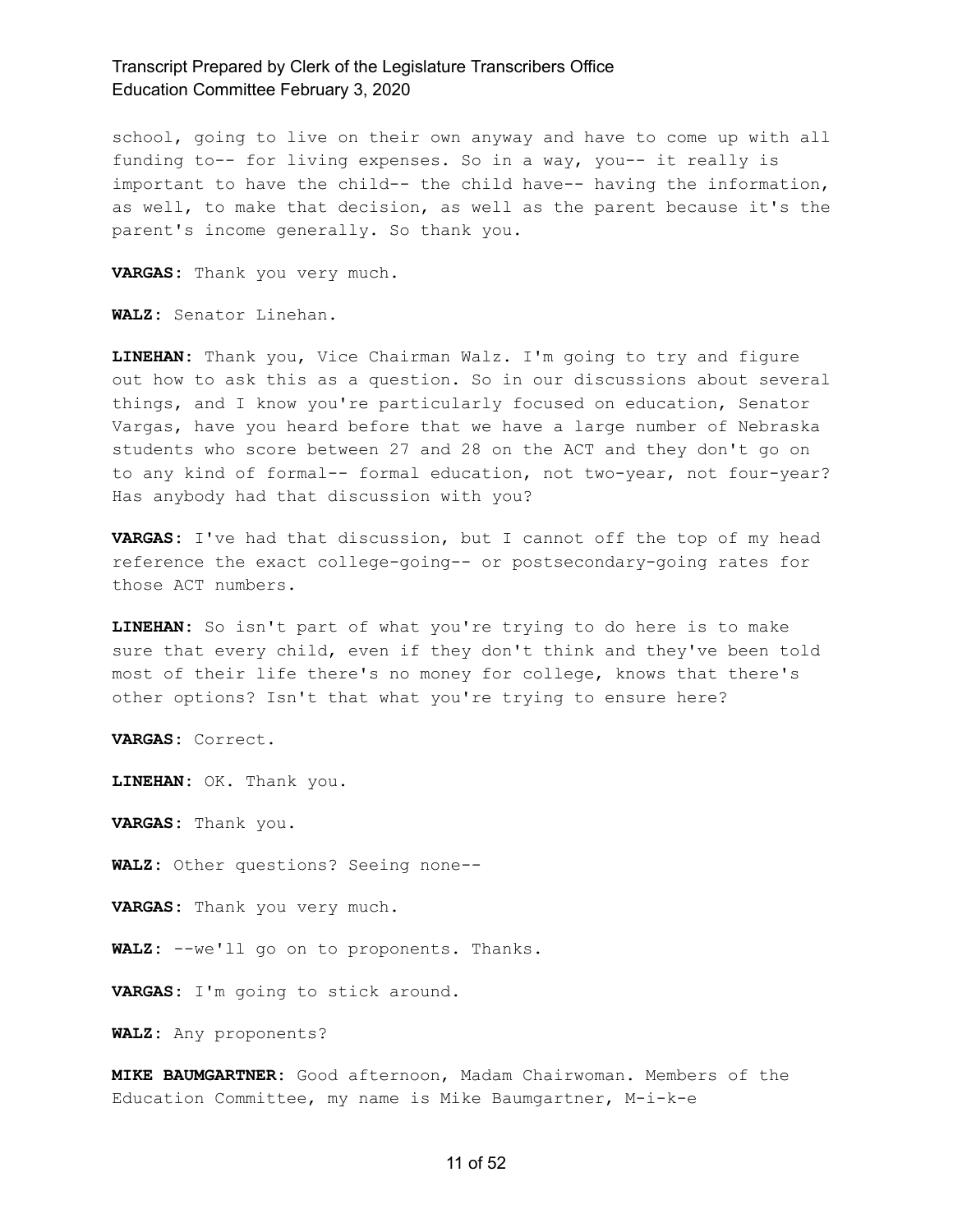school, going to live on their own anyway and have to come up with all funding to-- for living expenses. So in a way, you-- it really is important to have the child-- the child have-- having the information, as well, to make that decision, as well as the parent because it's the parent's income generally. So thank you.

**VARGAS:** Thank you very much.

**WALZ:** Senator Linehan.

**LINEHAN:** Thank you, Vice Chairman Walz. I'm going to try and figure out how to ask this as a question. So in our discussions about several things, and I know you're particularly focused on education, Senator Vargas, have you heard before that we have a large number of Nebraska students who score between 27 and 28 on the ACT and they don't go on to any kind of formal-- formal education, not two-year, not four-year? Has anybody had that discussion with you?

**VARGAS:** I've had that discussion, but I cannot off the top of my head reference the exact college-going-- or postsecondary-going rates for those ACT numbers.

**LINEHAN:** So isn't part of what you're trying to do here is to make sure that every child, even if they don't think and they've been told most of their life there's no money for college, knows that there's other options? Isn't that what you're trying to ensure here?

**VARGAS:** Correct.

**LINEHAN:** OK. Thank you.

**VARGAS:** Thank you.

**WALZ:** Other questions? Seeing none--

**VARGAS:** Thank you very much.

**WALZ:** --we'll go on to proponents. Thanks.

**VARGAS:** I'm going to stick around.

**WALZ:** Any proponents?

**MIKE BAUMGARTNER:** Good afternoon, Madam Chairwoman. Members of the Education Committee, my name is Mike Baumgartner, M-i-k-e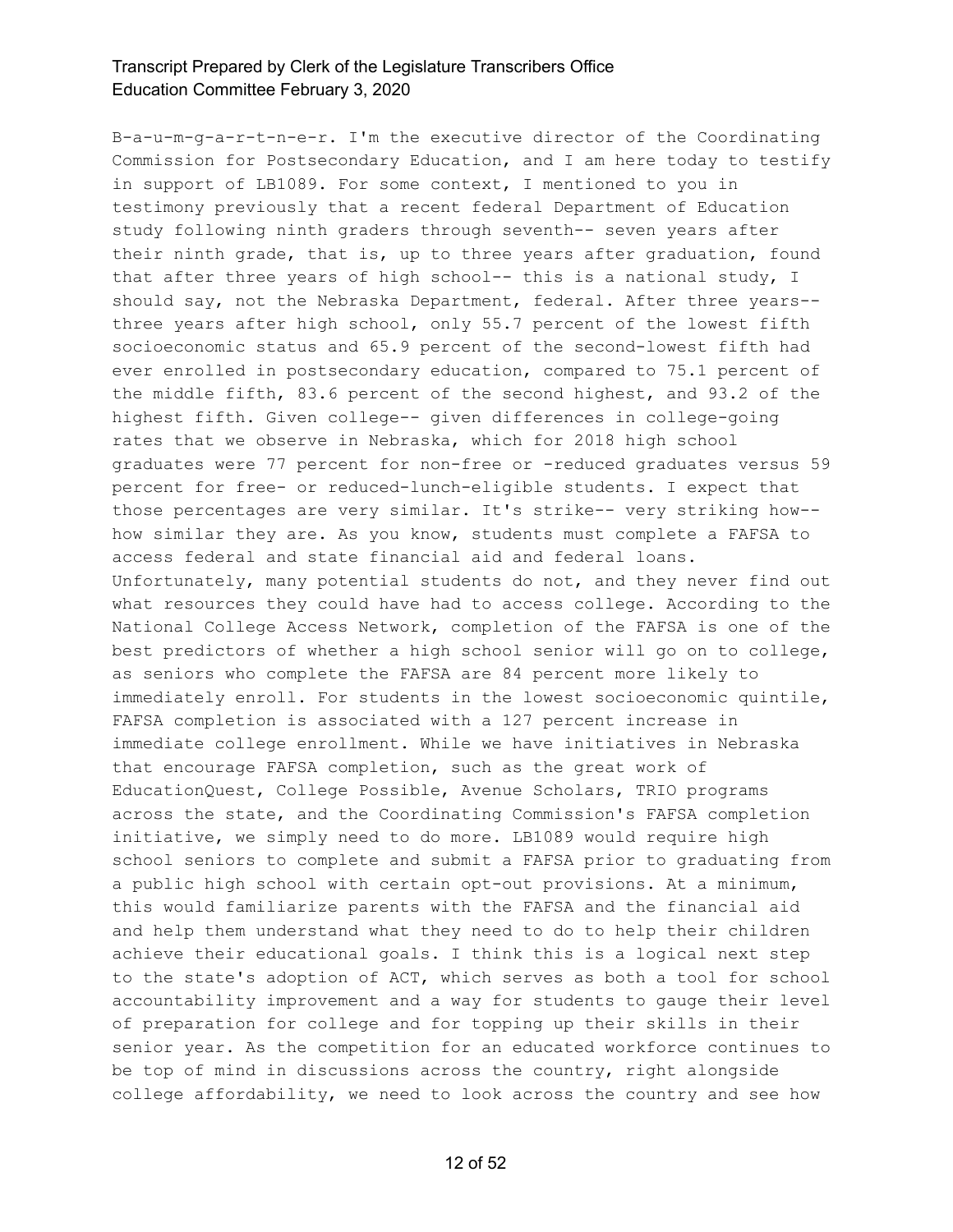B-a-u-m-g-a-r-t-n-e-r. I'm the executive director of the Coordinating Commission for Postsecondary Education, and I am here today to testify in support of LB1089. For some context, I mentioned to you in testimony previously that a recent federal Department of Education study following ninth graders through seventh-- seven years after their ninth grade, that is, up to three years after graduation, found that after three years of high school-- this is a national study, I should say, not the Nebraska Department, federal. After three years- three years after high school, only 55.7 percent of the lowest fifth socioeconomic status and 65.9 percent of the second-lowest fifth had ever enrolled in postsecondary education, compared to 75.1 percent of the middle fifth, 83.6 percent of the second highest, and 93.2 of the highest fifth. Given college-- given differences in college-going rates that we observe in Nebraska, which for 2018 high school graduates were 77 percent for non-free or -reduced graduates versus 59 percent for free- or reduced-lunch-eligible students. I expect that those percentages are very similar. It's strike-- very striking how- how similar they are. As you know, students must complete a FAFSA to access federal and state financial aid and federal loans. Unfortunately, many potential students do not, and they never find out what resources they could have had to access college. According to the National College Access Network, completion of the FAFSA is one of the best predictors of whether a high school senior will go on to college, as seniors who complete the FAFSA are 84 percent more likely to immediately enroll. For students in the lowest socioeconomic quintile, FAFSA completion is associated with a 127 percent increase in immediate college enrollment. While we have initiatives in Nebraska that encourage FAFSA completion, such as the great work of EducationQuest, College Possible, Avenue Scholars, TRIO programs across the state, and the Coordinating Commission's FAFSA completion initiative, we simply need to do more. LB1089 would require high school seniors to complete and submit a FAFSA prior to graduating from a public high school with certain opt-out provisions. At a minimum, this would familiarize parents with the FAFSA and the financial aid and help them understand what they need to do to help their children achieve their educational goals. I think this is a logical next step to the state's adoption of ACT, which serves as both a tool for school accountability improvement and a way for students to gauge their level of preparation for college and for topping up their skills in their senior year. As the competition for an educated workforce continues to be top of mind in discussions across the country, right alongside college affordability, we need to look across the country and see how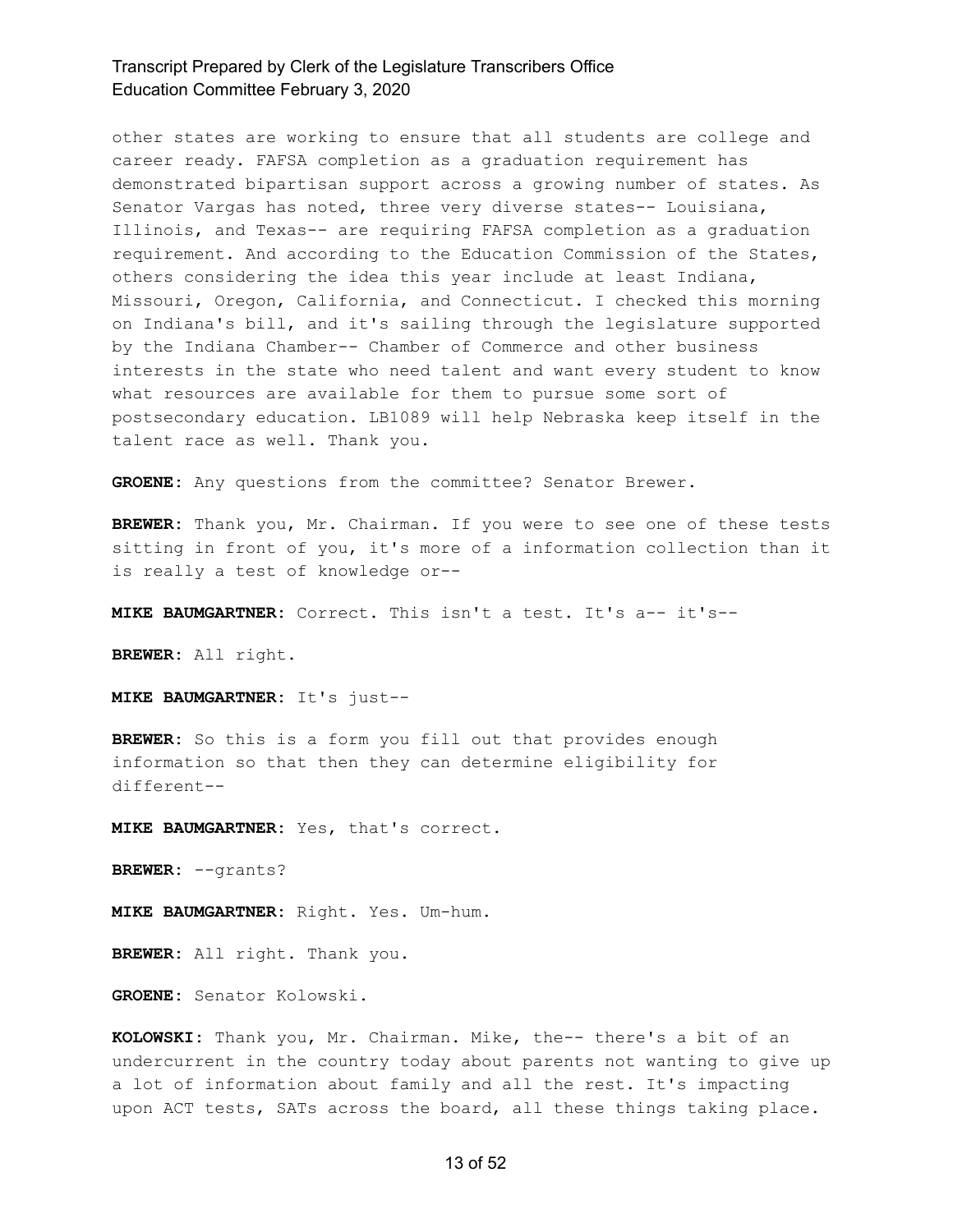other states are working to ensure that all students are college and career ready. FAFSA completion as a graduation requirement has demonstrated bipartisan support across a growing number of states. As Senator Vargas has noted, three very diverse states-- Louisiana, Illinois, and Texas-- are requiring FAFSA completion as a graduation requirement. And according to the Education Commission of the States, others considering the idea this year include at least Indiana, Missouri, Oregon, California, and Connecticut. I checked this morning on Indiana's bill, and it's sailing through the legislature supported by the Indiana Chamber-- Chamber of Commerce and other business interests in the state who need talent and want every student to know what resources are available for them to pursue some sort of postsecondary education. LB1089 will help Nebraska keep itself in the talent race as well. Thank you.

**GROENE:** Any questions from the committee? Senator Brewer.

**BREWER:** Thank you, Mr. Chairman. If you were to see one of these tests sitting in front of you, it's more of a information collection than it is really a test of knowledge or--

**MIKE BAUMGARTNER:** Correct. This isn't a test. It's a-- it's--

**BREWER:** All right.

**MIKE BAUMGARTNER:** It's just--

**BREWER:** So this is a form you fill out that provides enough information so that then they can determine eligibility for different--

**MIKE BAUMGARTNER:** Yes, that's correct.

**BREWER:** --grants?

**MIKE BAUMGARTNER:** Right. Yes. Um-hum.

**BREWER:** All right. Thank you.

**GROENE:** Senator Kolowski.

**KOLOWSKI:** Thank you, Mr. Chairman. Mike, the-- there's a bit of an undercurrent in the country today about parents not wanting to give up a lot of information about family and all the rest. It's impacting upon ACT tests, SATs across the board, all these things taking place.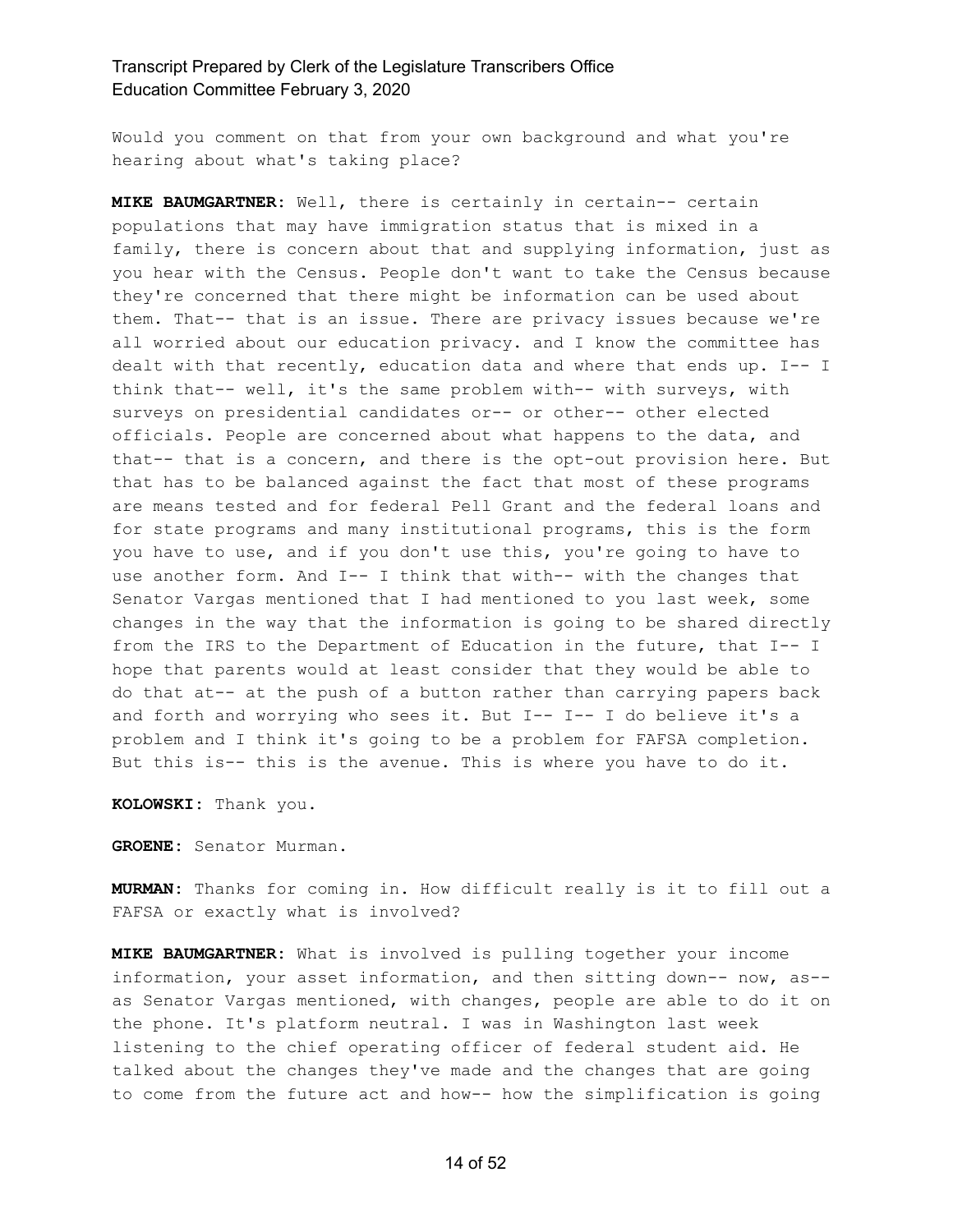Would you comment on that from your own background and what you're hearing about what's taking place?

**MIKE BAUMGARTNER:** Well, there is certainly in certain-- certain populations that may have immigration status that is mixed in a family, there is concern about that and supplying information, just as you hear with the Census. People don't want to take the Census because they're concerned that there might be information can be used about them. That-- that is an issue. There are privacy issues because we're all worried about our education privacy. and I know the committee has dealt with that recently, education data and where that ends up. I-- I think that-- well, it's the same problem with-- with surveys, with surveys on presidential candidates or-- or other-- other elected officials. People are concerned about what happens to the data, and that-- that is a concern, and there is the opt-out provision here. But that has to be balanced against the fact that most of these programs are means tested and for federal Pell Grant and the federal loans and for state programs and many institutional programs, this is the form you have to use, and if you don't use this, you're going to have to use another form. And I-- I think that with-- with the changes that Senator Vargas mentioned that I had mentioned to you last week, some changes in the way that the information is going to be shared directly from the IRS to the Department of Education in the future, that I-- I hope that parents would at least consider that they would be able to do that at-- at the push of a button rather than carrying papers back and forth and worrying who sees it. But I-- I-- I do believe it's a problem and I think it's going to be a problem for FAFSA completion. But this is-- this is the avenue. This is where you have to do it.

**KOLOWSKI:** Thank you.

**GROENE:** Senator Murman.

**MURMAN:** Thanks for coming in. How difficult really is it to fill out a FAFSA or exactly what is involved?

**MIKE BAUMGARTNER:** What is involved is pulling together your income information, your asset information, and then sitting down-- now, as- as Senator Vargas mentioned, with changes, people are able to do it on the phone. It's platform neutral. I was in Washington last week listening to the chief operating officer of federal student aid. He talked about the changes they've made and the changes that are going to come from the future act and how-- how the simplification is going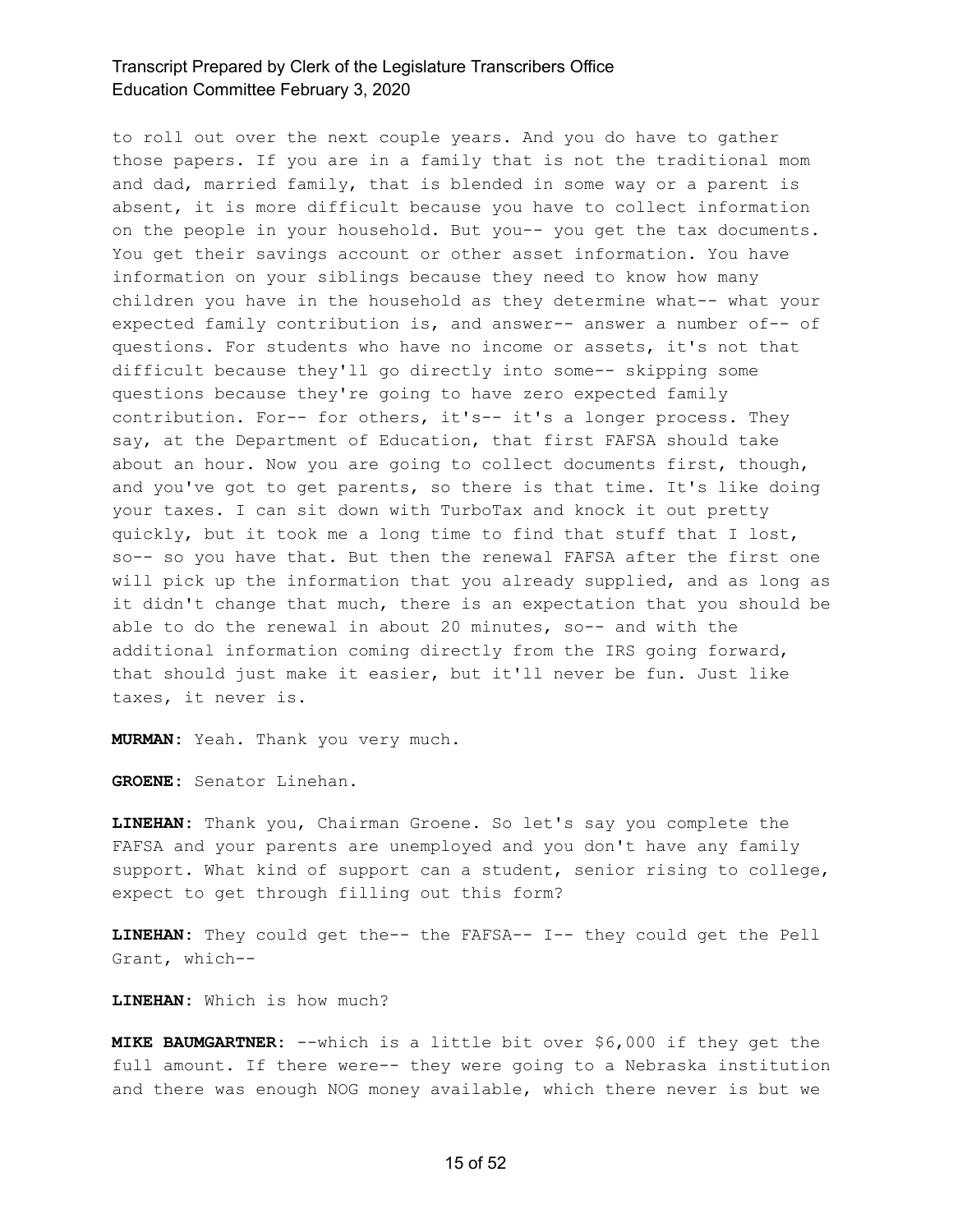to roll out over the next couple years. And you do have to gather those papers. If you are in a family that is not the traditional mom and dad, married family, that is blended in some way or a parent is absent, it is more difficult because you have to collect information on the people in your household. But you-- you get the tax documents. You get their savings account or other asset information. You have information on your siblings because they need to know how many children you have in the household as they determine what-- what your expected family contribution is, and answer-- answer a number of-- of questions. For students who have no income or assets, it's not that difficult because they'll go directly into some-- skipping some questions because they're going to have zero expected family contribution. For-- for others, it's-- it's a longer process. They say, at the Department of Education, that first FAFSA should take about an hour. Now you are going to collect documents first, though, and you've got to get parents, so there is that time. It's like doing your taxes. I can sit down with TurboTax and knock it out pretty quickly, but it took me a long time to find that stuff that I lost, so-- so you have that. But then the renewal FAFSA after the first one will pick up the information that you already supplied, and as long as it didn't change that much, there is an expectation that you should be able to do the renewal in about 20 minutes, so-- and with the additional information coming directly from the IRS going forward, that should just make it easier, but it'll never be fun. Just like taxes, it never is.

**MURMAN:** Yeah. Thank you very much.

**GROENE:** Senator Linehan.

**LINEHAN:** Thank you, Chairman Groene. So let's say you complete the FAFSA and your parents are unemployed and you don't have any family support. What kind of support can a student, senior rising to college, expect to get through filling out this form?

**LINEHAN:** They could get the-- the FAFSA-- I-- they could get the Pell Grant, which--

**LINEHAN:** Which is how much?

**MIKE BAUMGARTNER:** --which is a little bit over \$6,000 if they get the full amount. If there were-- they were going to a Nebraska institution and there was enough NOG money available, which there never is but we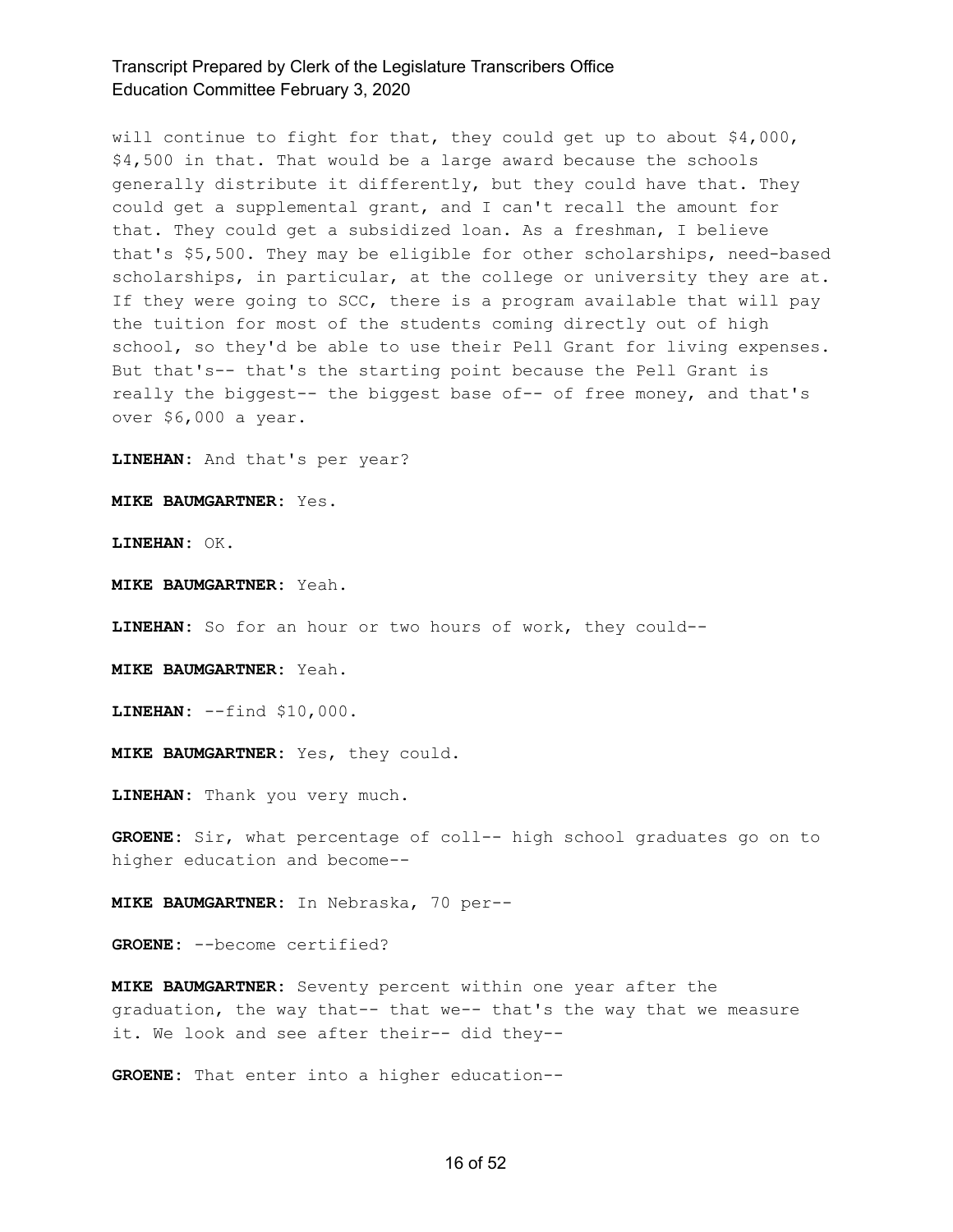will continue to fight for that, they could get up to about \$4,000, \$4,500 in that. That would be a large award because the schools generally distribute it differently, but they could have that. They could get a supplemental grant, and I can't recall the amount for that. They could get a subsidized loan. As a freshman, I believe that's \$5,500. They may be eligible for other scholarships, need-based scholarships, in particular, at the college or university they are at. If they were going to SCC, there is a program available that will pay the tuition for most of the students coming directly out of high school, so they'd be able to use their Pell Grant for living expenses. But that's-- that's the starting point because the Pell Grant is really the biggest-- the biggest base of-- of free money, and that's over \$6,000 a year.

**LINEHAN:** And that's per year?

**MIKE BAUMGARTNER:** Yes.

**LINEHAN:** OK.

**MIKE BAUMGARTNER:** Yeah.

**LINEHAN:** So for an hour or two hours of work, they could--

**MIKE BAUMGARTNER:** Yeah.

**LINEHAN:** --find \$10,000.

**MIKE BAUMGARTNER:** Yes, they could.

**LINEHAN:** Thank you very much.

**GROENE:** Sir, what percentage of coll-- high school graduates go on to higher education and become--

**MIKE BAUMGARTNER:** In Nebraska, 70 per--

**GROENE:** --become certified?

**MIKE BAUMGARTNER:** Seventy percent within one year after the graduation, the way that-- that we-- that's the way that we measure it. We look and see after their-- did they--

**GROENE:** That enter into a higher education--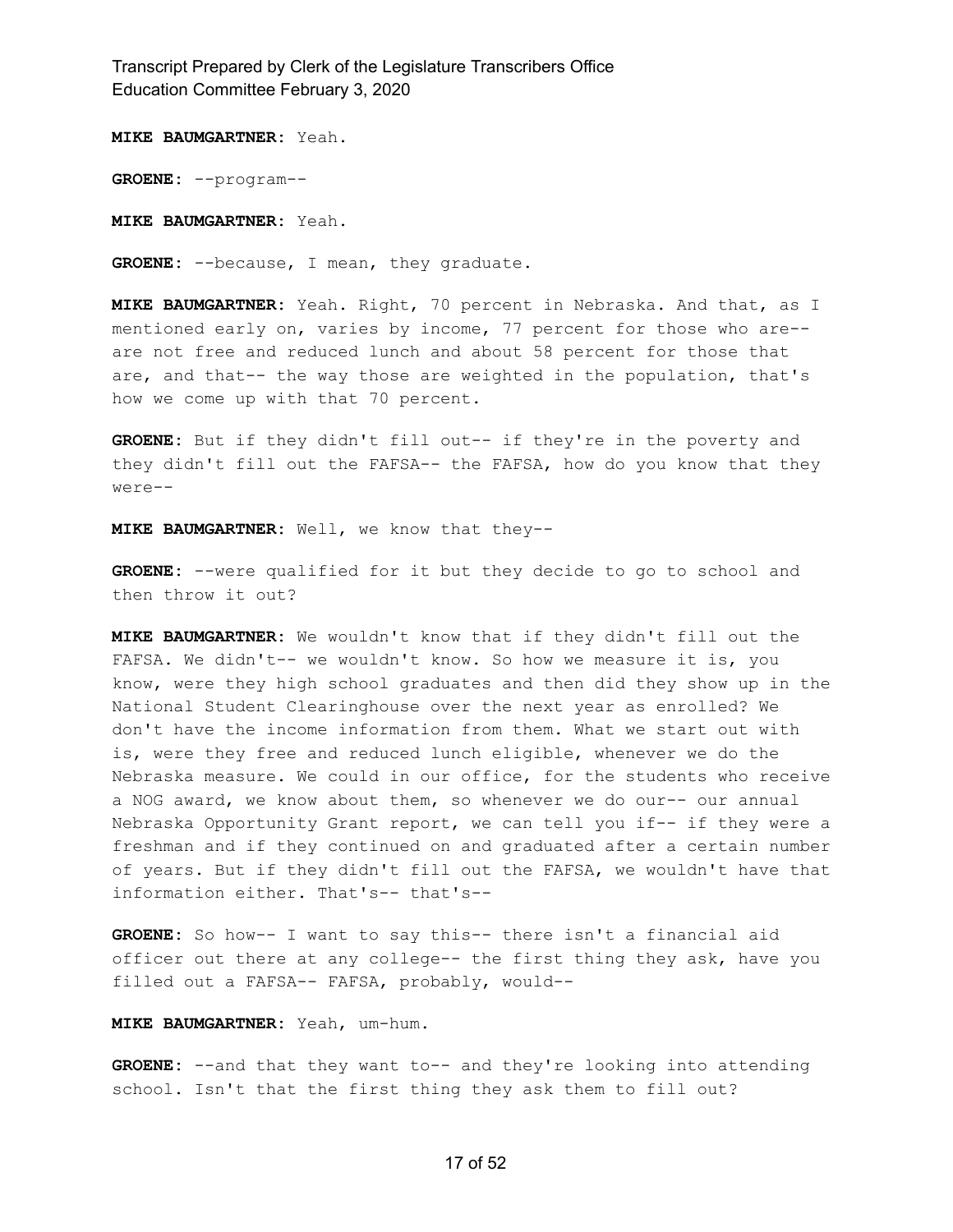**MIKE BAUMGARTNER:** Yeah.

**GROENE:** --program--

**MIKE BAUMGARTNER:** Yeah.

**GROENE:** --because, I mean, they graduate.

**MIKE BAUMGARTNER:** Yeah. Right, 70 percent in Nebraska. And that, as I mentioned early on, varies by income, 77 percent for those who are- are not free and reduced lunch and about 58 percent for those that are, and that-- the way those are weighted in the population, that's how we come up with that 70 percent.

**GROENE:** But if they didn't fill out-- if they're in the poverty and they didn't fill out the FAFSA-- the FAFSA, how do you know that they were--

**MIKE BAUMGARTNER:** Well, we know that they--

**GROENE:** --were qualified for it but they decide to go to school and then throw it out?

**MIKE BAUMGARTNER:** We wouldn't know that if they didn't fill out the FAFSA. We didn't-- we wouldn't know. So how we measure it is, you know, were they high school graduates and then did they show up in the National Student Clearinghouse over the next year as enrolled? We don't have the income information from them. What we start out with is, were they free and reduced lunch eligible, whenever we do the Nebraska measure. We could in our office, for the students who receive a NOG award, we know about them, so whenever we do our-- our annual Nebraska Opportunity Grant report, we can tell you if-- if they were a freshman and if they continued on and graduated after a certain number of years. But if they didn't fill out the FAFSA, we wouldn't have that information either. That's-- that's--

**GROENE:** So how-- I want to say this-- there isn't a financial aid officer out there at any college-- the first thing they ask, have you filled out a FAFSA-- FAFSA, probably, would--

#### **MIKE BAUMGARTNER:** Yeah, um-hum.

**GROENE:** --and that they want to-- and they're looking into attending school. Isn't that the first thing they ask them to fill out?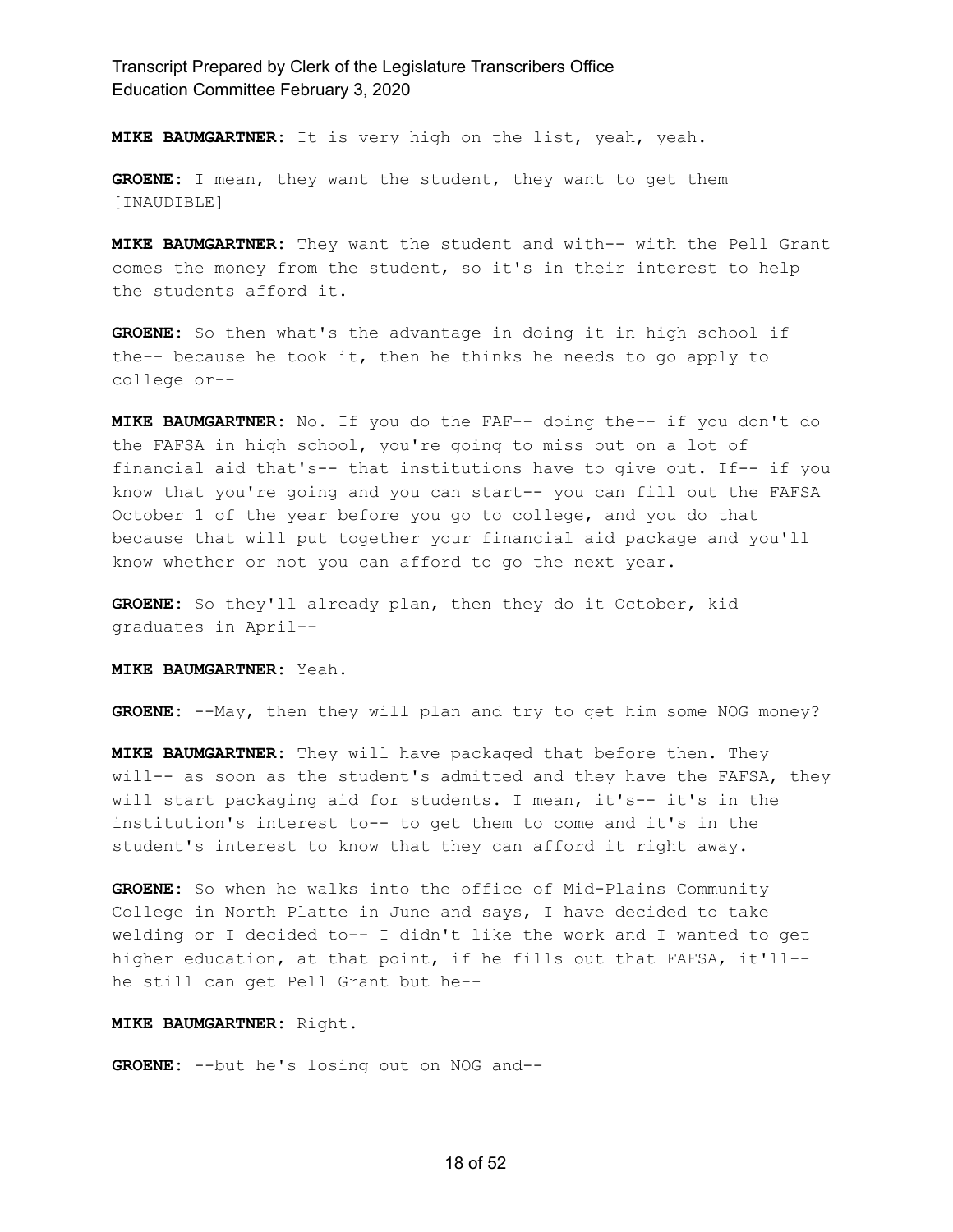**MIKE BAUMGARTNER:** It is very high on the list, yeah, yeah.

**GROENE:** I mean, they want the student, they want to get them [INAUDIBLE]

**MIKE BAUMGARTNER:** They want the student and with-- with the Pell Grant comes the money from the student, so it's in their interest to help the students afford it.

**GROENE:** So then what's the advantage in doing it in high school if the-- because he took it, then he thinks he needs to go apply to college or--

**MIKE BAUMGARTNER:** No. If you do the FAF-- doing the-- if you don't do the FAFSA in high school, you're going to miss out on a lot of financial aid that's-- that institutions have to give out. If-- if you know that you're going and you can start-- you can fill out the FAFSA October 1 of the year before you go to college, and you do that because that will put together your financial aid package and you'll know whether or not you can afford to go the next year.

**GROENE:** So they'll already plan, then they do it October, kid graduates in April--

**MIKE BAUMGARTNER:** Yeah.

GROENE: --May, then they will plan and try to get him some NOG money?

**MIKE BAUMGARTNER:** They will have packaged that before then. They will-- as soon as the student's admitted and they have the FAFSA, they will start packaging aid for students. I mean, it's-- it's in the institution's interest to-- to get them to come and it's in the student's interest to know that they can afford it right away.

**GROENE:** So when he walks into the office of Mid-Plains Community College in North Platte in June and says, I have decided to take welding or I decided to-- I didn't like the work and I wanted to get higher education, at that point, if he fills out that FAFSA, it'll- he still can get Pell Grant but he--

#### **MIKE BAUMGARTNER:** Right.

**GROENE:** --but he's losing out on NOG and--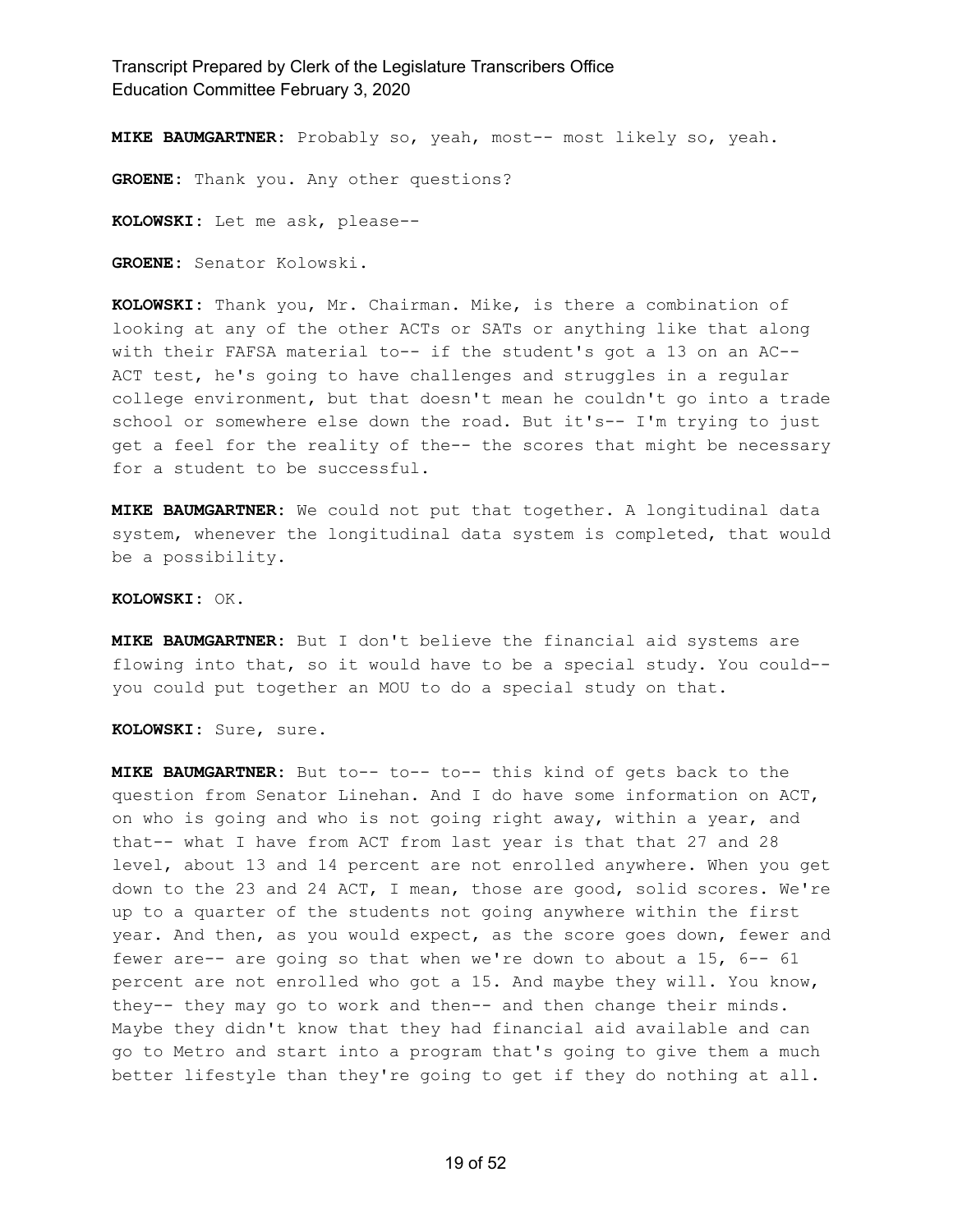**MIKE BAUMGARTNER:** Probably so, yeah, most-- most likely so, yeah.

**GROENE:** Thank you. Any other questions?

**KOLOWSKI:** Let me ask, please--

**GROENE:** Senator Kolowski.

**KOLOWSKI:** Thank you, Mr. Chairman. Mike, is there a combination of looking at any of the other ACTs or SATs or anything like that along with their FAFSA material to-- if the student's got a 13 on an AC-- ACT test, he's going to have challenges and struggles in a regular college environment, but that doesn't mean he couldn't go into a trade school or somewhere else down the road. But it's-- I'm trying to just get a feel for the reality of the-- the scores that might be necessary for a student to be successful.

**MIKE BAUMGARTNER:** We could not put that together. A longitudinal data system, whenever the longitudinal data system is completed, that would be a possibility.

#### **KOLOWSKI:** OK.

**MIKE BAUMGARTNER:** But I don't believe the financial aid systems are flowing into that, so it would have to be a special study. You could- you could put together an MOU to do a special study on that.

**KOLOWSKI:** Sure, sure.

**MIKE BAUMGARTNER:** But to-- to-- to-- this kind of gets back to the question from Senator Linehan. And I do have some information on ACT, on who is going and who is not going right away, within a year, and that-- what I have from ACT from last year is that that 27 and 28 level, about 13 and 14 percent are not enrolled anywhere. When you get down to the 23 and 24 ACT, I mean, those are good, solid scores. We're up to a quarter of the students not going anywhere within the first year. And then, as you would expect, as the score goes down, fewer and fewer are-- are going so that when we're down to about a 15, 6-- 61 percent are not enrolled who got a 15. And maybe they will. You know, they-- they may go to work and then-- and then change their minds. Maybe they didn't know that they had financial aid available and can go to Metro and start into a program that's going to give them a much better lifestyle than they're going to get if they do nothing at all.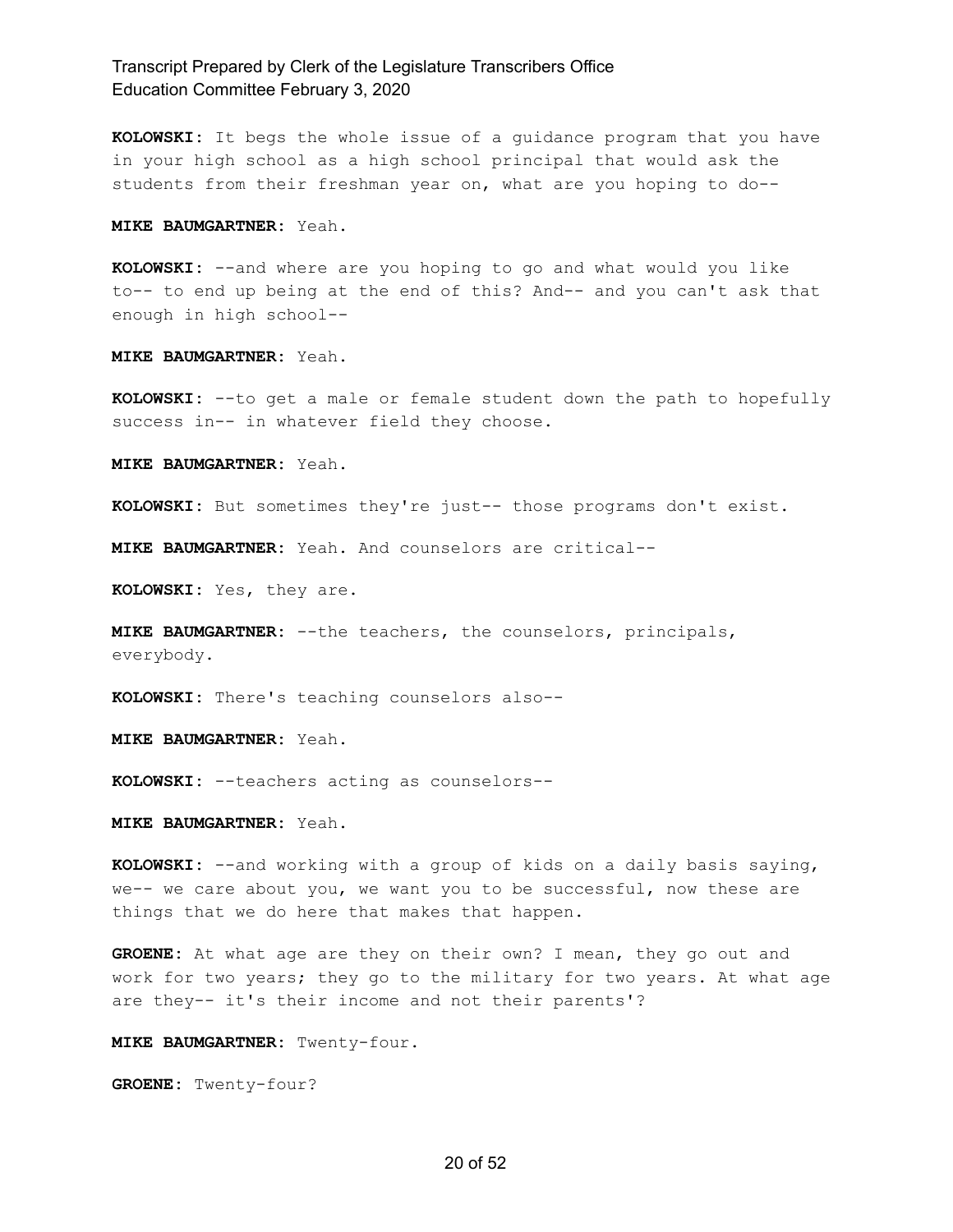**KOLOWSKI:** It begs the whole issue of a guidance program that you have in your high school as a high school principal that would ask the students from their freshman year on, what are you hoping to do--

**MIKE BAUMGARTNER:** Yeah.

**KOLOWSKI:** --and where are you hoping to go and what would you like to-- to end up being at the end of this? And-- and you can't ask that enough in high school--

**MIKE BAUMGARTNER:** Yeah.

**KOLOWSKI:** --to get a male or female student down the path to hopefully success in-- in whatever field they choose.

**MIKE BAUMGARTNER:** Yeah.

**KOLOWSKI:** But sometimes they're just-- those programs don't exist.

**MIKE BAUMGARTNER:** Yeah. And counselors are critical--

**KOLOWSKI:** Yes, they are.

**MIKE BAUMGARTNER:** --the teachers, the counselors, principals, everybody.

**KOLOWSKI:** There's teaching counselors also--

**MIKE BAUMGARTNER:** Yeah.

**KOLOWSKI:** --teachers acting as counselors--

**MIKE BAUMGARTNER:** Yeah.

**KOLOWSKI:** --and working with a group of kids on a daily basis saying, we-- we care about you, we want you to be successful, now these are things that we do here that makes that happen.

**GROENE:** At what age are they on their own? I mean, they go out and work for two years; they go to the military for two years. At what age are they-- it's their income and not their parents'?

**MIKE BAUMGARTNER:** Twenty-four.

**GROENE:** Twenty-four?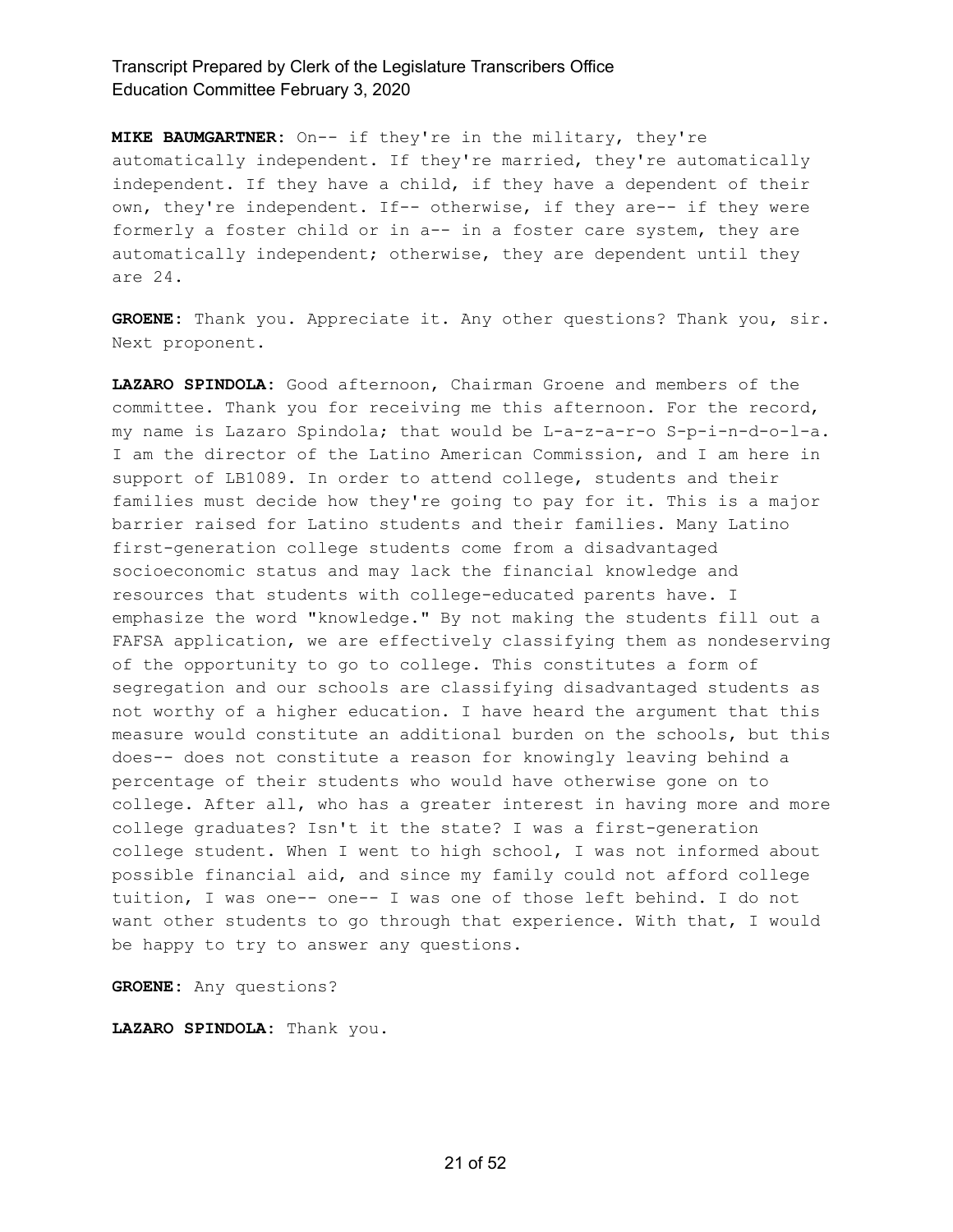**MIKE BAUMGARTNER:** On-- if they're in the military, they're automatically independent. If they're married, they're automatically independent. If they have a child, if they have a dependent of their own, they're independent. If-- otherwise, if they are-- if they were formerly a foster child or in a-- in a foster care system, they are automatically independent; otherwise, they are dependent until they are 24.

**GROENE:** Thank you. Appreciate it. Any other questions? Thank you, sir. Next proponent.

**LAZARO SPINDOLA:** Good afternoon, Chairman Groene and members of the committee. Thank you for receiving me this afternoon. For the record, my name is Lazaro Spindola; that would be L-a-z-a-r-o S-p-i-n-d-o-l-a. I am the director of the Latino American Commission, and I am here in support of LB1089. In order to attend college, students and their families must decide how they're going to pay for it. This is a major barrier raised for Latino students and their families. Many Latino first-generation college students come from a disadvantaged socioeconomic status and may lack the financial knowledge and resources that students with college-educated parents have. I emphasize the word "knowledge." By not making the students fill out a FAFSA application, we are effectively classifying them as nondeserving of the opportunity to go to college. This constitutes a form of segregation and our schools are classifying disadvantaged students as not worthy of a higher education. I have heard the argument that this measure would constitute an additional burden on the schools, but this does-- does not constitute a reason for knowingly leaving behind a percentage of their students who would have otherwise gone on to college. After all, who has a greater interest in having more and more college graduates? Isn't it the state? I was a first-generation college student. When I went to high school, I was not informed about possible financial aid, and since my family could not afford college tuition, I was one-- one-- I was one of those left behind. I do not want other students to go through that experience. With that, I would be happy to try to answer any questions.

**GROENE:** Any questions?

**LAZARO SPINDOLA:** Thank you.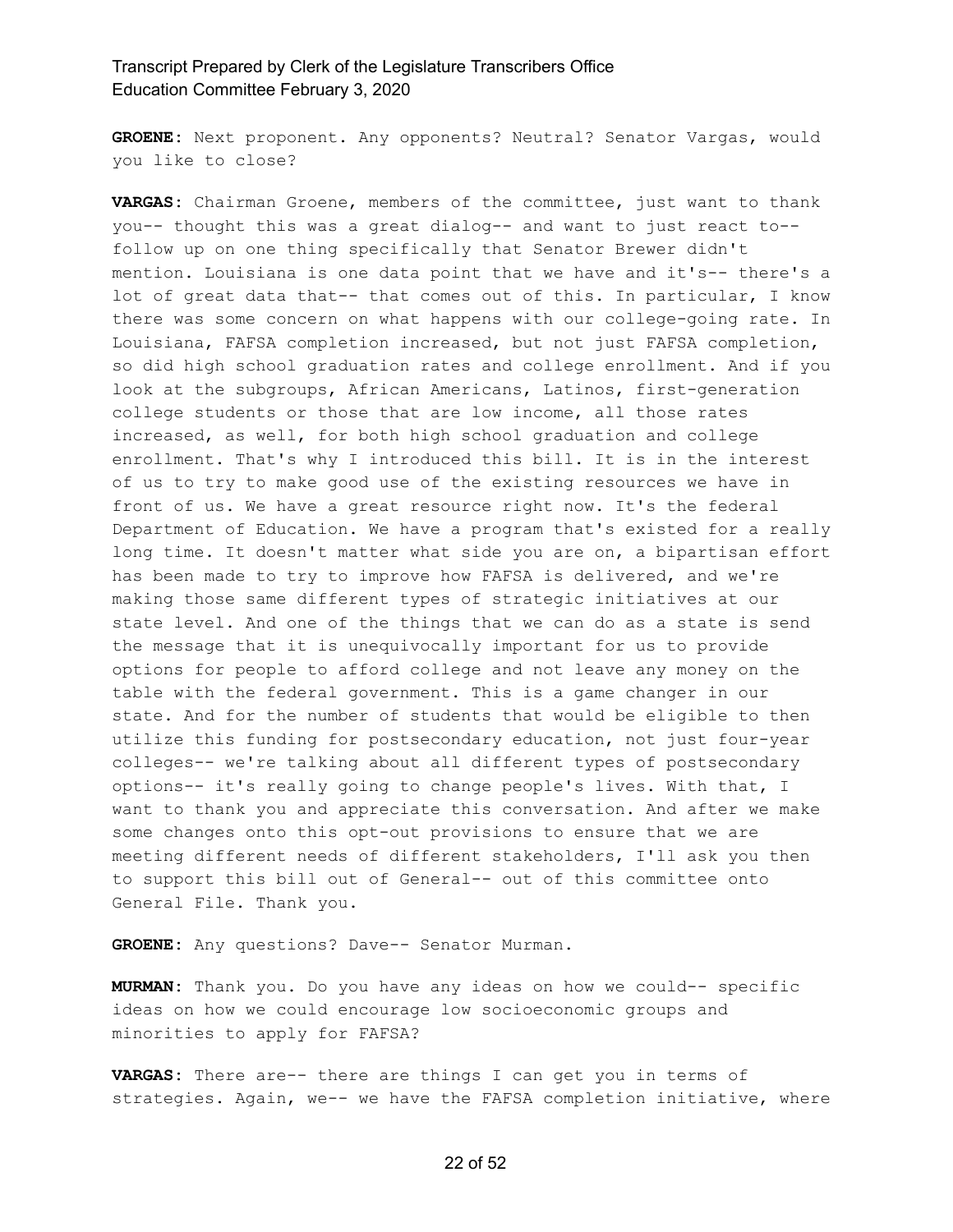**GROENE:** Next proponent. Any opponents? Neutral? Senator Vargas, would you like to close?

**VARGAS:** Chairman Groene, members of the committee, just want to thank you-- thought this was a great dialog-- and want to just react to- follow up on one thing specifically that Senator Brewer didn't mention. Louisiana is one data point that we have and it's-- there's a lot of great data that-- that comes out of this. In particular, I know there was some concern on what happens with our college-going rate. In Louisiana, FAFSA completion increased, but not just FAFSA completion, so did high school graduation rates and college enrollment. And if you look at the subgroups, African Americans, Latinos, first-generation college students or those that are low income, all those rates increased, as well, for both high school graduation and college enrollment. That's why I introduced this bill. It is in the interest of us to try to make good use of the existing resources we have in front of us. We have a great resource right now. It's the federal Department of Education. We have a program that's existed for a really long time. It doesn't matter what side you are on, a bipartisan effort has been made to try to improve how FAFSA is delivered, and we're making those same different types of strategic initiatives at our state level. And one of the things that we can do as a state is send the message that it is unequivocally important for us to provide options for people to afford college and not leave any money on the table with the federal government. This is a game changer in our state. And for the number of students that would be eligible to then utilize this funding for postsecondary education, not just four-year colleges-- we're talking about all different types of postsecondary options-- it's really going to change people's lives. With that, I want to thank you and appreciate this conversation. And after we make some changes onto this opt-out provisions to ensure that we are meeting different needs of different stakeholders, I'll ask you then to support this bill out of General-- out of this committee onto General File. Thank you.

**GROENE:** Any questions? Dave-- Senator Murman.

**MURMAN:** Thank you. Do you have any ideas on how we could-- specific ideas on how we could encourage low socioeconomic groups and minorities to apply for FAFSA?

**VARGAS:** There are-- there are things I can get you in terms of strategies. Again, we-- we have the FAFSA completion initiative, where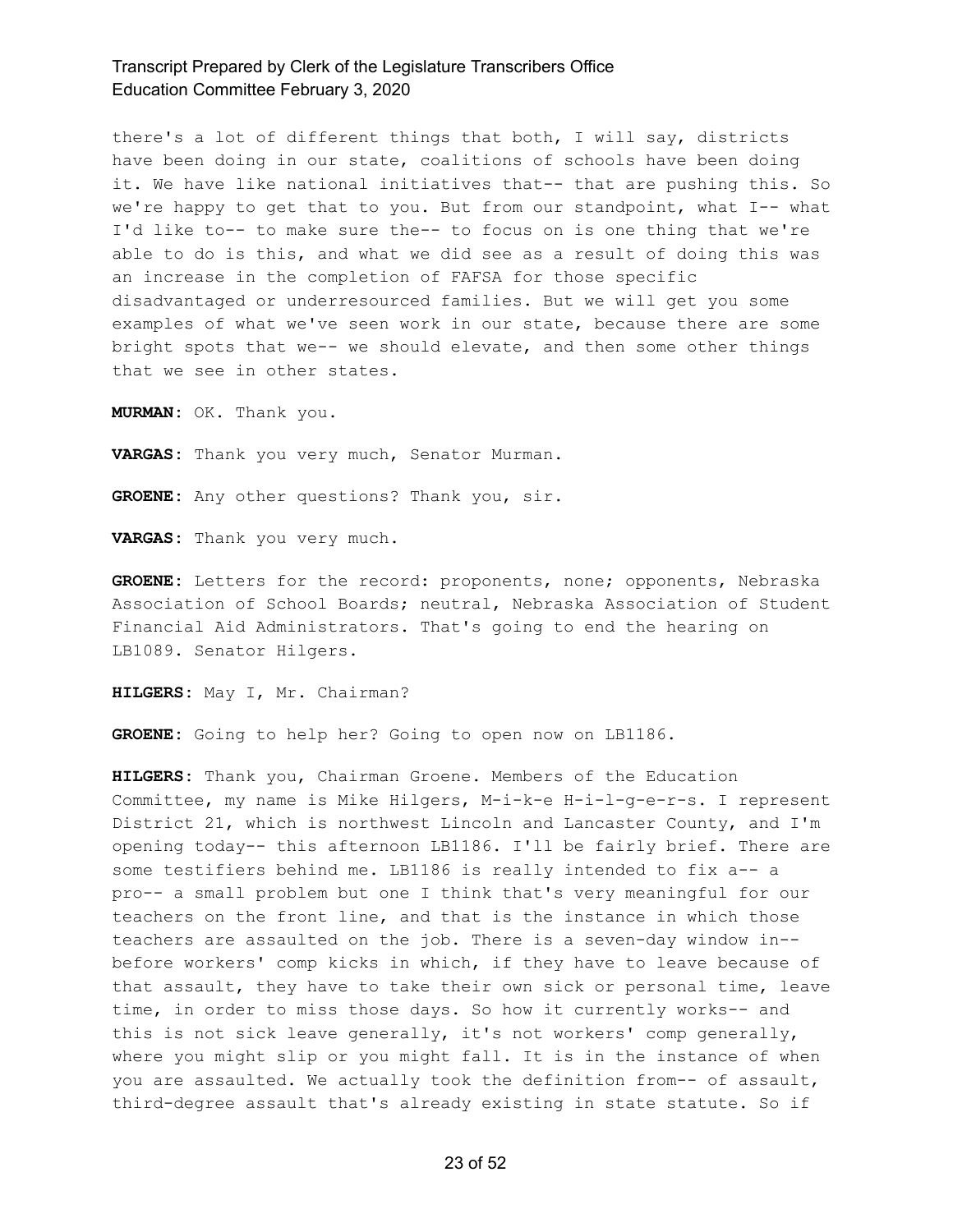there's a lot of different things that both, I will say, districts have been doing in our state, coalitions of schools have been doing it. We have like national initiatives that-- that are pushing this. So we're happy to get that to you. But from our standpoint, what I-- what I'd like to-- to make sure the-- to focus on is one thing that we're able to do is this, and what we did see as a result of doing this was an increase in the completion of FAFSA for those specific disadvantaged or underresourced families. But we will get you some examples of what we've seen work in our state, because there are some bright spots that we-- we should elevate, and then some other things that we see in other states.

**MURMAN:** OK. Thank you.

**VARGAS:** Thank you very much, Senator Murman.

**GROENE:** Any other questions? Thank you, sir.

**VARGAS:** Thank you very much.

**GROENE:** Letters for the record: proponents, none; opponents, Nebraska Association of School Boards; neutral, Nebraska Association of Student Financial Aid Administrators. That's going to end the hearing on LB1089. Senator Hilgers.

**HILGERS:** May I, Mr. Chairman?

**GROENE:** Going to help her? Going to open now on LB1186.

**HILGERS:** Thank you, Chairman Groene. Members of the Education Committee, my name is Mike Hilgers, M-i-k-e H-i-l-g-e-r-s. I represent District 21, which is northwest Lincoln and Lancaster County, and I'm opening today-- this afternoon LB1186. I'll be fairly brief. There are some testifiers behind me. LB1186 is really intended to fix a-- a pro-- a small problem but one I think that's very meaningful for our teachers on the front line, and that is the instance in which those teachers are assaulted on the job. There is a seven-day window in- before workers' comp kicks in which, if they have to leave because of that assault, they have to take their own sick or personal time, leave time, in order to miss those days. So how it currently works-- and this is not sick leave generally, it's not workers' comp generally, where you might slip or you might fall. It is in the instance of when you are assaulted. We actually took the definition from-- of assault, third-degree assault that's already existing in state statute. So if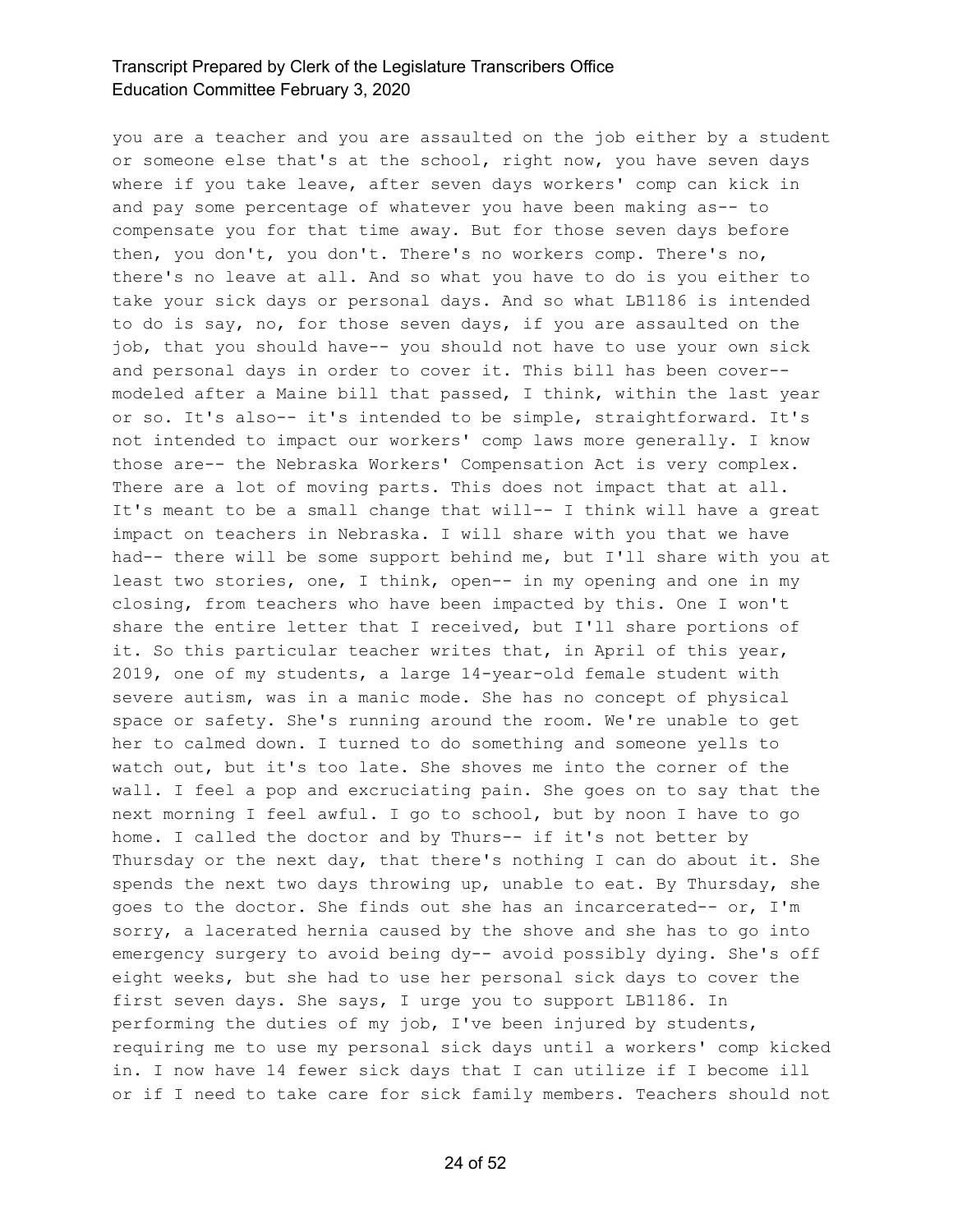you are a teacher and you are assaulted on the job either by a student or someone else that's at the school, right now, you have seven days where if you take leave, after seven days workers' comp can kick in and pay some percentage of whatever you have been making as-- to compensate you for that time away. But for those seven days before then, you don't, you don't. There's no workers comp. There's no, there's no leave at all. And so what you have to do is you either to take your sick days or personal days. And so what LB1186 is intended to do is say, no, for those seven days, if you are assaulted on the job, that you should have-- you should not have to use your own sick and personal days in order to cover it. This bill has been cover- modeled after a Maine bill that passed, I think, within the last year or so. It's also-- it's intended to be simple, straightforward. It's not intended to impact our workers' comp laws more generally. I know those are-- the Nebraska Workers' Compensation Act is very complex. There are a lot of moving parts. This does not impact that at all. It's meant to be a small change that will-- I think will have a great impact on teachers in Nebraska. I will share with you that we have had-- there will be some support behind me, but I'll share with you at least two stories, one, I think, open-- in my opening and one in my closing, from teachers who have been impacted by this. One I won't share the entire letter that I received, but I'll share portions of it. So this particular teacher writes that, in April of this year, 2019, one of my students, a large 14-year-old female student with severe autism, was in a manic mode. She has no concept of physical space or safety. She's running around the room. We're unable to get her to calmed down. I turned to do something and someone yells to watch out, but it's too late. She shoves me into the corner of the wall. I feel a pop and excruciating pain. She goes on to say that the next morning I feel awful. I go to school, but by noon I have to go home. I called the doctor and by Thurs-- if it's not better by Thursday or the next day, that there's nothing I can do about it. She spends the next two days throwing up, unable to eat. By Thursday, she goes to the doctor. She finds out she has an incarcerated-- or, I'm sorry, a lacerated hernia caused by the shove and she has to go into emergency surgery to avoid being dy-- avoid possibly dying. She's off eight weeks, but she had to use her personal sick days to cover the first seven days. She says, I urge you to support LB1186. In performing the duties of my job, I've been injured by students, requiring me to use my personal sick days until a workers' comp kicked in. I now have 14 fewer sick days that I can utilize if I become ill or if I need to take care for sick family members. Teachers should not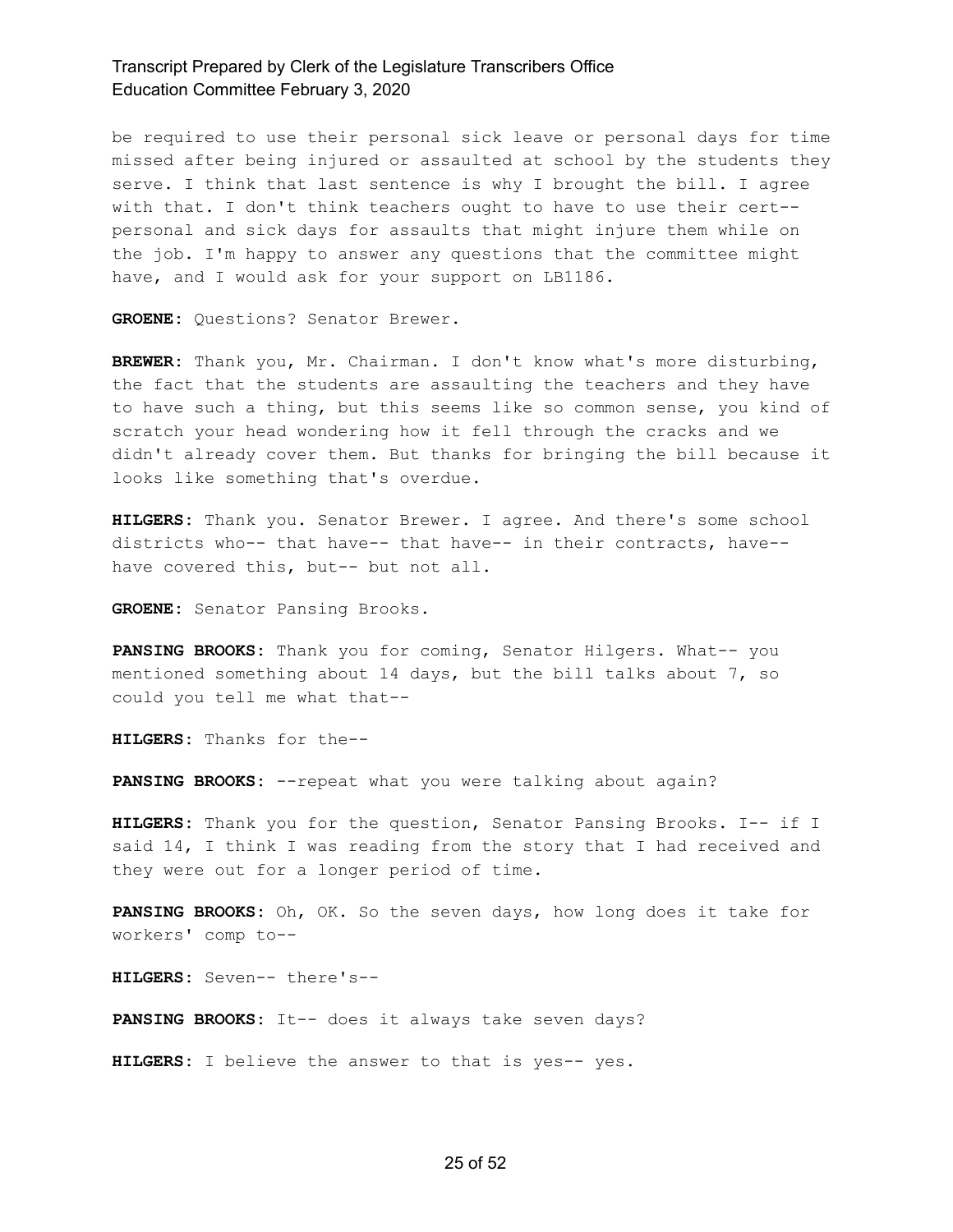be required to use their personal sick leave or personal days for time missed after being injured or assaulted at school by the students they serve. I think that last sentence is why I brought the bill. I agree with that. I don't think teachers ought to have to use their cert- personal and sick days for assaults that might injure them while on the job. I'm happy to answer any questions that the committee might have, and I would ask for your support on LB1186.

**GROENE:** Questions? Senator Brewer.

**BREWER:** Thank you, Mr. Chairman. I don't know what's more disturbing, the fact that the students are assaulting the teachers and they have to have such a thing, but this seems like so common sense, you kind of scratch your head wondering how it fell through the cracks and we didn't already cover them. But thanks for bringing the bill because it looks like something that's overdue.

**HILGERS:** Thank you. Senator Brewer. I agree. And there's some school districts who-- that have-- that have-- in their contracts, have- have covered this, but-- but not all.

**GROENE:** Senator Pansing Brooks.

**PANSING BROOKS:** Thank you for coming, Senator Hilgers. What-- you mentioned something about 14 days, but the bill talks about 7, so could you tell me what that--

**HILGERS:** Thanks for the--

**PANSING BROOKS:** --repeat what you were talking about again?

**HILGERS:** Thank you for the question, Senator Pansing Brooks. I-- if I said 14, I think I was reading from the story that I had received and they were out for a longer period of time.

**PANSING BROOKS:** Oh, OK. So the seven days, how long does it take for workers' comp to--

**HILGERS:** Seven-- there's--

**PANSING BROOKS:** It-- does it always take seven days?

**HILGERS:** I believe the answer to that is yes-- yes.

#### 25 of 52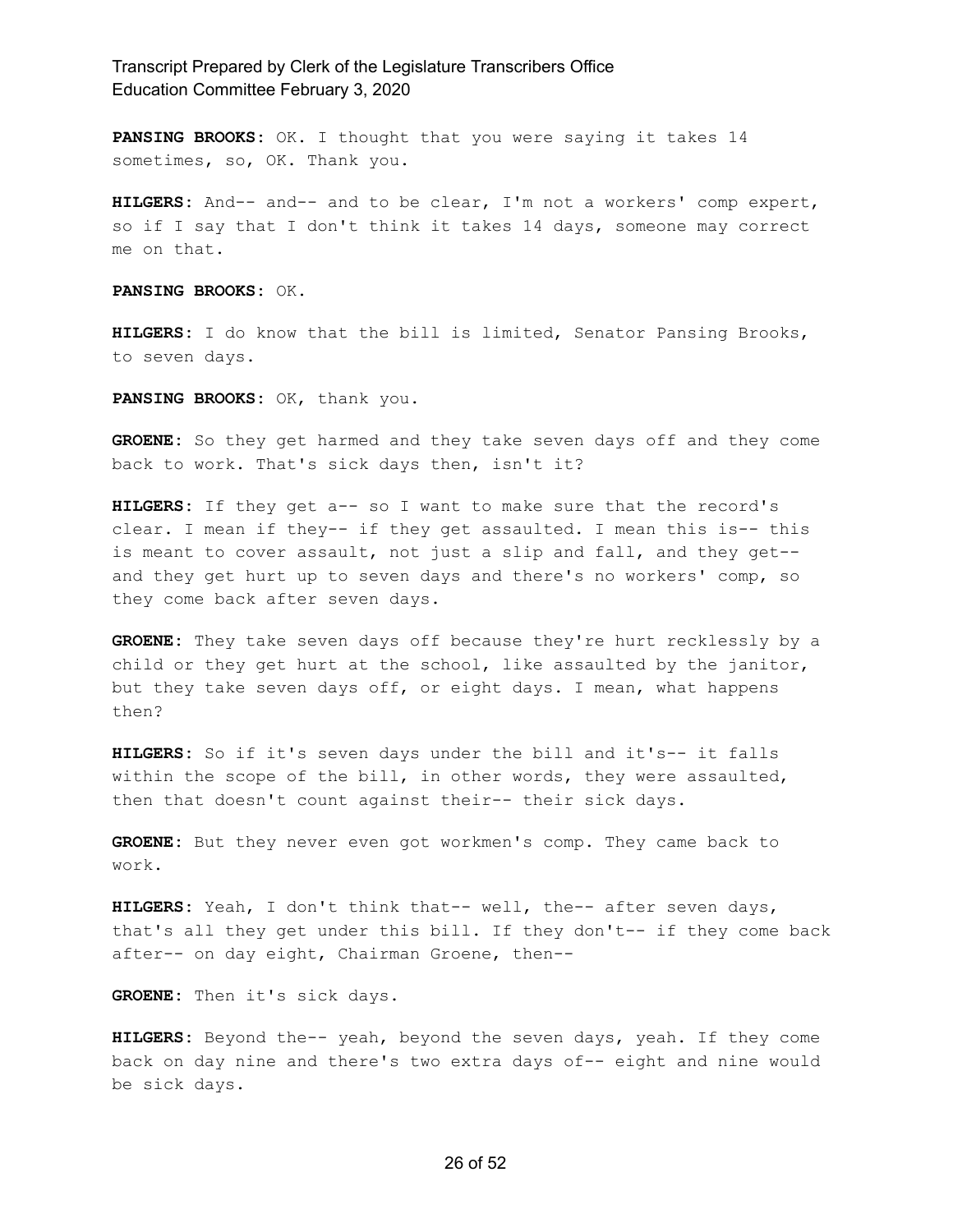**PANSING BROOKS:** OK. I thought that you were saying it takes 14 sometimes, so, OK. Thank you.

**HILGERS:** And-- and-- and to be clear, I'm not a workers' comp expert, so if I say that I don't think it takes 14 days, someone may correct me on that.

**PANSING BROOKS:** OK.

**HILGERS:** I do know that the bill is limited, Senator Pansing Brooks, to seven days.

**PANSING BROOKS:** OK, thank you.

**GROENE:** So they get harmed and they take seven days off and they come back to work. That's sick days then, isn't it?

**HILGERS:** If they get a-- so I want to make sure that the record's clear. I mean if they-- if they get assaulted. I mean this is-- this is meant to cover assault, not just a slip and fall, and they get- and they get hurt up to seven days and there's no workers' comp, so they come back after seven days.

**GROENE:** They take seven days off because they're hurt recklessly by a child or they get hurt at the school, like assaulted by the janitor, but they take seven days off, or eight days. I mean, what happens then?

**HILGERS:** So if it's seven days under the bill and it's-- it falls within the scope of the bill, in other words, they were assaulted, then that doesn't count against their-- their sick days.

**GROENE:** But they never even got workmen's comp. They came back to work.

**HILGERS:** Yeah, I don't think that-- well, the-- after seven days, that's all they get under this bill. If they don't-- if they come back after-- on day eight, Chairman Groene, then--

**GROENE:** Then it's sick days.

**HILGERS:** Beyond the-- yeah, beyond the seven days, yeah. If they come back on day nine and there's two extra days of-- eight and nine would be sick days.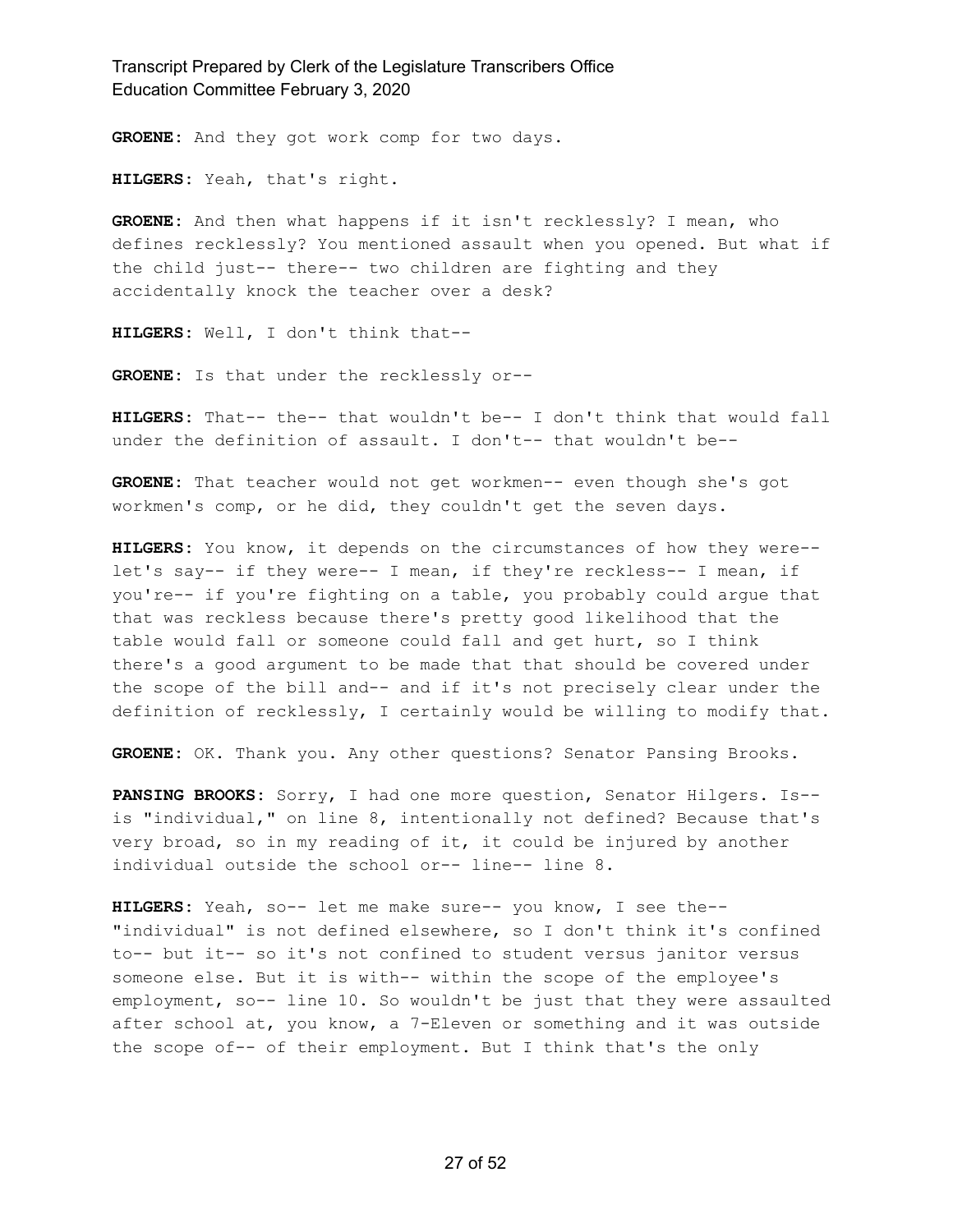**GROENE:** And they got work comp for two days.

**HILGERS:** Yeah, that's right.

**GROENE:** And then what happens if it isn't recklessly? I mean, who defines recklessly? You mentioned assault when you opened. But what if the child just-- there-- two children are fighting and they accidentally knock the teacher over a desk?

**HILGERS:** Well, I don't think that--

**GROENE:** Is that under the recklessly or--

**HILGERS:** That-- the-- that wouldn't be-- I don't think that would fall under the definition of assault. I don't-- that wouldn't be--

**GROENE:** That teacher would not get workmen-- even though she's got workmen's comp, or he did, they couldn't get the seven days.

**HILGERS:** You know, it depends on the circumstances of how they were- let's say-- if they were-- I mean, if they're reckless-- I mean, if you're-- if you're fighting on a table, you probably could argue that that was reckless because there's pretty good likelihood that the table would fall or someone could fall and get hurt, so I think there's a good argument to be made that that should be covered under the scope of the bill and-- and if it's not precisely clear under the definition of recklessly, I certainly would be willing to modify that.

**GROENE:** OK. Thank you. Any other questions? Senator Pansing Brooks.

**PANSING BROOKS:** Sorry, I had one more question, Senator Hilgers. Is- is "individual," on line 8, intentionally not defined? Because that's very broad, so in my reading of it, it could be injured by another individual outside the school or-- line-- line 8.

**HILGERS:** Yeah, so-- let me make sure-- you know, I see the-- "individual" is not defined elsewhere, so I don't think it's confined to-- but it-- so it's not confined to student versus janitor versus someone else. But it is with-- within the scope of the employee's employment, so-- line 10. So wouldn't be just that they were assaulted after school at, you know, a 7-Eleven or something and it was outside the scope of-- of their employment. But I think that's the only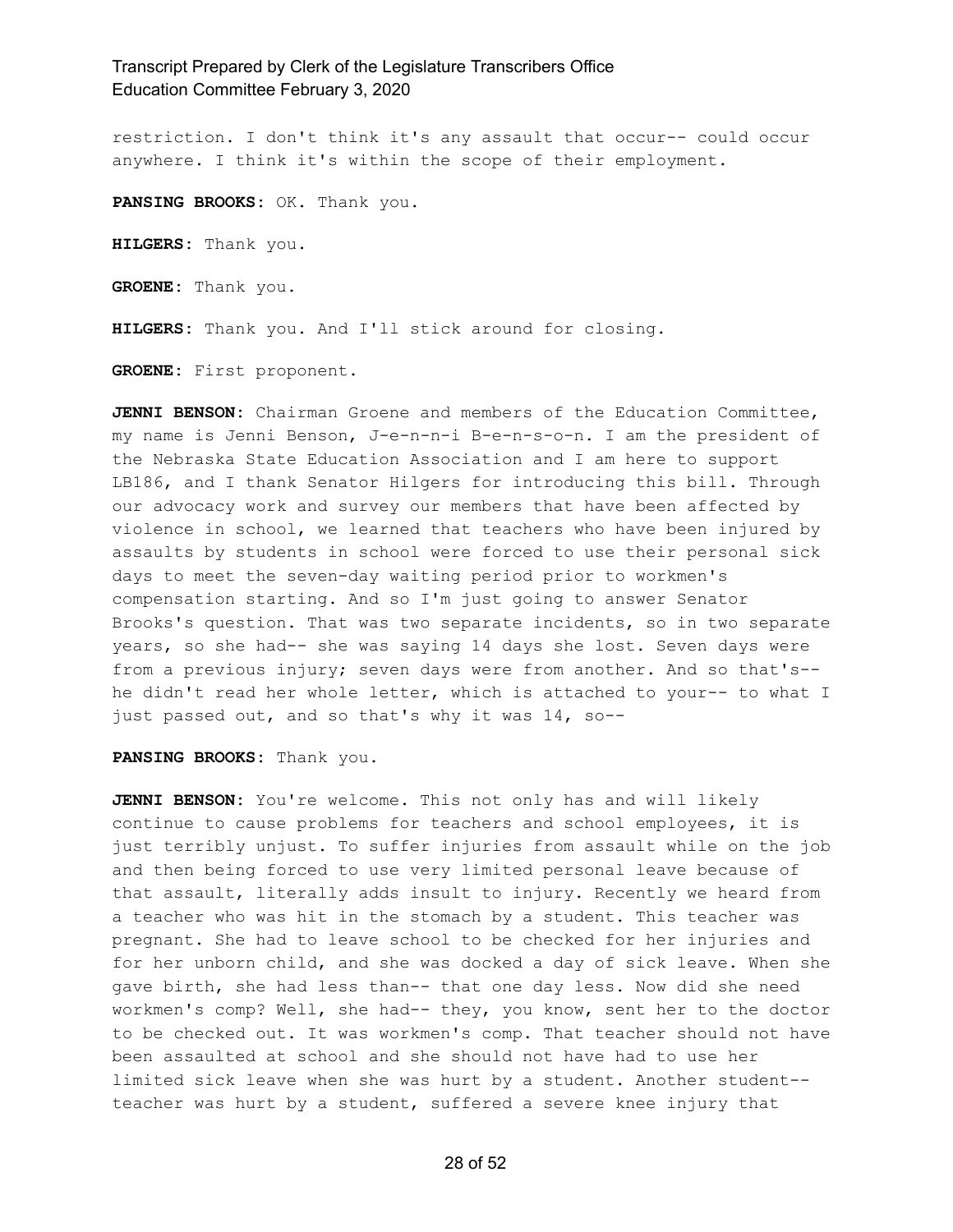restriction. I don't think it's any assault that occur-- could occur anywhere. I think it's within the scope of their employment.

**PANSING BROOKS:** OK. Thank you.

**HILGERS:** Thank you.

**GROENE:** Thank you.

**HILGERS:** Thank you. And I'll stick around for closing.

**GROENE:** First proponent.

**JENNI BENSON:** Chairman Groene and members of the Education Committee, my name is Jenni Benson, J-e-n-n-i B-e-n-s-o-n. I am the president of the Nebraska State Education Association and I am here to support LB186, and I thank Senator Hilgers for introducing this bill. Through our advocacy work and survey our members that have been affected by violence in school, we learned that teachers who have been injured by assaults by students in school were forced to use their personal sick days to meet the seven-day waiting period prior to workmen's compensation starting. And so I'm just going to answer Senator Brooks's question. That was two separate incidents, so in two separate years, so she had-- she was saying 14 days she lost. Seven days were from a previous injury; seven days were from another. And so that's- he didn't read her whole letter, which is attached to your-- to what I just passed out, and so that's why it was 14, so--

**PANSING BROOKS:** Thank you.

**JENNI BENSON:** You're welcome. This not only has and will likely continue to cause problems for teachers and school employees, it is just terribly unjust. To suffer injuries from assault while on the job and then being forced to use very limited personal leave because of that assault, literally adds insult to injury. Recently we heard from a teacher who was hit in the stomach by a student. This teacher was pregnant. She had to leave school to be checked for her injuries and for her unborn child, and she was docked a day of sick leave. When she gave birth, she had less than-- that one day less. Now did she need workmen's comp? Well, she had-- they, you know, sent her to the doctor to be checked out. It was workmen's comp. That teacher should not have been assaulted at school and she should not have had to use her limited sick leave when she was hurt by a student. Another student- teacher was hurt by a student, suffered a severe knee injury that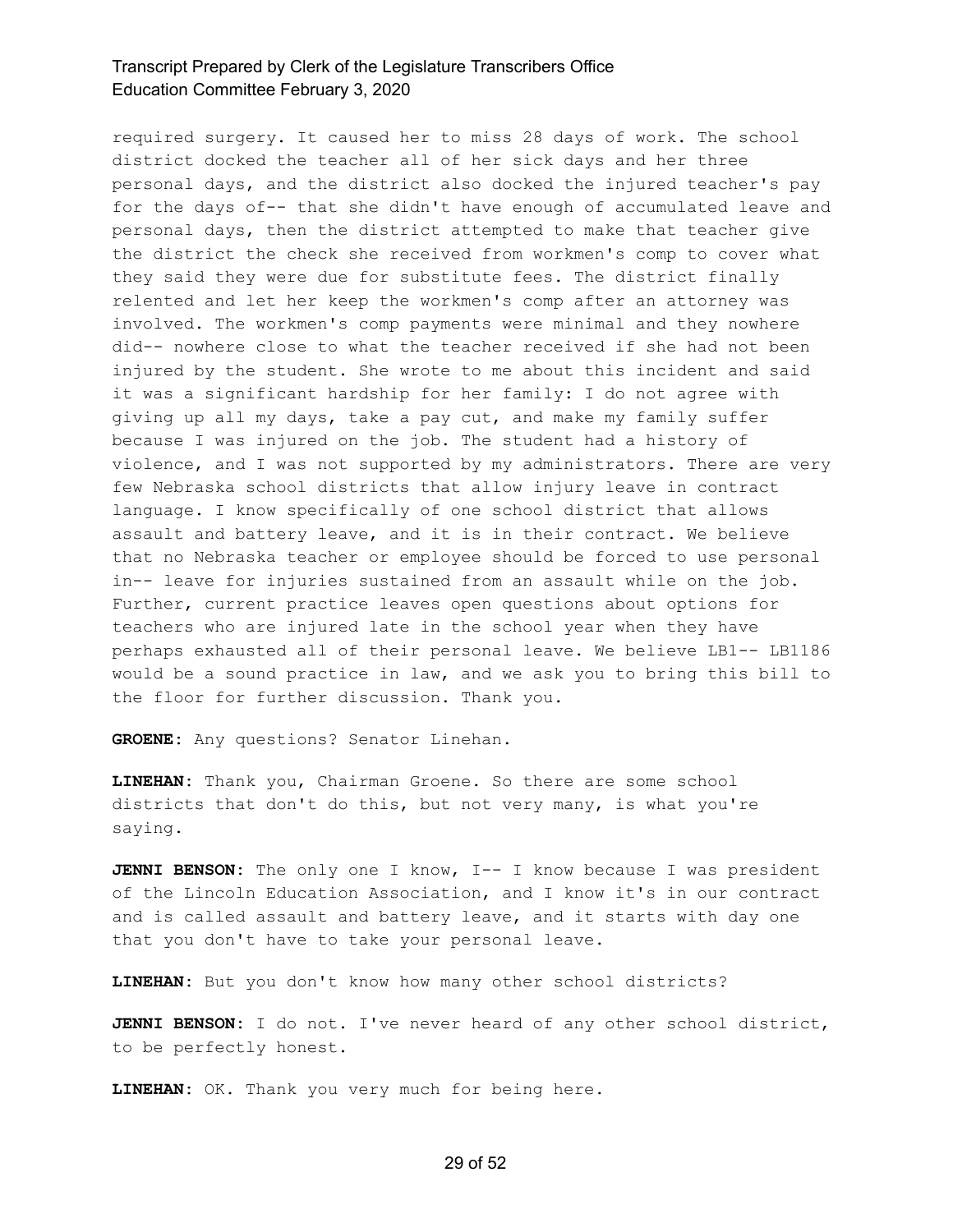required surgery. It caused her to miss 28 days of work. The school district docked the teacher all of her sick days and her three personal days, and the district also docked the injured teacher's pay for the days of-- that she didn't have enough of accumulated leave and personal days, then the district attempted to make that teacher give the district the check she received from workmen's comp to cover what they said they were due for substitute fees. The district finally relented and let her keep the workmen's comp after an attorney was involved. The workmen's comp payments were minimal and they nowhere did-- nowhere close to what the teacher received if she had not been injured by the student. She wrote to me about this incident and said it was a significant hardship for her family: I do not agree with giving up all my days, take a pay cut, and make my family suffer because I was injured on the job. The student had a history of violence, and I was not supported by my administrators. There are very few Nebraska school districts that allow injury leave in contract language. I know specifically of one school district that allows assault and battery leave, and it is in their contract. We believe that no Nebraska teacher or employee should be forced to use personal in-- leave for injuries sustained from an assault while on the job. Further, current practice leaves open questions about options for teachers who are injured late in the school year when they have perhaps exhausted all of their personal leave. We believe LB1-- LB1186 would be a sound practice in law, and we ask you to bring this bill to the floor for further discussion. Thank you.

**GROENE:** Any questions? Senator Linehan.

**LINEHAN:** Thank you, Chairman Groene. So there are some school districts that don't do this, but not very many, is what you're saying.

**JENNI BENSON:** The only one I know, I-- I know because I was president of the Lincoln Education Association, and I know it's in our contract and is called assault and battery leave, and it starts with day one that you don't have to take your personal leave.

**LINEHAN:** But you don't know how many other school districts?

**JENNI BENSON:** I do not. I've never heard of any other school district, to be perfectly honest.

**LINEHAN:** OK. Thank you very much for being here.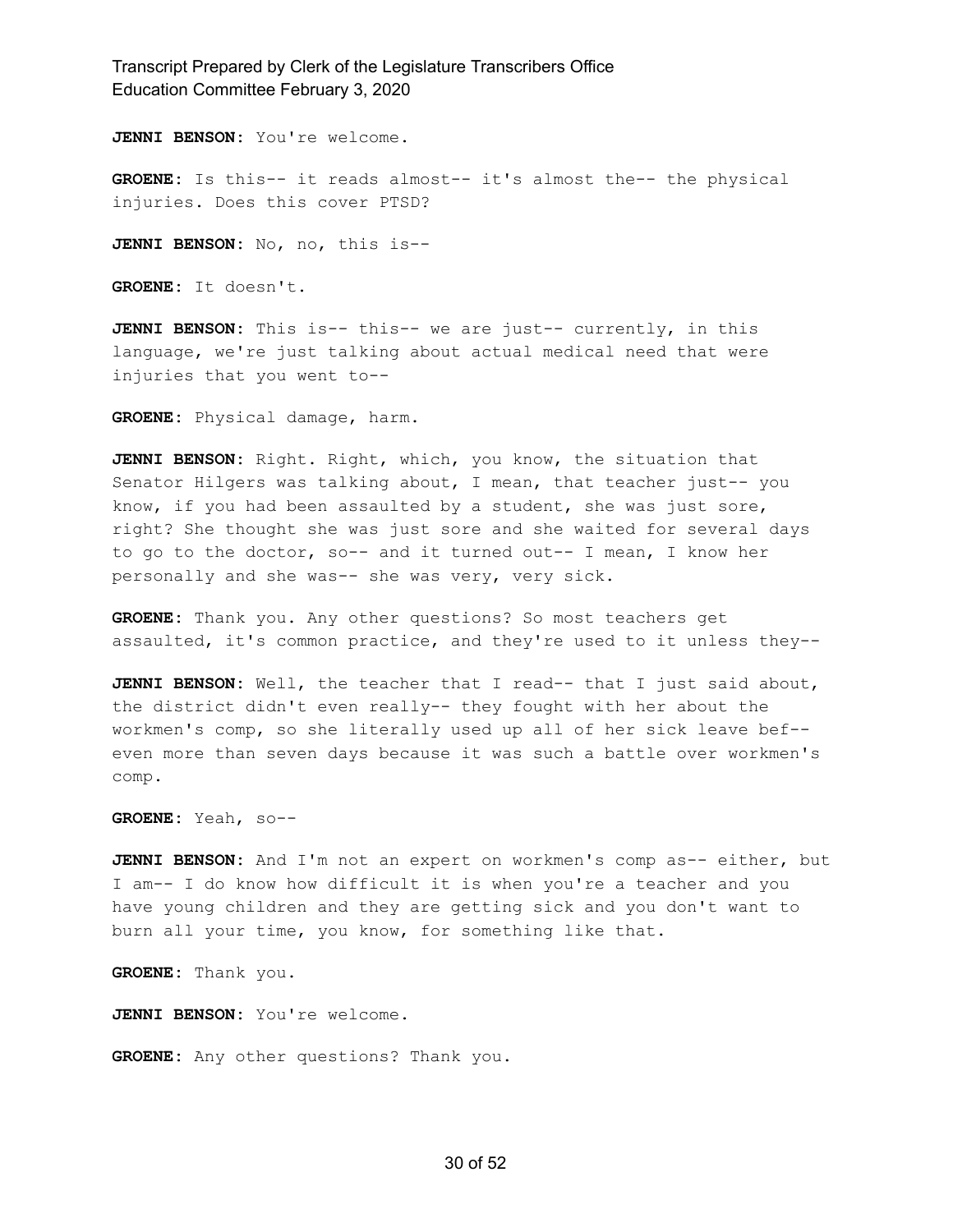**JENNI BENSON:** You're welcome.

**GROENE:** Is this-- it reads almost-- it's almost the-- the physical injuries. Does this cover PTSD?

**JENNI BENSON:** No, no, this is--

**GROENE:** It doesn't.

**JENNI BENSON:** This is-- this-- we are just-- currently, in this language, we're just talking about actual medical need that were injuries that you went to--

**GROENE:** Physical damage, harm.

**JENNI BENSON:** Right. Right, which, you know, the situation that Senator Hilgers was talking about, I mean, that teacher just-- you know, if you had been assaulted by a student, she was just sore, right? She thought she was just sore and she waited for several days to go to the doctor, so-- and it turned out-- I mean, I know her personally and she was-- she was very, very sick.

**GROENE:** Thank you. Any other questions? So most teachers get assaulted, it's common practice, and they're used to it unless they--

**JENNI BENSON:** Well, the teacher that I read-- that I just said about, the district didn't even really-- they fought with her about the workmen's comp, so she literally used up all of her sick leave bef- even more than seven days because it was such a battle over workmen's comp.

**GROENE:** Yeah, so--

**JENNI BENSON:** And I'm not an expert on workmen's comp as-- either, but I am-- I do know how difficult it is when you're a teacher and you have young children and they are getting sick and you don't want to burn all your time, you know, for something like that.

**GROENE:** Thank you.

**JENNI BENSON:** You're welcome.

**GROENE:** Any other questions? Thank you.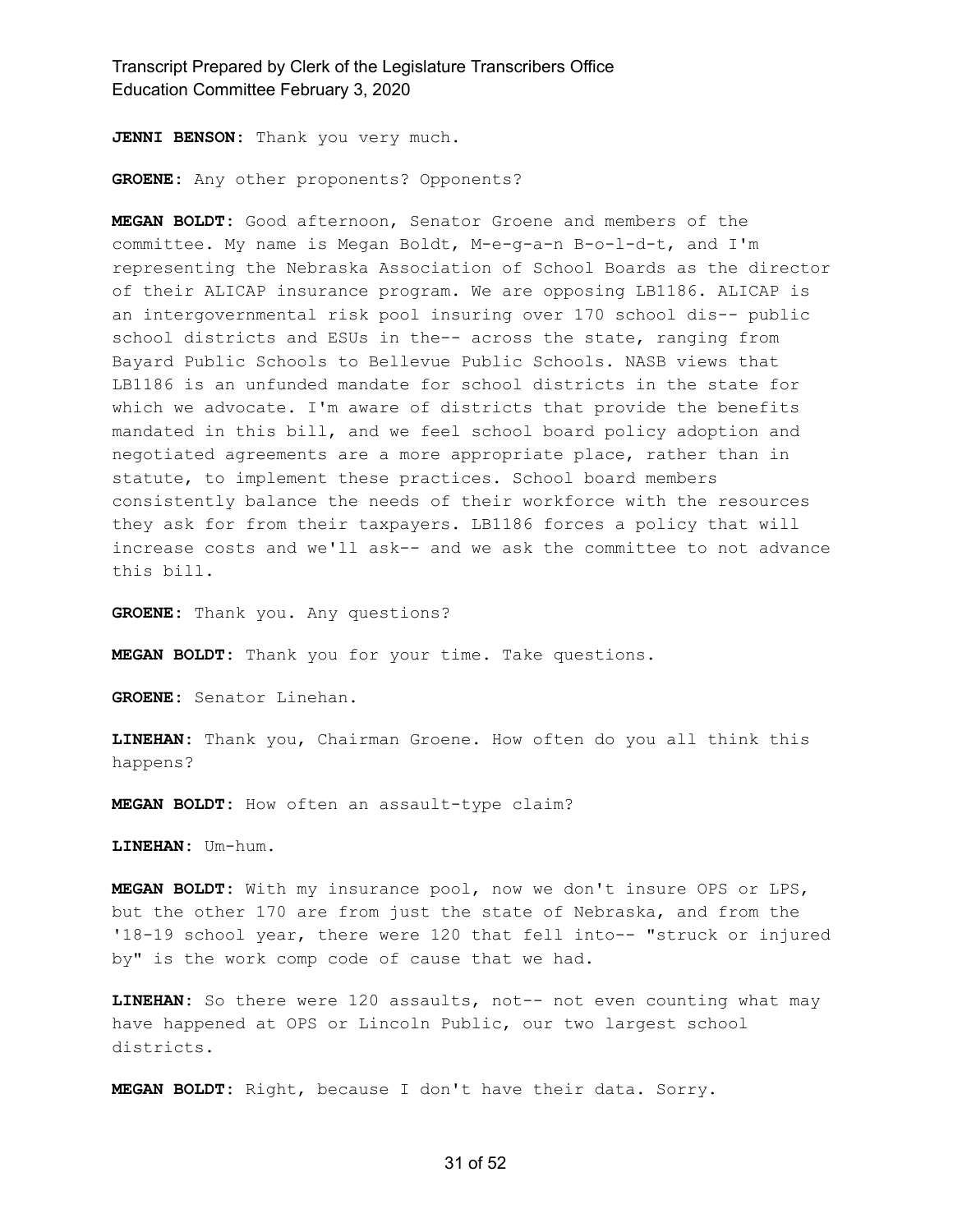**JENNI BENSON:** Thank you very much.

**GROENE:** Any other proponents? Opponents?

**MEGAN BOLDT:** Good afternoon, Senator Groene and members of the committee. My name is Megan Boldt, M-e-g-a-n B-o-l-d-t, and I'm representing the Nebraska Association of School Boards as the director of their ALICAP insurance program. We are opposing LB1186. ALICAP is an intergovernmental risk pool insuring over 170 school dis-- public school districts and ESUs in the-- across the state, ranging from Bayard Public Schools to Bellevue Public Schools. NASB views that LB1186 is an unfunded mandate for school districts in the state for which we advocate. I'm aware of districts that provide the benefits mandated in this bill, and we feel school board policy adoption and negotiated agreements are a more appropriate place, rather than in statute, to implement these practices. School board members consistently balance the needs of their workforce with the resources they ask for from their taxpayers. LB1186 forces a policy that will increase costs and we'll ask-- and we ask the committee to not advance this bill.

**GROENE:** Thank you. Any questions?

**MEGAN BOLDT:** Thank you for your time. Take questions.

**GROENE:** Senator Linehan.

**LINEHAN:** Thank you, Chairman Groene. How often do you all think this happens?

**MEGAN BOLDT:** How often an assault-type claim?

**LINEHAN:** Um-hum.

**MEGAN BOLDT:** With my insurance pool, now we don't insure OPS or LPS, but the other 170 are from just the state of Nebraska, and from the '18-19 school year, there were 120 that fell into-- "struck or injured by" is the work comp code of cause that we had.

**LINEHAN:** So there were 120 assaults, not-- not even counting what may have happened at OPS or Lincoln Public, our two largest school districts.

**MEGAN BOLDT:** Right, because I don't have their data. Sorry.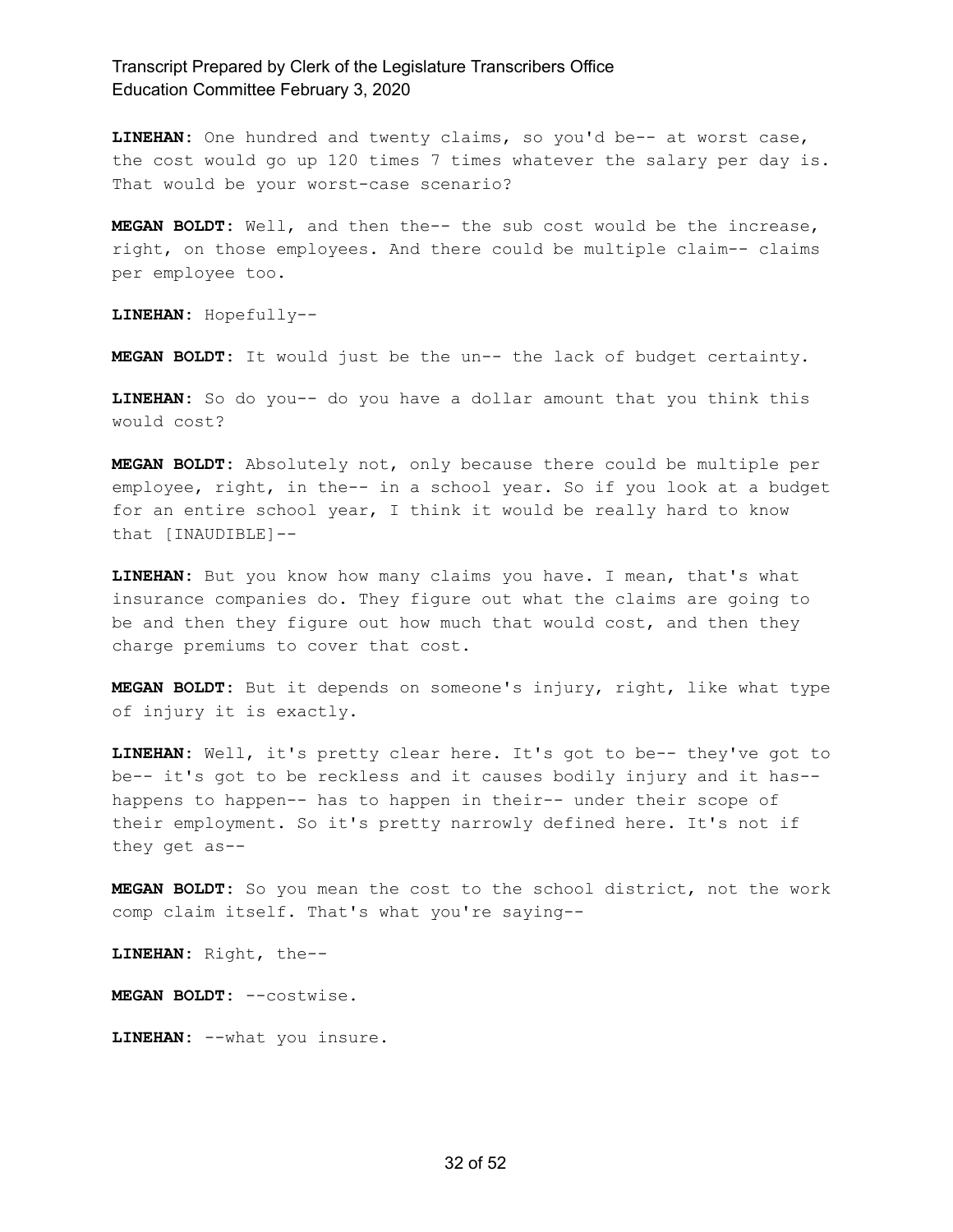**LINEHAN:** One hundred and twenty claims, so you'd be-- at worst case, the cost would go up 120 times 7 times whatever the salary per day is. That would be your worst-case scenario?

**MEGAN BOLDT:** Well, and then the-- the sub cost would be the increase, right, on those employees. And there could be multiple claim-- claims per employee too.

**LINEHAN:** Hopefully--

**MEGAN BOLDT:** It would just be the un-- the lack of budget certainty.

**LINEHAN:** So do you-- do you have a dollar amount that you think this would cost?

**MEGAN BOLDT:** Absolutely not, only because there could be multiple per employee, right, in the-- in a school year. So if you look at a budget for an entire school year, I think it would be really hard to know that [INAUDIBLE]--

**LINEHAN:** But you know how many claims you have. I mean, that's what insurance companies do. They figure out what the claims are going to be and then they figure out how much that would cost, and then they charge premiums to cover that cost.

**MEGAN BOLDT:** But it depends on someone's injury, right, like what type of injury it is exactly.

**LINEHAN:** Well, it's pretty clear here. It's got to be-- they've got to be-- it's got to be reckless and it causes bodily injury and it has- happens to happen-- has to happen in their-- under their scope of their employment. So it's pretty narrowly defined here. It's not if they get as--

**MEGAN BOLDT:** So you mean the cost to the school district, not the work comp claim itself. That's what you're saying--

**LINEHAN:** Right, the--

**MEGAN BOLDT:** --costwise.

**LINEHAN:** --what you insure.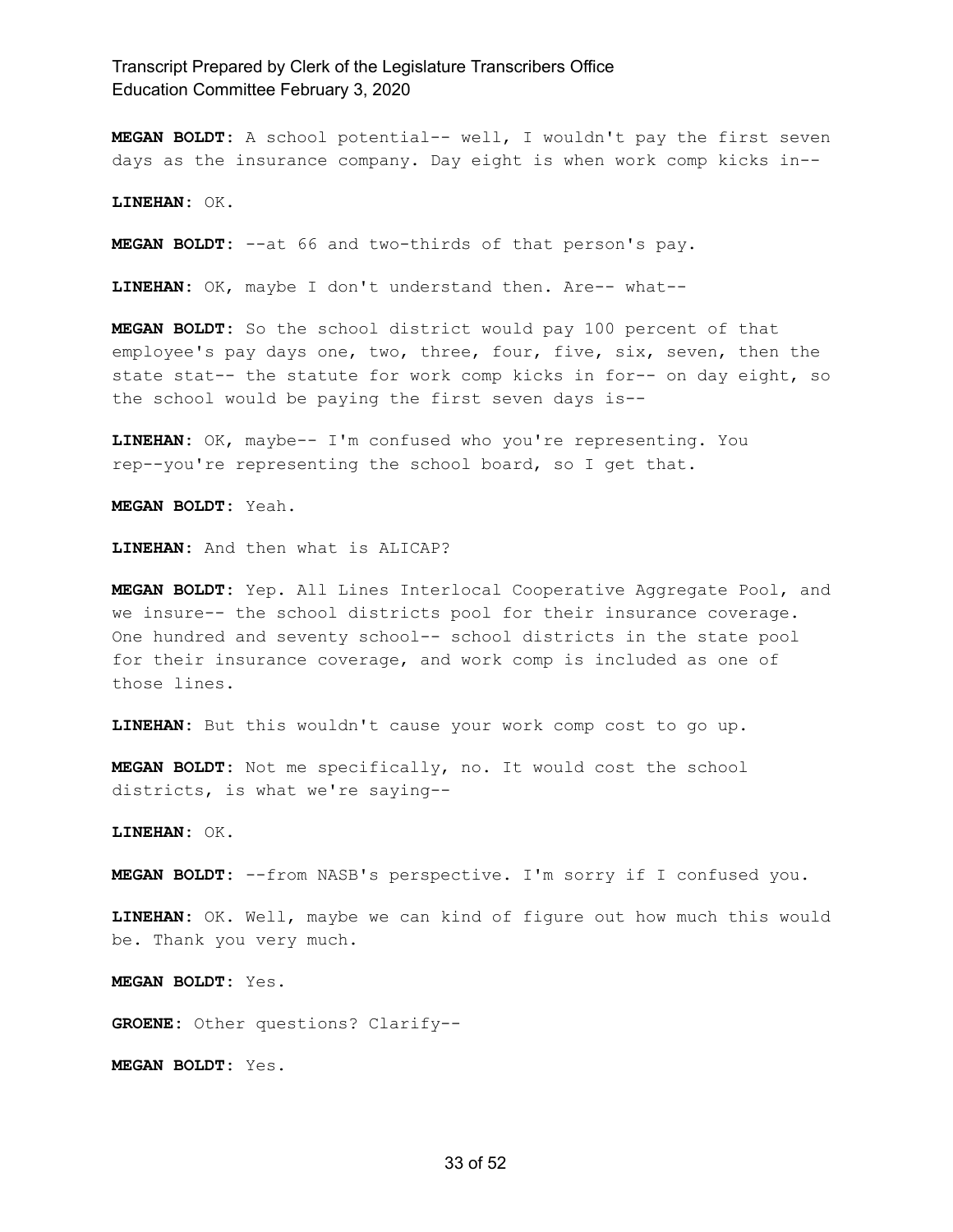**MEGAN BOLDT:** A school potential-- well, I wouldn't pay the first seven days as the insurance company. Day eight is when work comp kicks in--

**LINEHAN:** OK.

**MEGAN BOLDT:** --at 66 and two-thirds of that person's pay.

**LINEHAN:** OK, maybe I don't understand then. Are-- what--

**MEGAN BOLDT:** So the school district would pay 100 percent of that employee's pay days one, two, three, four, five, six, seven, then the state stat-- the statute for work comp kicks in for-- on day eight, so the school would be paying the first seven days is--

**LINEHAN:** OK, maybe-- I'm confused who you're representing. You rep--you're representing the school board, so I get that.

**MEGAN BOLDT:** Yeah.

**LINEHAN:** And then what is ALICAP?

**MEGAN BOLDT:** Yep. All Lines Interlocal Cooperative Aggregate Pool, and we insure-- the school districts pool for their insurance coverage. One hundred and seventy school-- school districts in the state pool for their insurance coverage, and work comp is included as one of those lines.

**LINEHAN:** But this wouldn't cause your work comp cost to go up.

**MEGAN BOLDT:** Not me specifically, no. It would cost the school districts, is what we're saying--

**LINEHAN:** OK.

**MEGAN BOLDT:** --from NASB's perspective. I'm sorry if I confused you.

**LINEHAN:** OK. Well, maybe we can kind of figure out how much this would be. Thank you very much.

**MEGAN BOLDT:** Yes.

**GROENE:** Other questions? Clarify--

**MEGAN BOLDT:** Yes.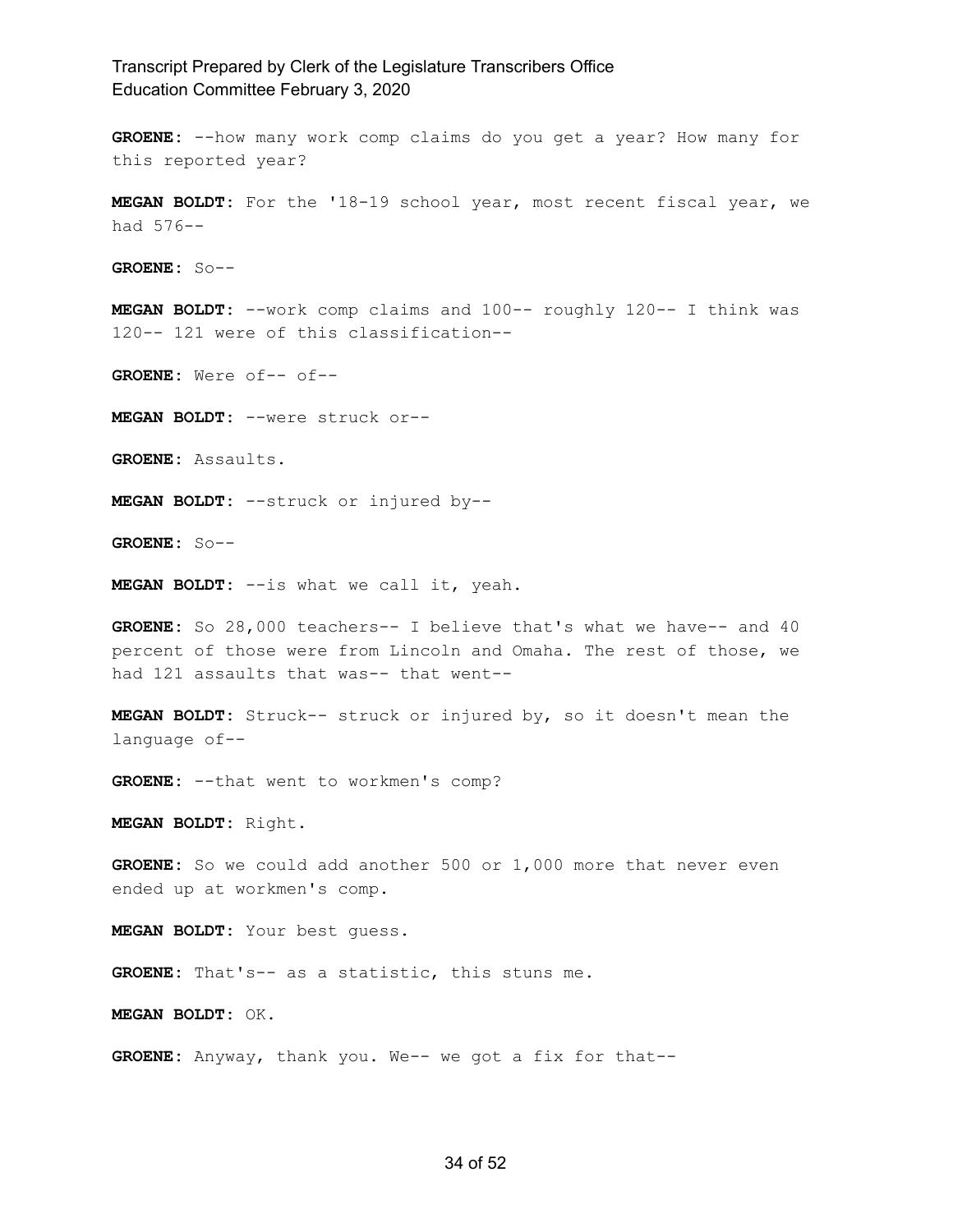**GROENE:** --how many work comp claims do you get a year? How many for this reported year?

**MEGAN BOLDT:** For the '18-19 school year, most recent fiscal year, we had 576--

**GROENE:** So--

**MEGAN BOLDT:** --work comp claims and 100-- roughly 120-- I think was 120-- 121 were of this classification--

**GROENE:** Were of-- of--

**MEGAN BOLDT:** --were struck or--

**GROENE:** Assaults.

**MEGAN BOLDT:** --struck or injured by--

**GROENE:** So--

**MEGAN BOLDT:** --is what we call it, yeah.

**GROENE:** So 28,000 teachers-- I believe that's what we have-- and 40 percent of those were from Lincoln and Omaha. The rest of those, we had 121 assaults that was-- that went--

**MEGAN BOLDT:** Struck-- struck or injured by, so it doesn't mean the language of--

**GROENE:** --that went to workmen's comp?

**MEGAN BOLDT:** Right.

**GROENE:** So we could add another 500 or 1,000 more that never even ended up at workmen's comp.

**MEGAN BOLDT:** Your best guess.

**GROENE:** That's-- as a statistic, this stuns me.

**MEGAN BOLDT:** OK.

**GROENE:** Anyway, thank you. We-- we got a fix for that--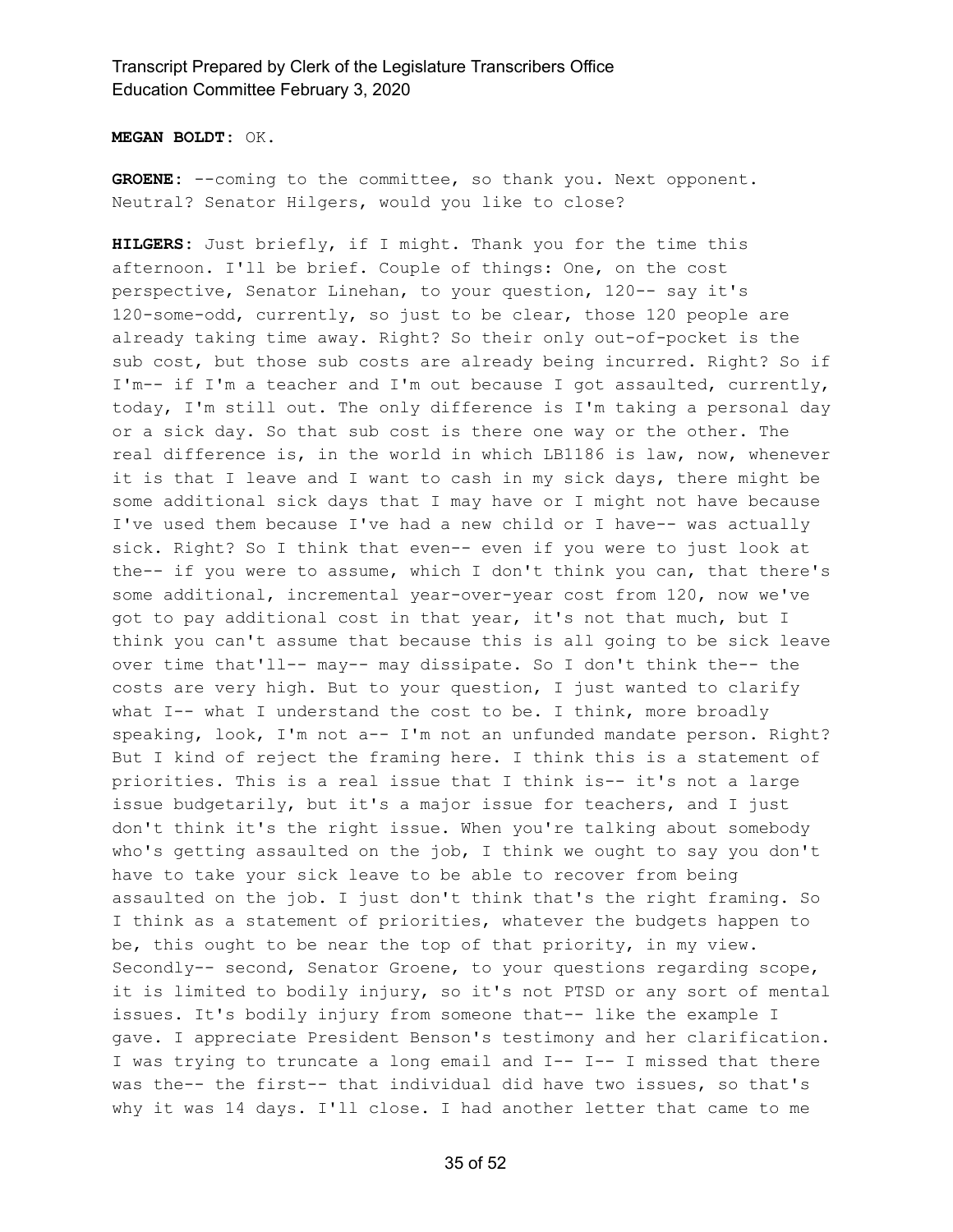**MEGAN BOLDT:** OK.

GROENE: --coming to the committee, so thank you. Next opponent. Neutral? Senator Hilgers, would you like to close?

**HILGERS:** Just briefly, if I might. Thank you for the time this afternoon. I'll be brief. Couple of things: One, on the cost perspective, Senator Linehan, to your question, 120-- say it's 120-some-odd, currently, so just to be clear, those 120 people are already taking time away. Right? So their only out-of-pocket is the sub cost, but those sub costs are already being incurred. Right? So if I'm-- if I'm a teacher and I'm out because I got assaulted, currently, today, I'm still out. The only difference is I'm taking a personal day or a sick day. So that sub cost is there one way or the other. The real difference is, in the world in which LB1186 is law, now, whenever it is that I leave and I want to cash in my sick days, there might be some additional sick days that I may have or I might not have because I've used them because I've had a new child or I have-- was actually sick. Right? So I think that even-- even if you were to just look at the-- if you were to assume, which I don't think you can, that there's some additional, incremental year-over-year cost from 120, now we've got to pay additional cost in that year, it's not that much, but I think you can't assume that because this is all going to be sick leave over time that'll-- may-- may dissipate. So I don't think the-- the costs are very high. But to your question, I just wanted to clarify what I-- what I understand the cost to be. I think, more broadly speaking, look, I'm not a-- I'm not an unfunded mandate person. Right? But I kind of reject the framing here. I think this is a statement of priorities. This is a real issue that I think is-- it's not a large issue budgetarily, but it's a major issue for teachers, and I just don't think it's the right issue. When you're talking about somebody who's getting assaulted on the job, I think we ought to say you don't have to take your sick leave to be able to recover from being assaulted on the job. I just don't think that's the right framing. So I think as a statement of priorities, whatever the budgets happen to be, this ought to be near the top of that priority, in my view. Secondly-- second, Senator Groene, to your questions regarding scope, it is limited to bodily injury, so it's not PTSD or any sort of mental issues. It's bodily injury from someone that-- like the example I gave. I appreciate President Benson's testimony and her clarification. I was trying to truncate a long email and I-- I-- I missed that there was the-- the first-- that individual did have two issues, so that's why it was 14 days. I'll close. I had another letter that came to me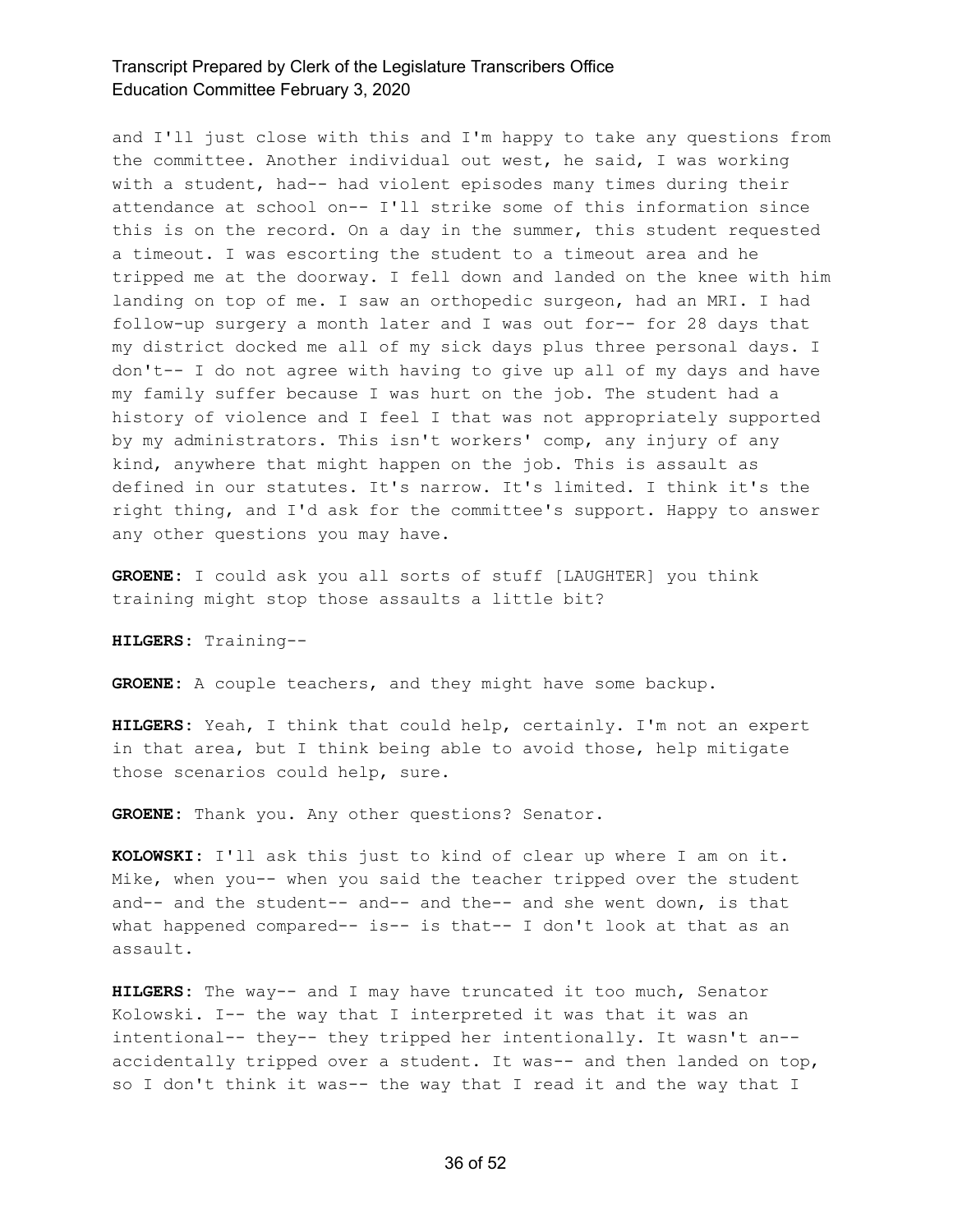and I'll just close with this and I'm happy to take any questions from the committee. Another individual out west, he said, I was working with a student, had-- had violent episodes many times during their attendance at school on-- I'll strike some of this information since this is on the record. On a day in the summer, this student requested a timeout. I was escorting the student to a timeout area and he tripped me at the doorway. I fell down and landed on the knee with him landing on top of me. I saw an orthopedic surgeon, had an MRI. I had follow-up surgery a month later and I was out for-- for 28 days that my district docked me all of my sick days plus three personal days. I don't-- I do not agree with having to give up all of my days and have my family suffer because I was hurt on the job. The student had a history of violence and I feel I that was not appropriately supported by my administrators. This isn't workers' comp, any injury of any kind, anywhere that might happen on the job. This is assault as defined in our statutes. It's narrow. It's limited. I think it's the right thing, and I'd ask for the committee's support. Happy to answer any other questions you may have.

**GROENE:** I could ask you all sorts of stuff [LAUGHTER] you think training might stop those assaults a little bit?

**HILGERS:** Training--

**GROENE:** A couple teachers, and they might have some backup.

**HILGERS:** Yeah, I think that could help, certainly. I'm not an expert in that area, but I think being able to avoid those, help mitigate those scenarios could help, sure.

**GROENE:** Thank you. Any other questions? Senator.

**KOLOWSKI:** I'll ask this just to kind of clear up where I am on it. Mike, when you-- when you said the teacher tripped over the student and-- and the student-- and-- and the-- and she went down, is that what happened compared-- is-- is that-- I don't look at that as an assault.

**HILGERS:** The way-- and I may have truncated it too much, Senator Kolowski. I-- the way that I interpreted it was that it was an intentional-- they-- they tripped her intentionally. It wasn't an- accidentally tripped over a student. It was-- and then landed on top, so I don't think it was-- the way that I read it and the way that I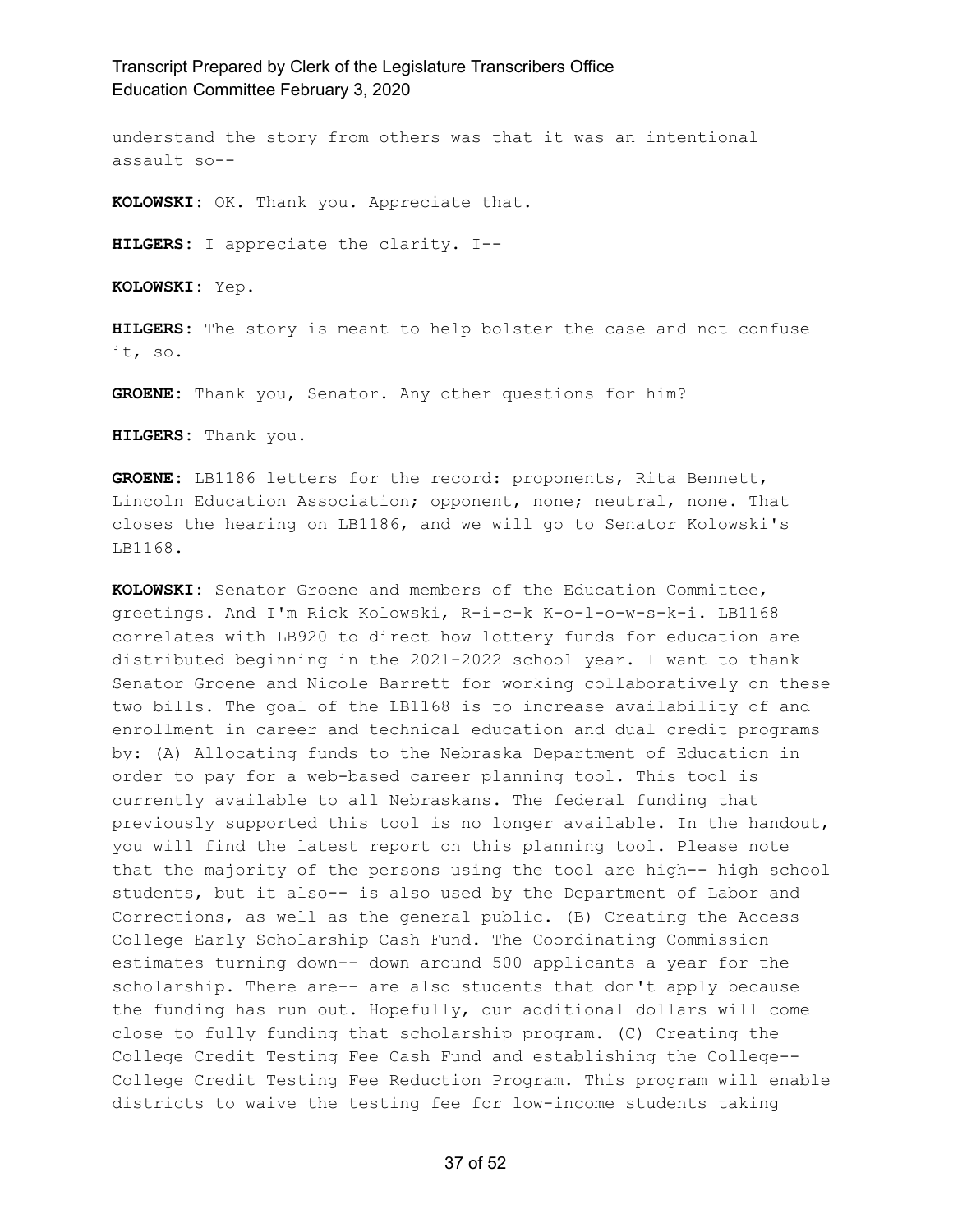understand the story from others was that it was an intentional assault so--

**KOLOWSKI:** OK. Thank you. Appreciate that.

**HILGERS:** I appreciate the clarity. I--

**KOLOWSKI:** Yep.

**HILGERS:** The story is meant to help bolster the case and not confuse it, so.

**GROENE:** Thank you, Senator. Any other questions for him?

**HILGERS:** Thank you.

**GROENE:** LB1186 letters for the record: proponents, Rita Bennett, Lincoln Education Association; opponent, none; neutral, none. That closes the hearing on LB1186, and we will go to Senator Kolowski's LB1168.

**KOLOWSKI:** Senator Groene and members of the Education Committee, greetings. And I'm Rick Kolowski, R-i-c-k K-o-l-o-w-s-k-i. LB1168 correlates with LB920 to direct how lottery funds for education are distributed beginning in the 2021-2022 school year. I want to thank Senator Groene and Nicole Barrett for working collaboratively on these two bills. The goal of the LB1168 is to increase availability of and enrollment in career and technical education and dual credit programs by: (A) Allocating funds to the Nebraska Department of Education in order to pay for a web-based career planning tool. This tool is currently available to all Nebraskans. The federal funding that previously supported this tool is no longer available. In the handout, you will find the latest report on this planning tool. Please note that the majority of the persons using the tool are high-- high school students, but it also-- is also used by the Department of Labor and Corrections, as well as the general public. (B) Creating the Access College Early Scholarship Cash Fund. The Coordinating Commission estimates turning down-- down around 500 applicants a year for the scholarship. There are-- are also students that don't apply because the funding has run out. Hopefully, our additional dollars will come close to fully funding that scholarship program. (C) Creating the College Credit Testing Fee Cash Fund and establishing the College-- College Credit Testing Fee Reduction Program. This program will enable districts to waive the testing fee for low-income students taking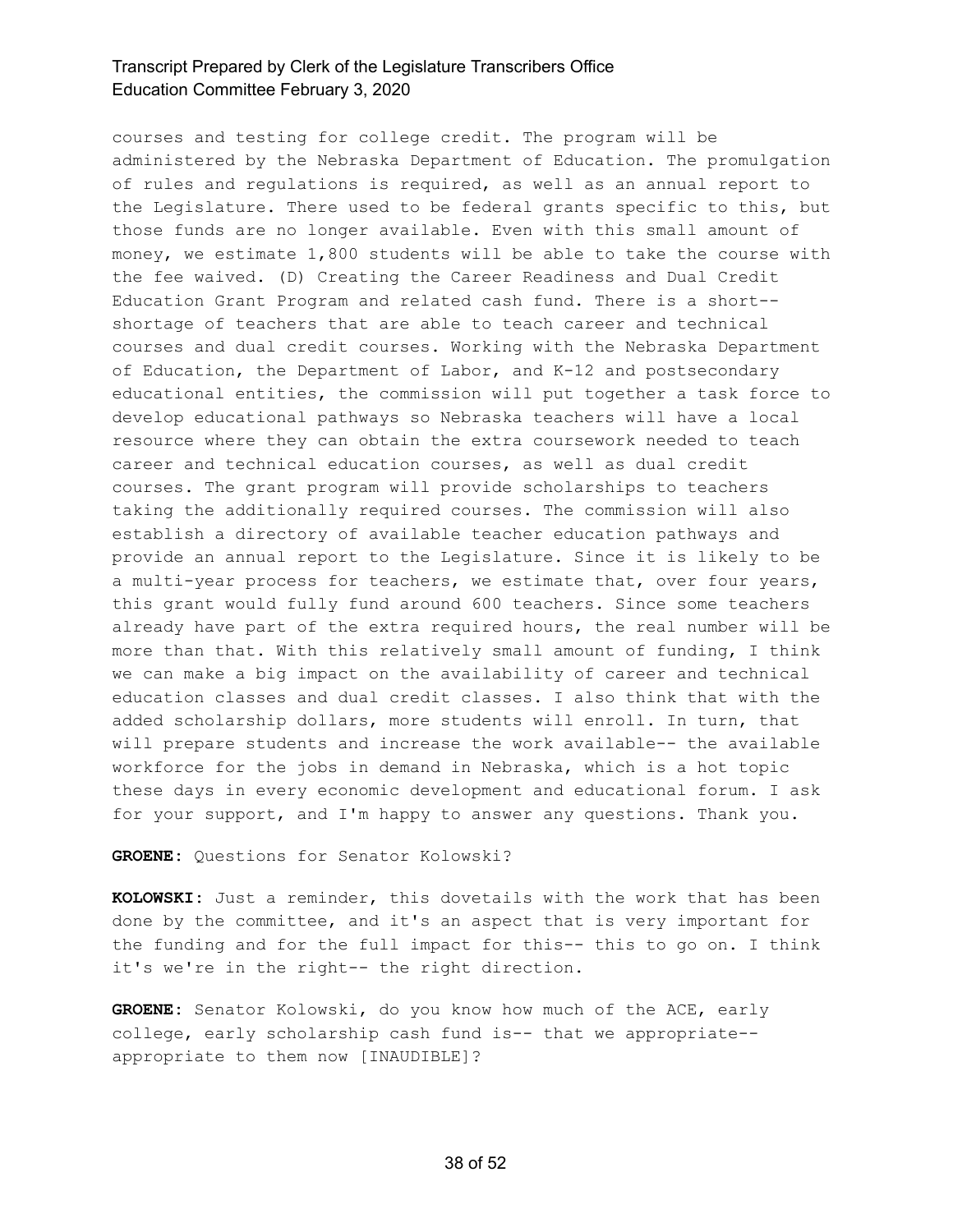courses and testing for college credit. The program will be administered by the Nebraska Department of Education. The promulgation of rules and regulations is required, as well as an annual report to the Legislature. There used to be federal grants specific to this, but those funds are no longer available. Even with this small amount of money, we estimate 1,800 students will be able to take the course with the fee waived. (D) Creating the Career Readiness and Dual Credit Education Grant Program and related cash fund. There is a short- shortage of teachers that are able to teach career and technical courses and dual credit courses. Working with the Nebraska Department of Education, the Department of Labor, and K-12 and postsecondary educational entities, the commission will put together a task force to develop educational pathways so Nebraska teachers will have a local resource where they can obtain the extra coursework needed to teach career and technical education courses, as well as dual credit courses. The grant program will provide scholarships to teachers taking the additionally required courses. The commission will also establish a directory of available teacher education pathways and provide an annual report to the Legislature. Since it is likely to be a multi-year process for teachers, we estimate that, over four years, this grant would fully fund around 600 teachers. Since some teachers already have part of the extra required hours, the real number will be more than that. With this relatively small amount of funding, I think we can make a big impact on the availability of career and technical education classes and dual credit classes. I also think that with the added scholarship dollars, more students will enroll. In turn, that will prepare students and increase the work available-- the available workforce for the jobs in demand in Nebraska, which is a hot topic these days in every economic development and educational forum. I ask for your support, and I'm happy to answer any questions. Thank you.

**GROENE:** Questions for Senator Kolowski?

**KOLOWSKI:** Just a reminder, this dovetails with the work that has been done by the committee, and it's an aspect that is very important for the funding and for the full impact for this-- this to go on. I think it's we're in the right-- the right direction.

**GROENE:** Senator Kolowski, do you know how much of the ACE, early college, early scholarship cash fund is-- that we appropriate- appropriate to them now [INAUDIBLE]?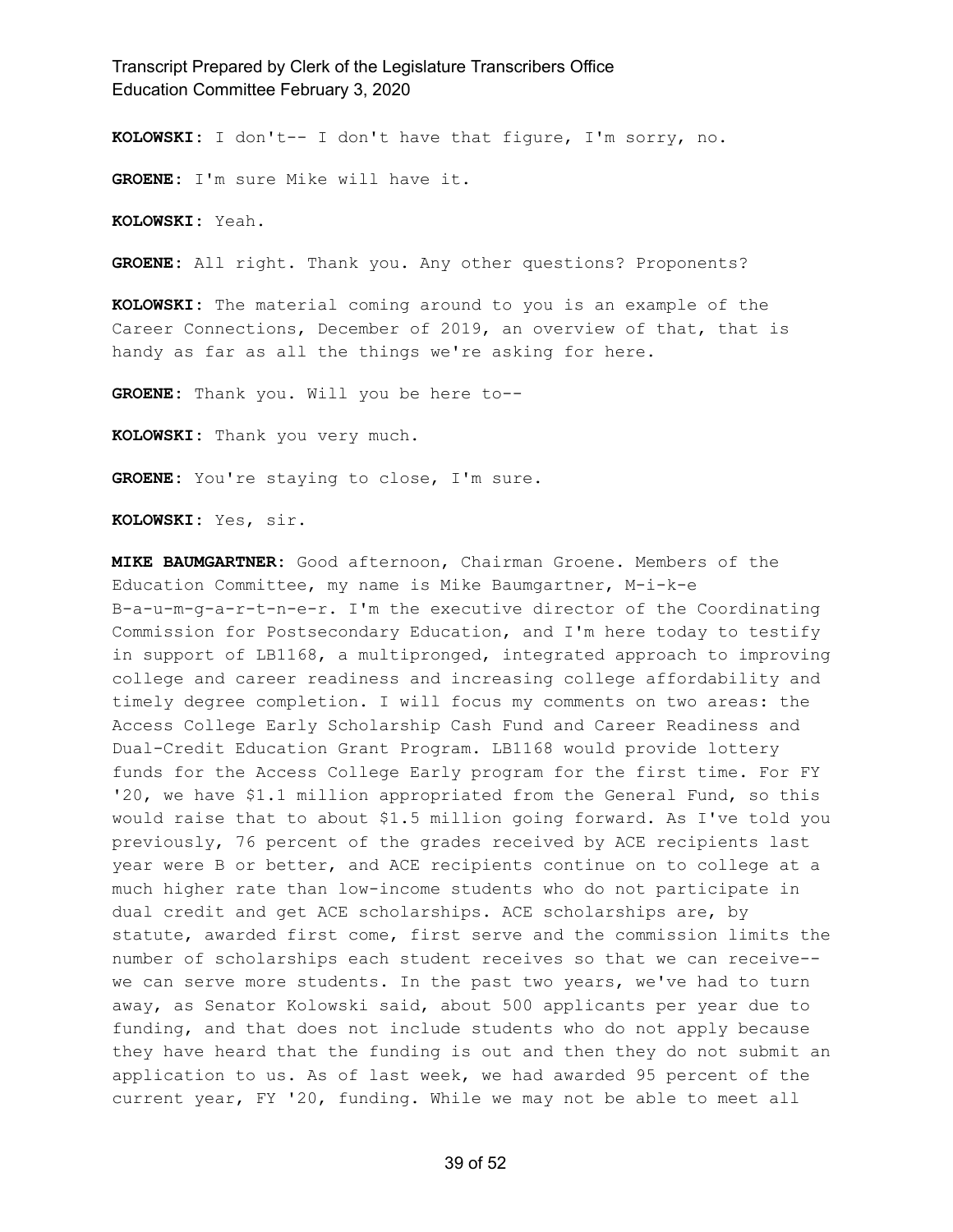**KOLOWSKI:** I don't-- I don't have that figure, I'm sorry, no.

**GROENE:** I'm sure Mike will have it.

**KOLOWSKI:** Yeah.

**GROENE:** All right. Thank you. Any other questions? Proponents?

**KOLOWSKI:** The material coming around to you is an example of the Career Connections, December of 2019, an overview of that, that is handy as far as all the things we're asking for here.

**GROENE:** Thank you. Will you be here to--

**KOLOWSKI:** Thank you very much.

**GROENE:** You're staying to close, I'm sure.

**KOLOWSKI:** Yes, sir.

**MIKE BAUMGARTNER:** Good afternoon, Chairman Groene. Members of the Education Committee, my name is Mike Baumgartner, M-i-k-e B-a-u-m-g-a-r-t-n-e-r. I'm the executive director of the Coordinating Commission for Postsecondary Education, and I'm here today to testify in support of LB1168, a multipronged, integrated approach to improving college and career readiness and increasing college affordability and timely degree completion. I will focus my comments on two areas: the Access College Early Scholarship Cash Fund and Career Readiness and Dual-Credit Education Grant Program. LB1168 would provide lottery funds for the Access College Early program for the first time. For FY '20, we have \$1.1 million appropriated from the General Fund, so this would raise that to about \$1.5 million going forward. As I've told you previously, 76 percent of the grades received by ACE recipients last year were B or better, and ACE recipients continue on to college at a much higher rate than low-income students who do not participate in dual credit and get ACE scholarships. ACE scholarships are, by statute, awarded first come, first serve and the commission limits the number of scholarships each student receives so that we can receive- we can serve more students. In the past two years, we've had to turn away, as Senator Kolowski said, about 500 applicants per year due to funding, and that does not include students who do not apply because they have heard that the funding is out and then they do not submit an application to us. As of last week, we had awarded 95 percent of the current year, FY '20, funding. While we may not be able to meet all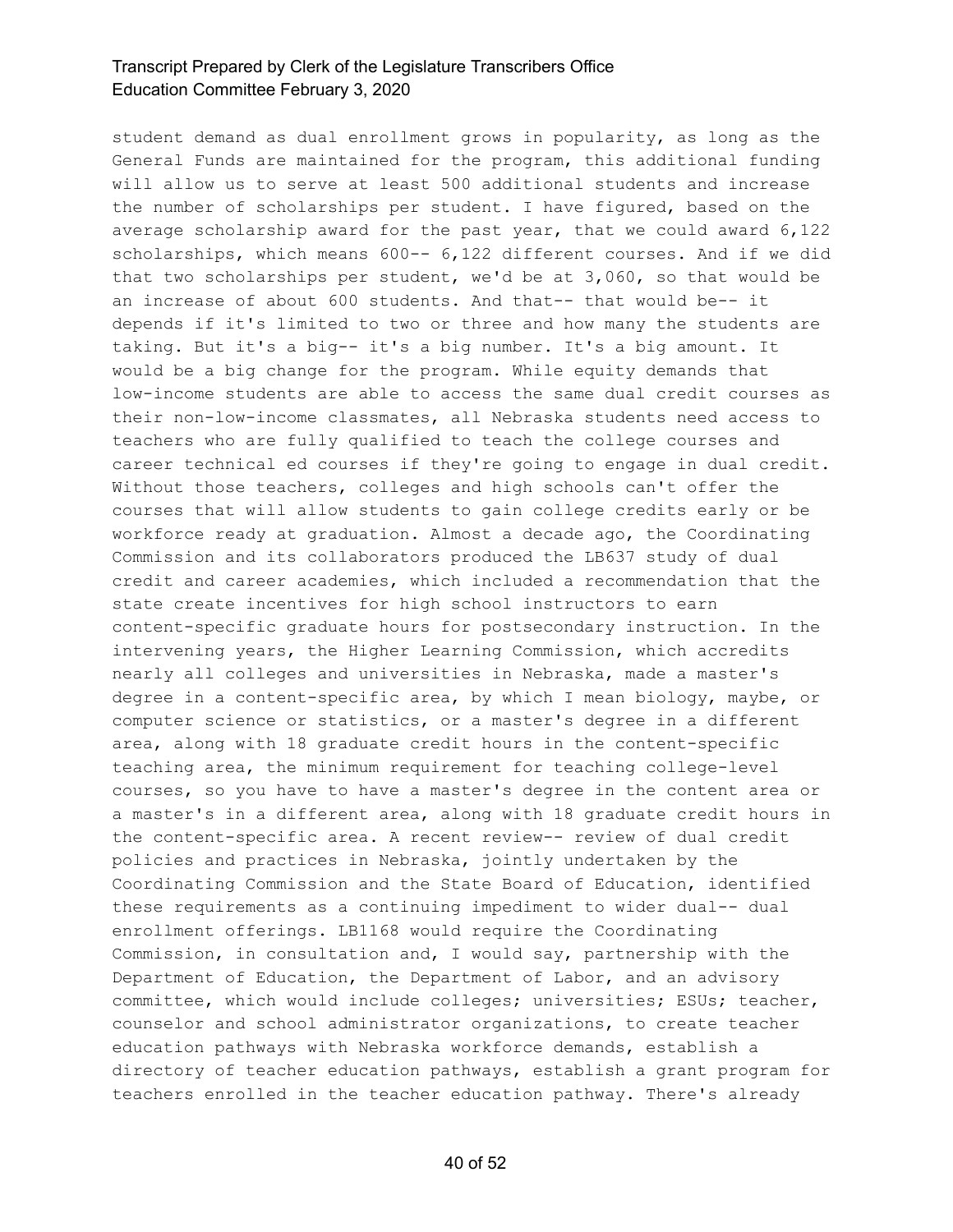student demand as dual enrollment grows in popularity, as long as the General Funds are maintained for the program, this additional funding will allow us to serve at least 500 additional students and increase the number of scholarships per student. I have figured, based on the average scholarship award for the past year, that we could award 6,122 scholarships, which means 600-- 6,122 different courses. And if we did that two scholarships per student, we'd be at 3,060, so that would be an increase of about 600 students. And that-- that would be-- it depends if it's limited to two or three and how many the students are taking. But it's a big-- it's a big number. It's a big amount. It would be a big change for the program. While equity demands that low-income students are able to access the same dual credit courses as their non-low-income classmates, all Nebraska students need access to teachers who are fully qualified to teach the college courses and career technical ed courses if they're going to engage in dual credit. Without those teachers, colleges and high schools can't offer the courses that will allow students to gain college credits early or be workforce ready at graduation. Almost a decade ago, the Coordinating Commission and its collaborators produced the LB637 study of dual credit and career academies, which included a recommendation that the state create incentives for high school instructors to earn content-specific graduate hours for postsecondary instruction. In the intervening years, the Higher Learning Commission, which accredits nearly all colleges and universities in Nebraska, made a master's degree in a content-specific area, by which I mean biology, maybe, or computer science or statistics, or a master's degree in a different area, along with 18 graduate credit hours in the content-specific teaching area, the minimum requirement for teaching college-level courses, so you have to have a master's degree in the content area or a master's in a different area, along with 18 graduate credit hours in the content-specific area. A recent review-- review of dual credit policies and practices in Nebraska, jointly undertaken by the Coordinating Commission and the State Board of Education, identified these requirements as a continuing impediment to wider dual-- dual enrollment offerings. LB1168 would require the Coordinating Commission, in consultation and, I would say, partnership with the Department of Education, the Department of Labor, and an advisory committee, which would include colleges; universities; ESUs; teacher, counselor and school administrator organizations, to create teacher education pathways with Nebraska workforce demands, establish a directory of teacher education pathways, establish a grant program for teachers enrolled in the teacher education pathway. There's already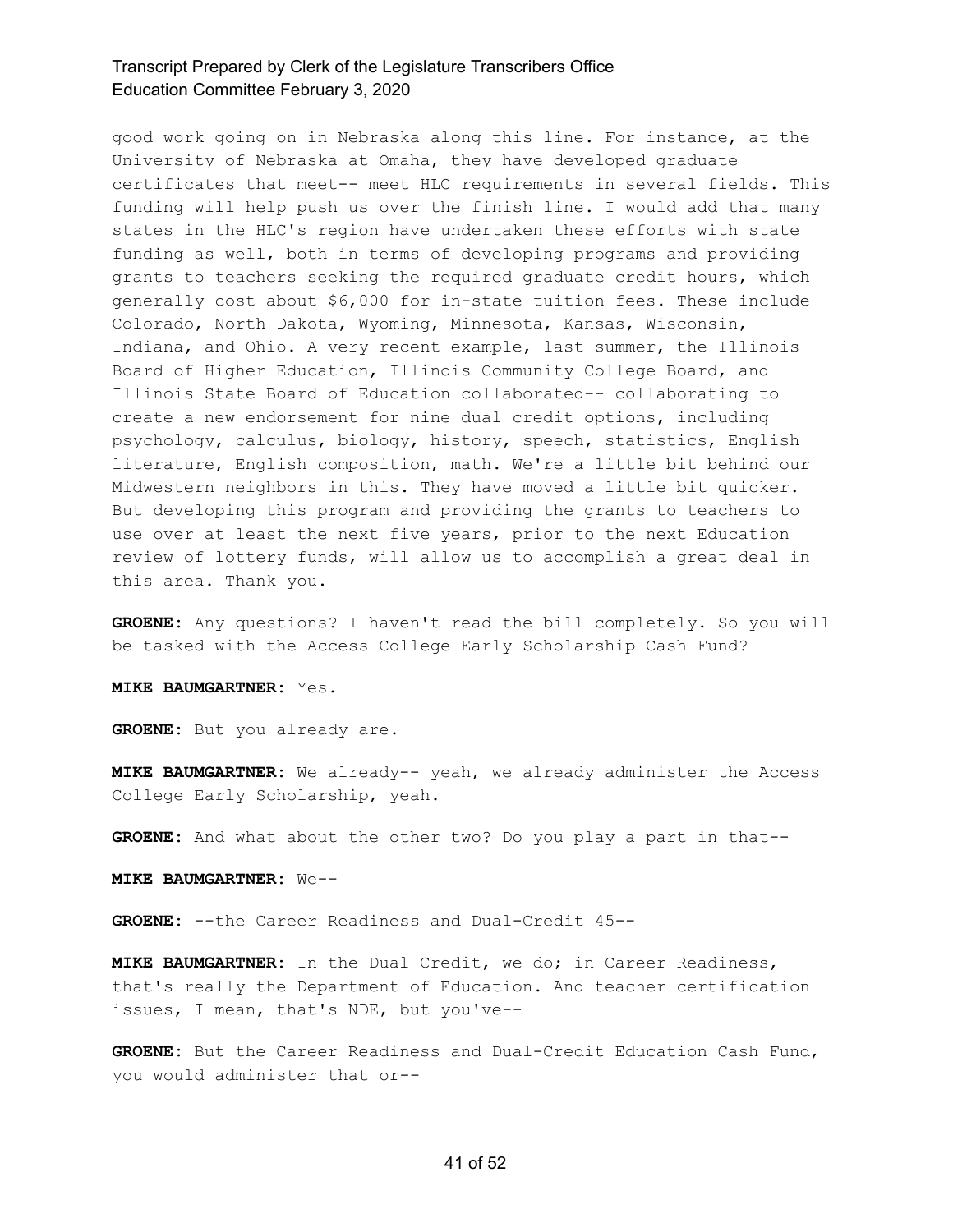good work going on in Nebraska along this line. For instance, at the University of Nebraska at Omaha, they have developed graduate certificates that meet-- meet HLC requirements in several fields. This funding will help push us over the finish line. I would add that many states in the HLC's region have undertaken these efforts with state funding as well, both in terms of developing programs and providing grants to teachers seeking the required graduate credit hours, which generally cost about \$6,000 for in-state tuition fees. These include Colorado, North Dakota, Wyoming, Minnesota, Kansas, Wisconsin, Indiana, and Ohio. A very recent example, last summer, the Illinois Board of Higher Education, Illinois Community College Board, and Illinois State Board of Education collaborated-- collaborating to create a new endorsement for nine dual credit options, including psychology, calculus, biology, history, speech, statistics, English literature, English composition, math. We're a little bit behind our Midwestern neighbors in this. They have moved a little bit quicker. But developing this program and providing the grants to teachers to use over at least the next five years, prior to the next Education review of lottery funds, will allow us to accomplish a great deal in this area. Thank you.

**GROENE:** Any questions? I haven't read the bill completely. So you will be tasked with the Access College Early Scholarship Cash Fund?

#### **MIKE BAUMGARTNER:** Yes.

**GROENE:** But you already are.

**MIKE BAUMGARTNER:** We already-- yeah, we already administer the Access College Early Scholarship, yeah.

**GROENE:** And what about the other two? Do you play a part in that--

**MIKE BAUMGARTNER:** We--

**GROENE:** --the Career Readiness and Dual-Credit 45--

**MIKE BAUMGARTNER:** In the Dual Credit, we do; in Career Readiness, that's really the Department of Education. And teacher certification issues, I mean, that's NDE, but you've--

**GROENE:** But the Career Readiness and Dual-Credit Education Cash Fund, you would administer that or--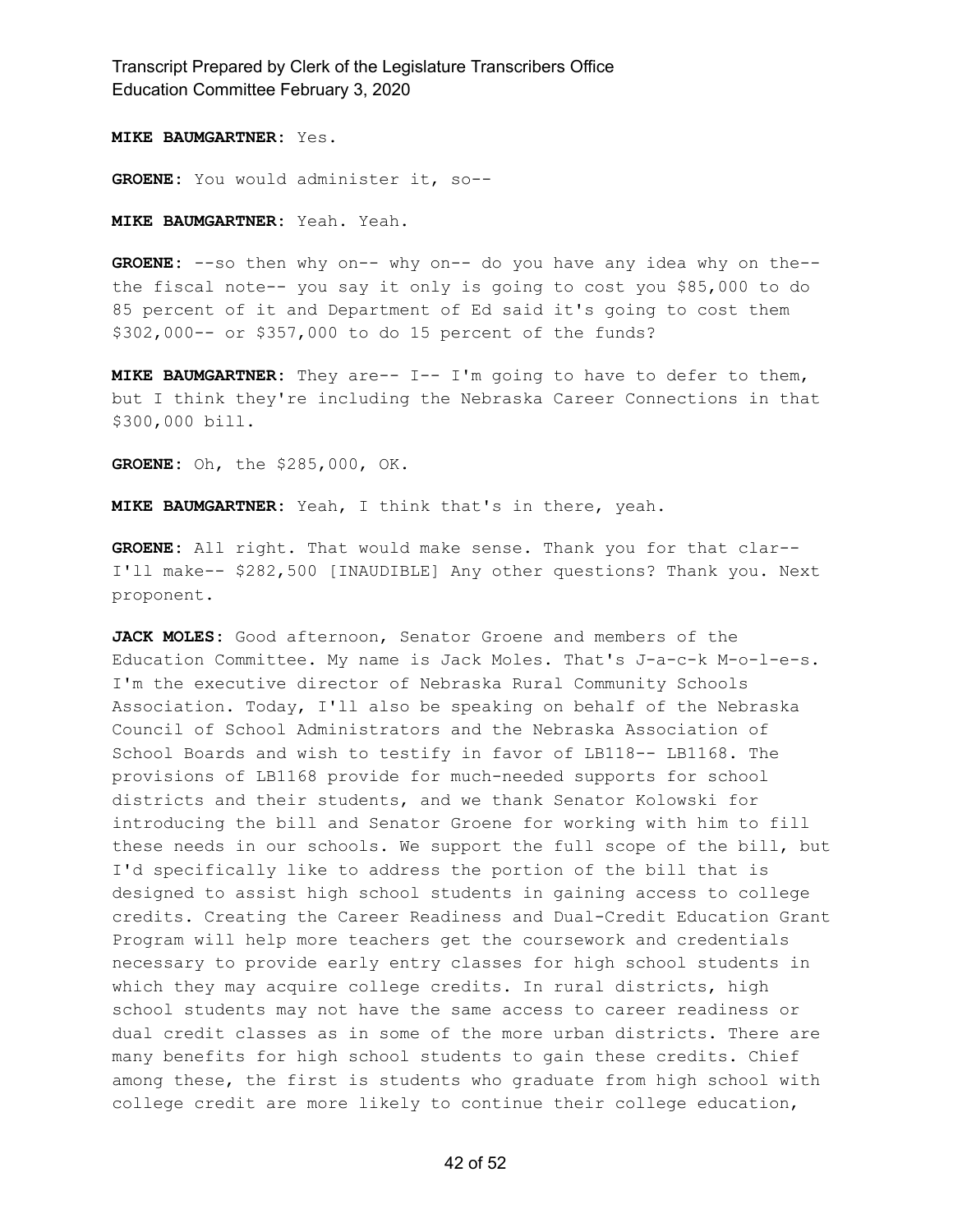**MIKE BAUMGARTNER:** Yes.

**GROENE:** You would administer it, so--

**MIKE BAUMGARTNER:** Yeah. Yeah.

**GROENE:** --so then why on-- why on-- do you have any idea why on the- the fiscal note-- you say it only is going to cost you \$85,000 to do 85 percent of it and Department of Ed said it's going to cost them \$302,000-- or \$357,000 to do 15 percent of the funds?

**MIKE BAUMGARTNER:** They are-- I-- I'm going to have to defer to them, but I think they're including the Nebraska Career Connections in that \$300,000 bill.

**GROENE:** Oh, the \$285,000, OK.

**MIKE BAUMGARTNER:** Yeah, I think that's in there, yeah.

**GROENE:** All right. That would make sense. Thank you for that clar-- I'll make-- \$282,500 [INAUDIBLE] Any other questions? Thank you. Next proponent.

**JACK MOLES:** Good afternoon, Senator Groene and members of the Education Committee. My name is Jack Moles. That's J-a-c-k M-o-l-e-s. I'm the executive director of Nebraska Rural Community Schools Association. Today, I'll also be speaking on behalf of the Nebraska Council of School Administrators and the Nebraska Association of School Boards and wish to testify in favor of LB118-- LB1168. The provisions of LB1168 provide for much-needed supports for school districts and their students, and we thank Senator Kolowski for introducing the bill and Senator Groene for working with him to fill these needs in our schools. We support the full scope of the bill, but I'd specifically like to address the portion of the bill that is designed to assist high school students in gaining access to college credits. Creating the Career Readiness and Dual-Credit Education Grant Program will help more teachers get the coursework and credentials necessary to provide early entry classes for high school students in which they may acquire college credits. In rural districts, high school students may not have the same access to career readiness or dual credit classes as in some of the more urban districts. There are many benefits for high school students to gain these credits. Chief among these, the first is students who graduate from high school with college credit are more likely to continue their college education,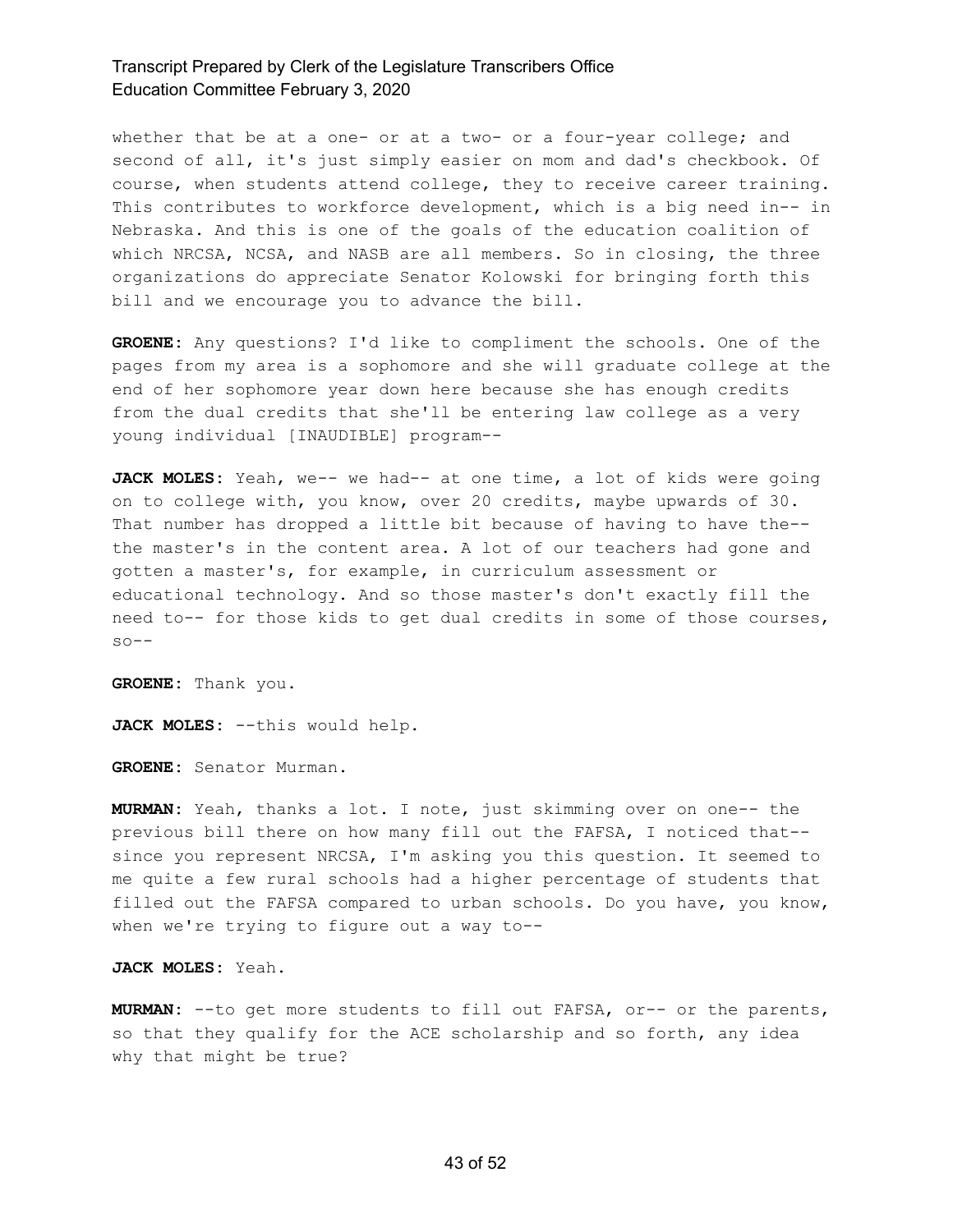whether that be at a one- or at a two- or a four-year college; and second of all, it's just simply easier on mom and dad's checkbook. Of course, when students attend college, they to receive career training. This contributes to workforce development, which is a big need in-- in Nebraska. And this is one of the goals of the education coalition of which NRCSA, NCSA, and NASB are all members. So in closing, the three organizations do appreciate Senator Kolowski for bringing forth this bill and we encourage you to advance the bill.

**GROENE:** Any questions? I'd like to compliment the schools. One of the pages from my area is a sophomore and she will graduate college at the end of her sophomore year down here because she has enough credits from the dual credits that she'll be entering law college as a very young individual [INAUDIBLE] program--

**JACK MOLES:** Yeah, we-- we had-- at one time, a lot of kids were going on to college with, you know, over 20 credits, maybe upwards of 30. That number has dropped a little bit because of having to have the- the master's in the content area. A lot of our teachers had gone and gotten a master's, for example, in curriculum assessment or educational technology. And so those master's don't exactly fill the need to-- for those kids to get dual credits in some of those courses,  $so--$ 

**GROENE:** Thank you.

**JACK MOLES:** --this would help.

**GROENE:** Senator Murman.

**MURMAN:** Yeah, thanks a lot. I note, just skimming over on one-- the previous bill there on how many fill out the FAFSA, I noticed that- since you represent NRCSA, I'm asking you this question. It seemed to me quite a few rural schools had a higher percentage of students that filled out the FAFSA compared to urban schools. Do you have, you know, when we're trying to figure out a way to--

**JACK MOLES:** Yeah.

**MURMAN:** --to get more students to fill out FAFSA, or-- or the parents, so that they qualify for the ACE scholarship and so forth, any idea why that might be true?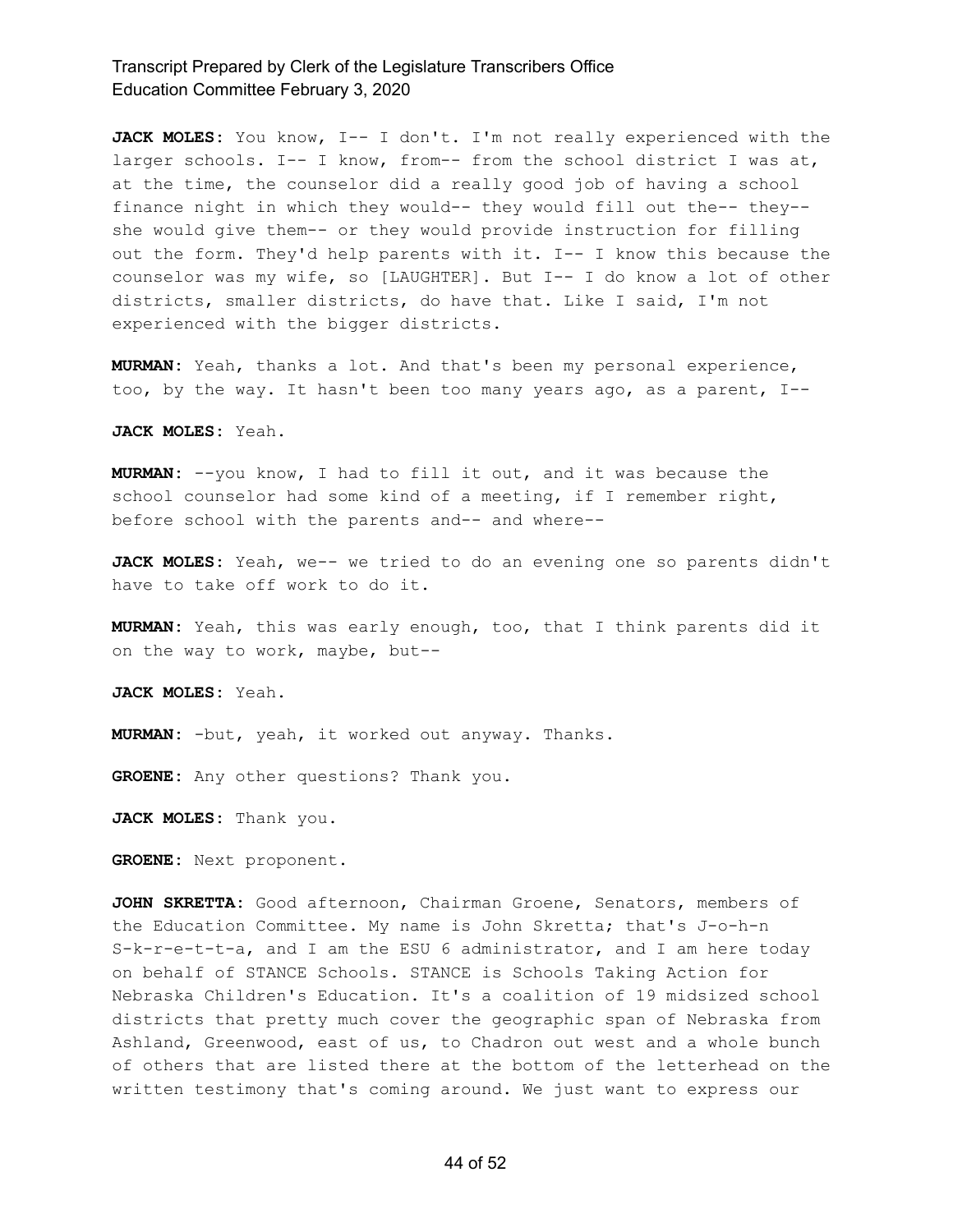JACK MOLES: You know, I-- I don't. I'm not really experienced with the larger schools. I-- I know, from-- from the school district I was at, at the time, the counselor did a really good job of having a school finance night in which they would-- they would fill out the-- they- she would give them-- or they would provide instruction for filling out the form. They'd help parents with it. I-- I know this because the counselor was my wife, so [LAUGHTER]. But I-- I do know a lot of other districts, smaller districts, do have that. Like I said, I'm not experienced with the bigger districts.

**MURMAN:** Yeah, thanks a lot. And that's been my personal experience, too, by the way. It hasn't been too many years ago, as a parent, I--

**JACK MOLES:** Yeah.

**MURMAN:** --you know, I had to fill it out, and it was because the school counselor had some kind of a meeting, if I remember right, before school with the parents and-- and where--

**JACK MOLES:** Yeah, we-- we tried to do an evening one so parents didn't have to take off work to do it.

**MURMAN:** Yeah, this was early enough, too, that I think parents did it on the way to work, maybe, but--

**JACK MOLES:** Yeah.

**MURMAN:** -but, yeah, it worked out anyway. Thanks.

**GROENE:** Any other questions? Thank you.

**JACK MOLES:** Thank you.

**GROENE:** Next proponent.

**JOHN SKRETTA:** Good afternoon, Chairman Groene, Senators, members of the Education Committee. My name is John Skretta; that's J-o-h-n S-k-r-e-t-t-a, and I am the ESU 6 administrator, and I am here today on behalf of STANCE Schools. STANCE is Schools Taking Action for Nebraska Children's Education. It's a coalition of 19 midsized school districts that pretty much cover the geographic span of Nebraska from Ashland, Greenwood, east of us, to Chadron out west and a whole bunch of others that are listed there at the bottom of the letterhead on the written testimony that's coming around. We just want to express our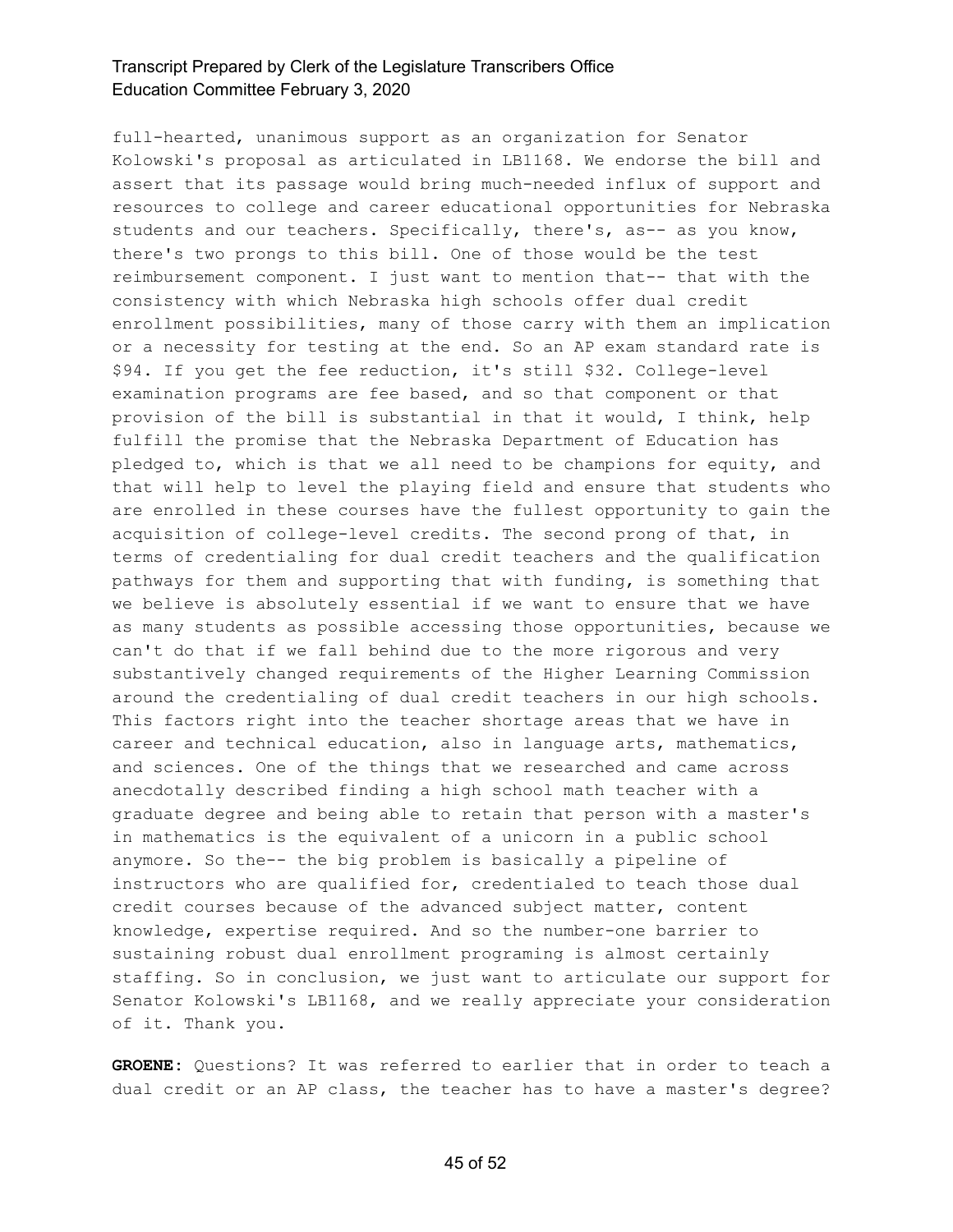full-hearted, unanimous support as an organization for Senator Kolowski's proposal as articulated in LB1168. We endorse the bill and assert that its passage would bring much-needed influx of support and resources to college and career educational opportunities for Nebraska students and our teachers. Specifically, there's, as-- as you know, there's two prongs to this bill. One of those would be the test reimbursement component. I just want to mention that-- that with the consistency with which Nebraska high schools offer dual credit enrollment possibilities, many of those carry with them an implication or a necessity for testing at the end. So an AP exam standard rate is \$94. If you get the fee reduction, it's still \$32. College-level examination programs are fee based, and so that component or that provision of the bill is substantial in that it would, I think, help fulfill the promise that the Nebraska Department of Education has pledged to, which is that we all need to be champions for equity, and that will help to level the playing field and ensure that students who are enrolled in these courses have the fullest opportunity to gain the acquisition of college-level credits. The second prong of that, in terms of credentialing for dual credit teachers and the qualification pathways for them and supporting that with funding, is something that we believe is absolutely essential if we want to ensure that we have as many students as possible accessing those opportunities, because we can't do that if we fall behind due to the more rigorous and very substantively changed requirements of the Higher Learning Commission around the credentialing of dual credit teachers in our high schools. This factors right into the teacher shortage areas that we have in career and technical education, also in language arts, mathematics, and sciences. One of the things that we researched and came across anecdotally described finding a high school math teacher with a graduate degree and being able to retain that person with a master's in mathematics is the equivalent of a unicorn in a public school anymore. So the-- the big problem is basically a pipeline of instructors who are qualified for, credentialed to teach those dual credit courses because of the advanced subject matter, content knowledge, expertise required. And so the number-one barrier to sustaining robust dual enrollment programing is almost certainly staffing. So in conclusion, we just want to articulate our support for Senator Kolowski's LB1168, and we really appreciate your consideration of it. Thank you.

**GROENE:** Questions? It was referred to earlier that in order to teach a dual credit or an AP class, the teacher has to have a master's degree?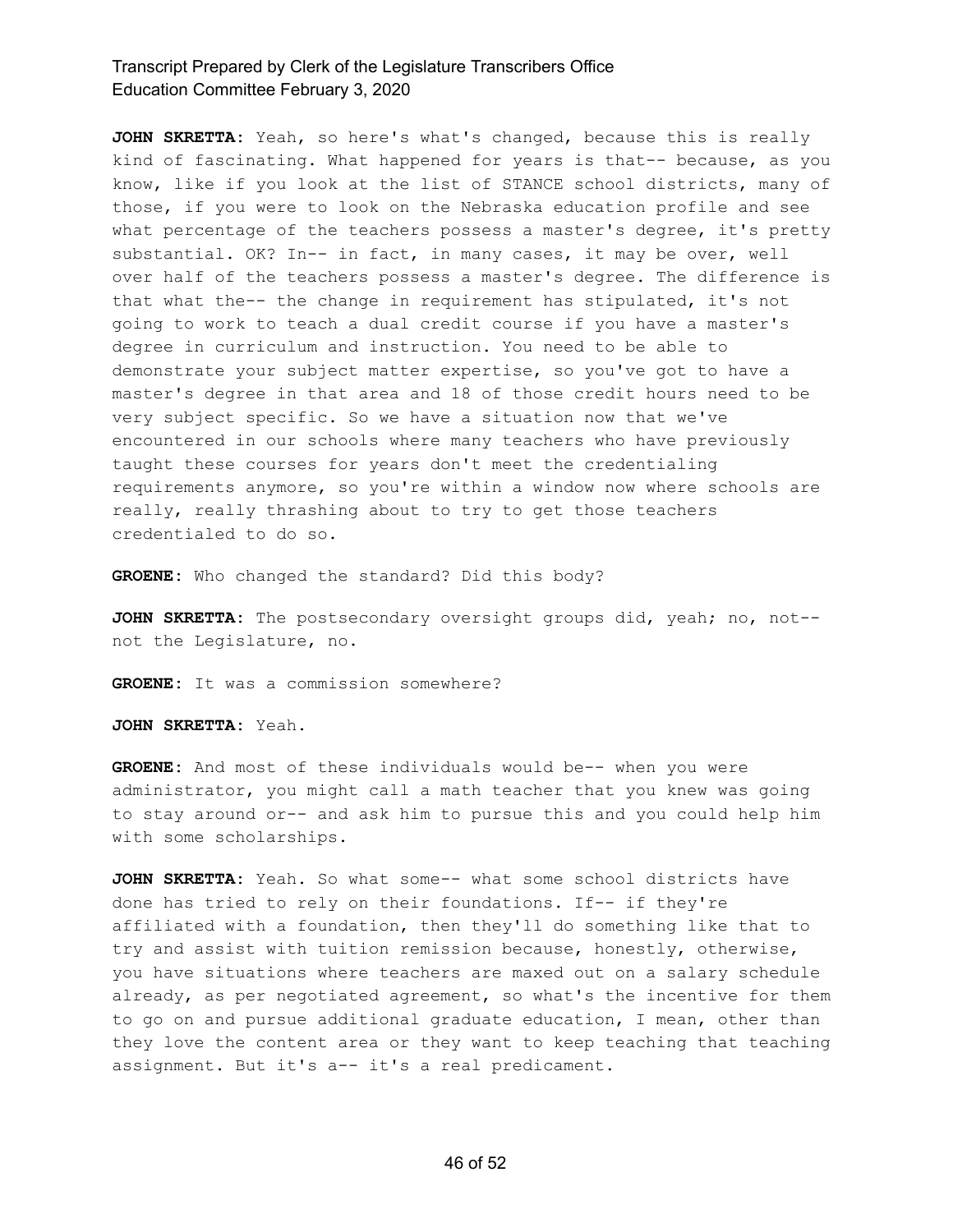**JOHN SKRETTA:** Yeah, so here's what's changed, because this is really kind of fascinating. What happened for years is that-- because, as you know, like if you look at the list of STANCE school districts, many of those, if you were to look on the Nebraska education profile and see what percentage of the teachers possess a master's degree, it's pretty substantial. OK? In-- in fact, in many cases, it may be over, well over half of the teachers possess a master's degree. The difference is that what the-- the change in requirement has stipulated, it's not going to work to teach a dual credit course if you have a master's degree in curriculum and instruction. You need to be able to demonstrate your subject matter expertise, so you've got to have a master's degree in that area and 18 of those credit hours need to be very subject specific. So we have a situation now that we've encountered in our schools where many teachers who have previously taught these courses for years don't meet the credentialing requirements anymore, so you're within a window now where schools are really, really thrashing about to try to get those teachers credentialed to do so.

**GROENE:** Who changed the standard? Did this body?

**JOHN SKRETTA:** The postsecondary oversight groups did, yeah; no, not- not the Legislature, no.

**GROENE:** It was a commission somewhere?

**JOHN SKRETTA:** Yeah.

**GROENE:** And most of these individuals would be-- when you were administrator, you might call a math teacher that you knew was going to stay around or-- and ask him to pursue this and you could help him with some scholarships.

**JOHN SKRETTA:** Yeah. So what some-- what some school districts have done has tried to rely on their foundations. If-- if they're affiliated with a foundation, then they'll do something like that to try and assist with tuition remission because, honestly, otherwise, you have situations where teachers are maxed out on a salary schedule already, as per negotiated agreement, so what's the incentive for them to go on and pursue additional graduate education, I mean, other than they love the content area or they want to keep teaching that teaching assignment. But it's a-- it's a real predicament.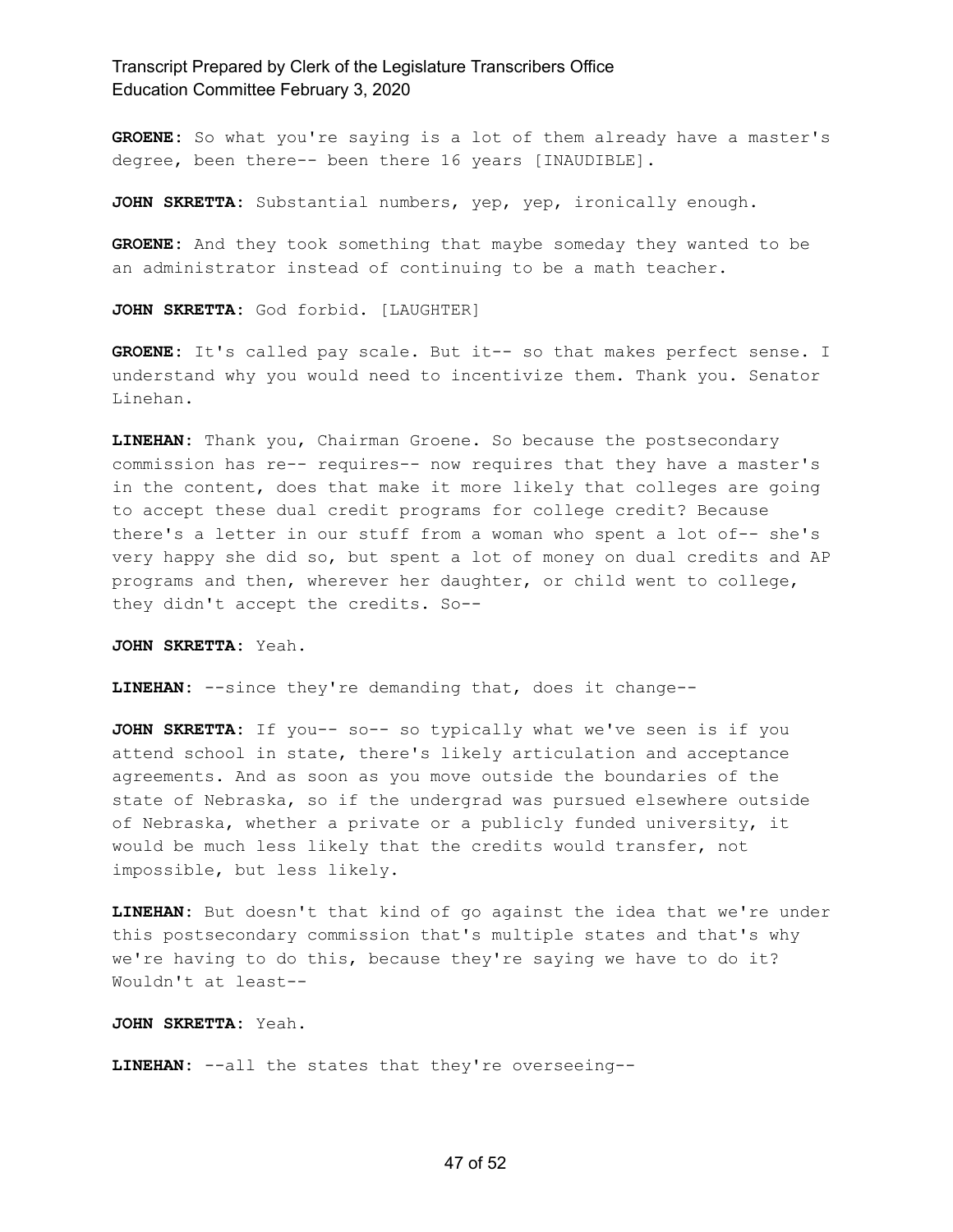**GROENE:** So what you're saying is a lot of them already have a master's degree, been there-- been there 16 years [INAUDIBLE].

**JOHN SKRETTA:** Substantial numbers, yep, yep, ironically enough.

**GROENE:** And they took something that maybe someday they wanted to be an administrator instead of continuing to be a math teacher.

**JOHN SKRETTA:** God forbid. [LAUGHTER]

**GROENE:** It's called pay scale. But it-- so that makes perfect sense. I understand why you would need to incentivize them. Thank you. Senator Linehan.

**LINEHAN:** Thank you, Chairman Groene. So because the postsecondary commission has re-- requires-- now requires that they have a master's in the content, does that make it more likely that colleges are going to accept these dual credit programs for college credit? Because there's a letter in our stuff from a woman who spent a lot of-- she's very happy she did so, but spent a lot of money on dual credits and AP programs and then, wherever her daughter, or child went to college, they didn't accept the credits. So--

**JOHN SKRETTA:** Yeah.

**LINEHAN:** --since they're demanding that, does it change--

**JOHN SKRETTA:** If you-- so-- so typically what we've seen is if you attend school in state, there's likely articulation and acceptance agreements. And as soon as you move outside the boundaries of the state of Nebraska, so if the undergrad was pursued elsewhere outside of Nebraska, whether a private or a publicly funded university, it would be much less likely that the credits would transfer, not impossible, but less likely.

**LINEHAN:** But doesn't that kind of go against the idea that we're under this postsecondary commission that's multiple states and that's why we're having to do this, because they're saying we have to do it? Wouldn't at least--

**JOHN SKRETTA:** Yeah.

**LINEHAN:** --all the states that they're overseeing--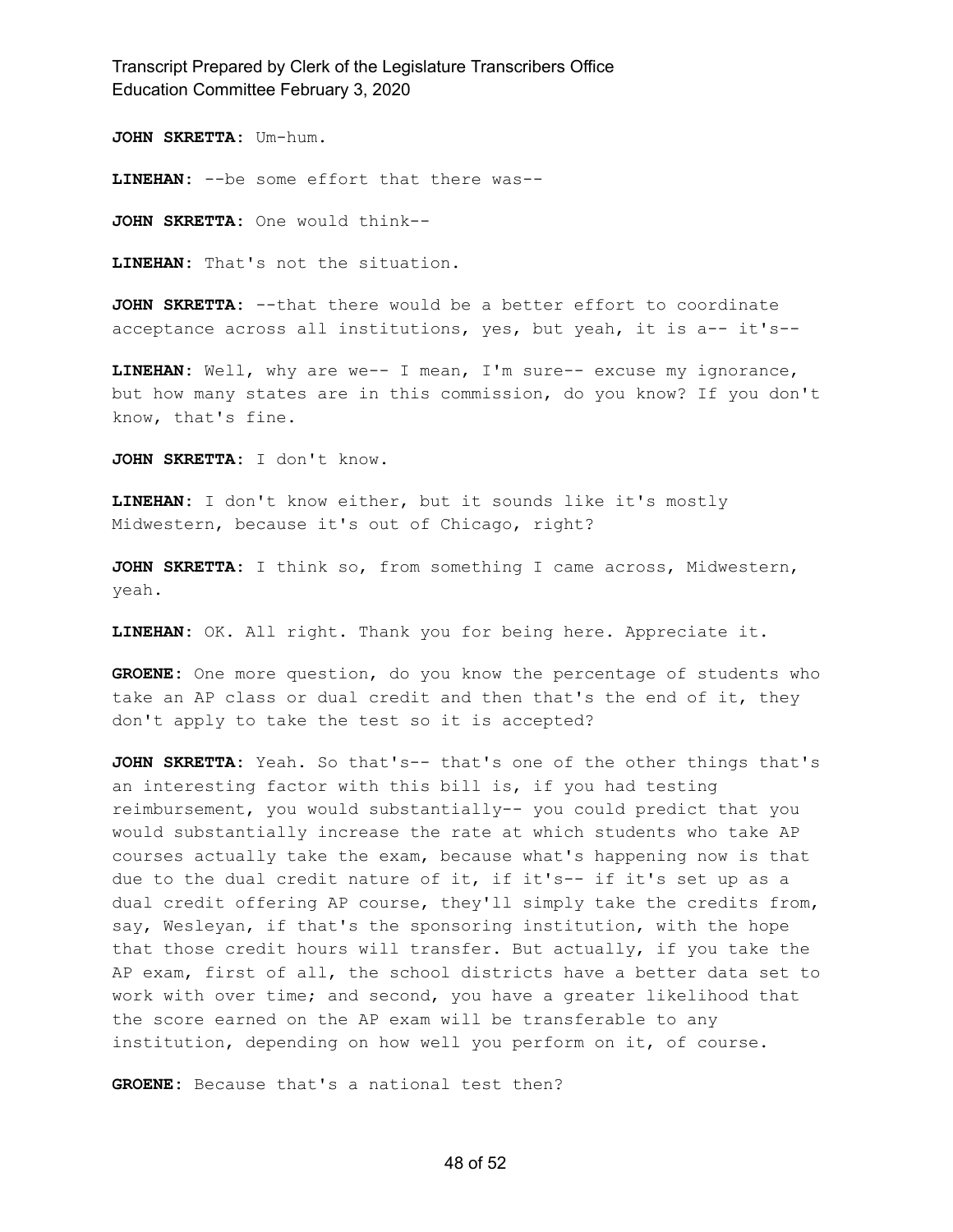**JOHN SKRETTA:** Um-hum.

**LINEHAN:** --be some effort that there was--

**JOHN SKRETTA:** One would think--

**LINEHAN:** That's not the situation.

**JOHN SKRETTA:** --that there would be a better effort to coordinate acceptance across all institutions, yes, but yeah, it is a-- it's--

**LINEHAN:** Well, why are we-- I mean, I'm sure-- excuse my ignorance, but how many states are in this commission, do you know? If you don't know, that's fine.

**JOHN SKRETTA:** I don't know.

**LINEHAN:** I don't know either, but it sounds like it's mostly Midwestern, because it's out of Chicago, right?

**JOHN SKRETTA:** I think so, from something I came across, Midwestern, yeah.

**LINEHAN:** OK. All right. Thank you for being here. Appreciate it.

**GROENE:** One more question, do you know the percentage of students who take an AP class or dual credit and then that's the end of it, they don't apply to take the test so it is accepted?

**JOHN SKRETTA:** Yeah. So that's-- that's one of the other things that's an interesting factor with this bill is, if you had testing reimbursement, you would substantially-- you could predict that you would substantially increase the rate at which students who take AP courses actually take the exam, because what's happening now is that due to the dual credit nature of it, if it's-- if it's set up as a dual credit offering AP course, they'll simply take the credits from, say, Wesleyan, if that's the sponsoring institution, with the hope that those credit hours will transfer. But actually, if you take the AP exam, first of all, the school districts have a better data set to work with over time; and second, you have a greater likelihood that the score earned on the AP exam will be transferable to any institution, depending on how well you perform on it, of course.

**GROENE:** Because that's a national test then?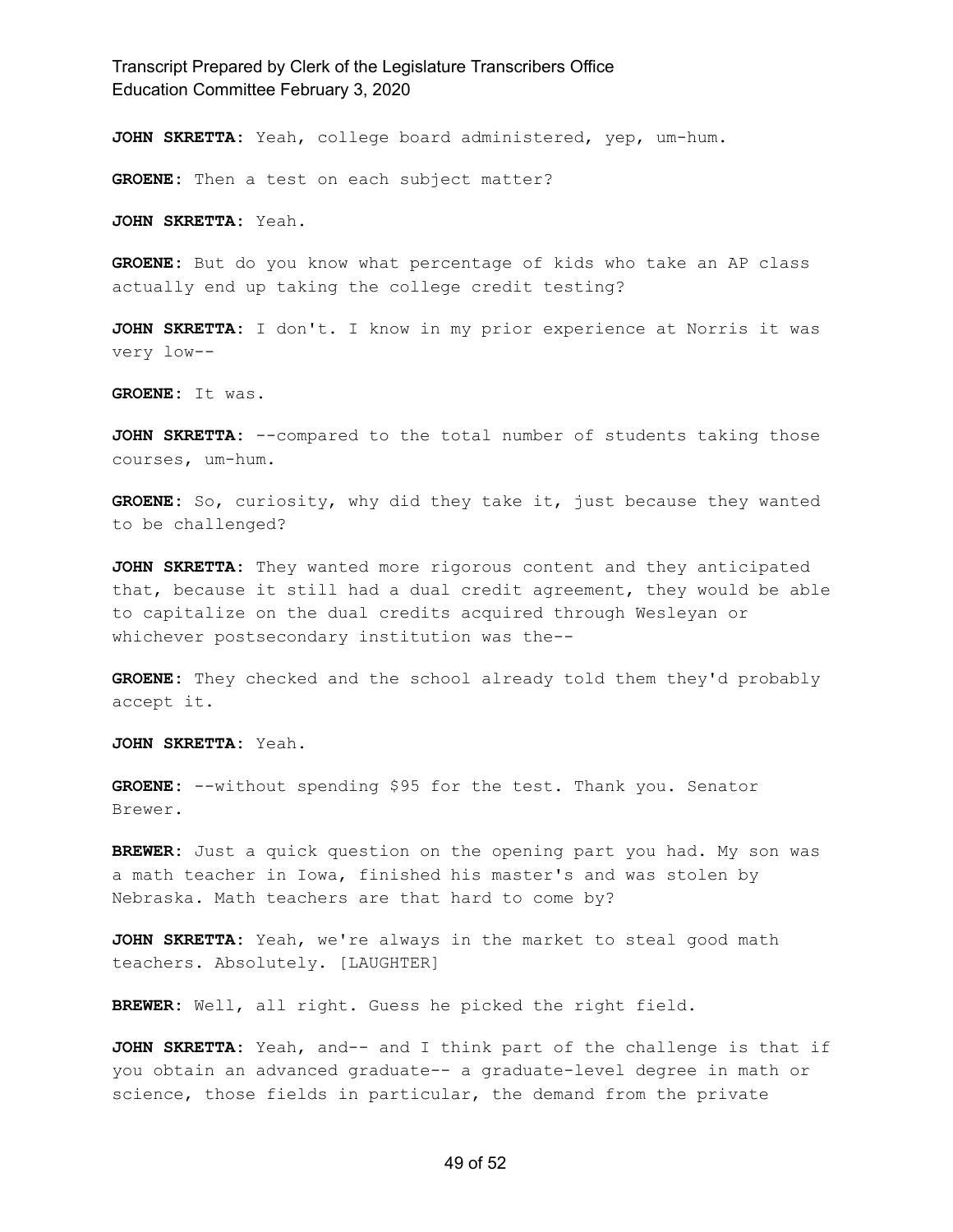**JOHN SKRETTA:** Yeah, college board administered, yep, um-hum.

**GROENE:** Then a test on each subject matter?

**JOHN SKRETTA:** Yeah.

**GROENE:** But do you know what percentage of kids who take an AP class actually end up taking the college credit testing?

**JOHN SKRETTA:** I don't. I know in my prior experience at Norris it was very low--

**GROENE:** It was.

**JOHN SKRETTA:** --compared to the total number of students taking those courses, um-hum.

**GROENE:** So, curiosity, why did they take it, just because they wanted to be challenged?

**JOHN SKRETTA:** They wanted more rigorous content and they anticipated that, because it still had a dual credit agreement, they would be able to capitalize on the dual credits acquired through Wesleyan or whichever postsecondary institution was the--

**GROENE:** They checked and the school already told them they'd probably accept it.

**JOHN SKRETTA:** Yeah.

**GROENE:** --without spending \$95 for the test. Thank you. Senator Brewer.

**BREWER:** Just a quick question on the opening part you had. My son was a math teacher in Iowa, finished his master's and was stolen by Nebraska. Math teachers are that hard to come by?

**JOHN SKRETTA:** Yeah, we're always in the market to steal good math teachers. Absolutely. [LAUGHTER]

**BREWER:** Well, all right. Guess he picked the right field.

**JOHN SKRETTA:** Yeah, and-- and I think part of the challenge is that if you obtain an advanced graduate-- a graduate-level degree in math or science, those fields in particular, the demand from the private

#### 49 of 52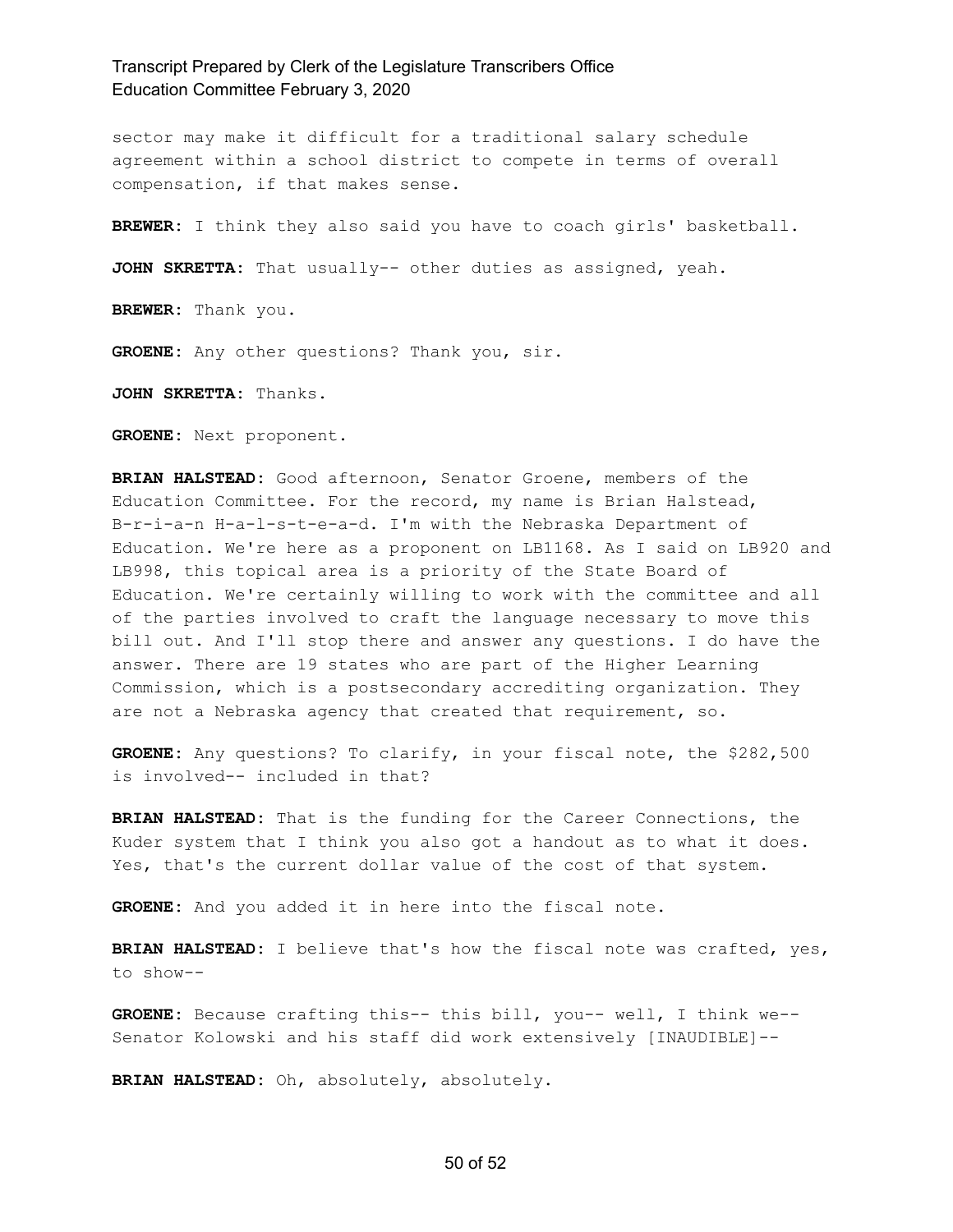sector may make it difficult for a traditional salary schedule agreement within a school district to compete in terms of overall compensation, if that makes sense.

**BREWER:** I think they also said you have to coach girls' basketball.

**JOHN SKRETTA:** That usually-- other duties as assigned, yeah.

**BREWER:** Thank you.

**GROENE:** Any other questions? Thank you, sir.

**JOHN SKRETTA:** Thanks.

**GROENE:** Next proponent.

**BRIAN HALSTEAD:** Good afternoon, Senator Groene, members of the Education Committee. For the record, my name is Brian Halstead, B-r-i-a-n H-a-l-s-t-e-a-d. I'm with the Nebraska Department of Education. We're here as a proponent on LB1168. As I said on LB920 and LB998, this topical area is a priority of the State Board of Education. We're certainly willing to work with the committee and all of the parties involved to craft the language necessary to move this bill out. And I'll stop there and answer any questions. I do have the answer. There are 19 states who are part of the Higher Learning Commission, which is a postsecondary accrediting organization. They are not a Nebraska agency that created that requirement, so.

**GROENE:** Any questions? To clarify, in your fiscal note, the \$282,500 is involved-- included in that?

**BRIAN HALSTEAD:** That is the funding for the Career Connections, the Kuder system that I think you also got a handout as to what it does. Yes, that's the current dollar value of the cost of that system.

**GROENE:** And you added it in here into the fiscal note.

**BRIAN HALSTEAD:** I believe that's how the fiscal note was crafted, yes, to show--

**GROENE:** Because crafting this-- this bill, you-- well, I think we-- Senator Kolowski and his staff did work extensively [INAUDIBLE]--

**BRIAN HALSTEAD:** Oh, absolutely, absolutely.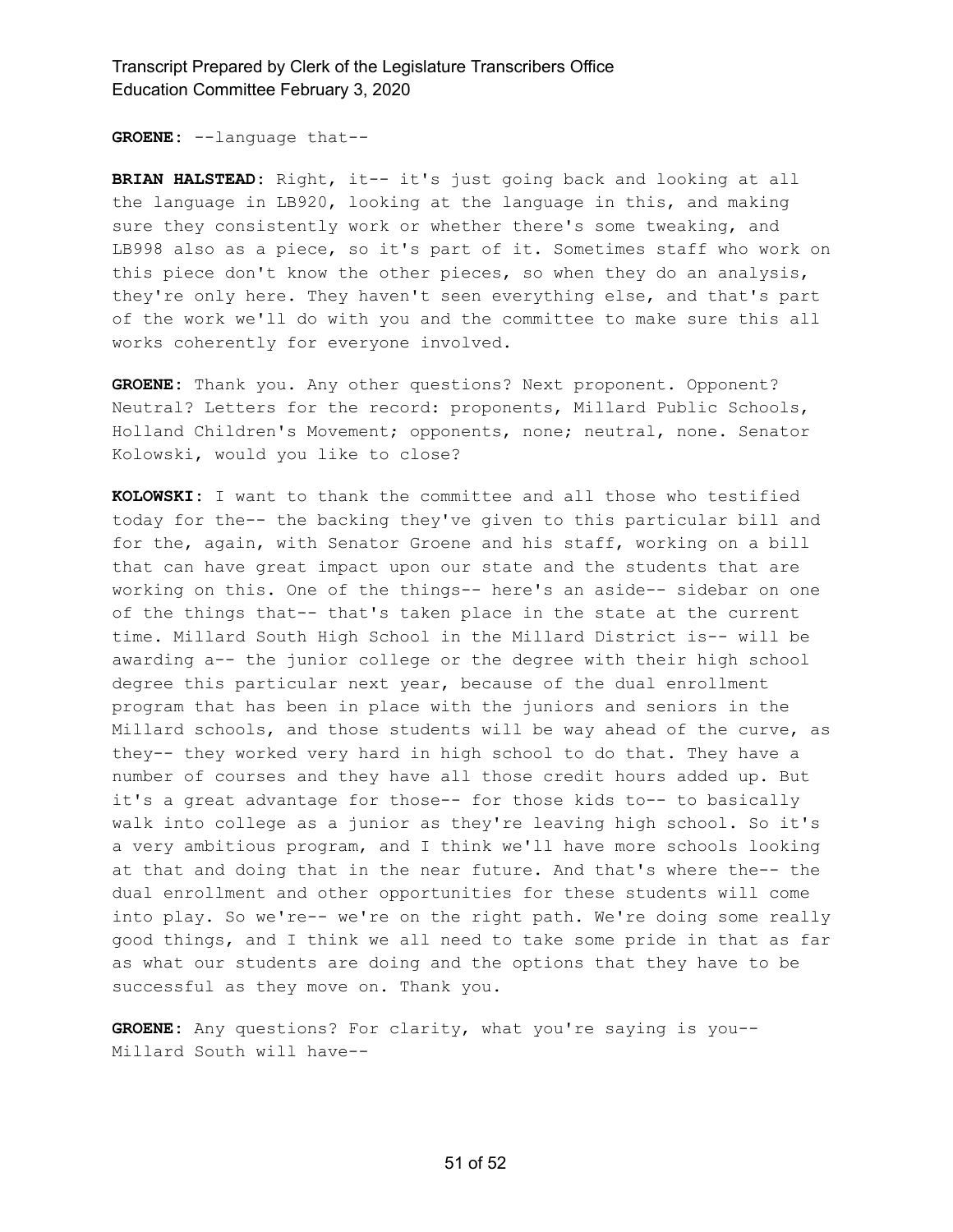**GROENE:** --language that--

**BRIAN HALSTEAD:** Right, it-- it's just going back and looking at all the language in LB920, looking at the language in this, and making sure they consistently work or whether there's some tweaking, and LB998 also as a piece, so it's part of it. Sometimes staff who work on this piece don't know the other pieces, so when they do an analysis, they're only here. They haven't seen everything else, and that's part of the work we'll do with you and the committee to make sure this all works coherently for everyone involved.

**GROENE:** Thank you. Any other questions? Next proponent. Opponent? Neutral? Letters for the record: proponents, Millard Public Schools, Holland Children's Movement; opponents, none; neutral, none. Senator Kolowski, would you like to close?

**KOLOWSKI:** I want to thank the committee and all those who testified today for the-- the backing they've given to this particular bill and for the, again, with Senator Groene and his staff, working on a bill that can have great impact upon our state and the students that are working on this. One of the things-- here's an aside-- sidebar on one of the things that-- that's taken place in the state at the current time. Millard South High School in the Millard District is-- will be awarding a-- the junior college or the degree with their high school degree this particular next year, because of the dual enrollment program that has been in place with the juniors and seniors in the Millard schools, and those students will be way ahead of the curve, as they-- they worked very hard in high school to do that. They have a number of courses and they have all those credit hours added up. But it's a great advantage for those-- for those kids to-- to basically walk into college as a junior as they're leaving high school. So it's a very ambitious program, and I think we'll have more schools looking at that and doing that in the near future. And that's where the-- the dual enrollment and other opportunities for these students will come into play. So we're-- we're on the right path. We're doing some really good things, and I think we all need to take some pride in that as far as what our students are doing and the options that they have to be successful as they move on. Thank you.

**GROENE:** Any questions? For clarity, what you're saying is you-- Millard South will have--